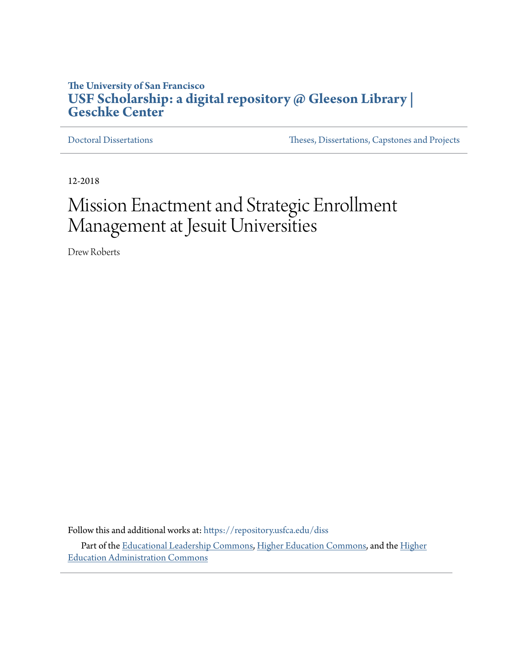# **The University of San Francisco [USF Scholarship: a digital repository @ Gleeson Library |](https://repository.usfca.edu?utm_source=repository.usfca.edu%2Fdiss%2F480&utm_medium=PDF&utm_campaign=PDFCoverPages) [Geschke Center](https://repository.usfca.edu?utm_source=repository.usfca.edu%2Fdiss%2F480&utm_medium=PDF&utm_campaign=PDFCoverPages)**

[Doctoral Dissertations](https://repository.usfca.edu/diss?utm_source=repository.usfca.edu%2Fdiss%2F480&utm_medium=PDF&utm_campaign=PDFCoverPages) [Theses, Dissertations, Capstones and Projects](https://repository.usfca.edu/etd?utm_source=repository.usfca.edu%2Fdiss%2F480&utm_medium=PDF&utm_campaign=PDFCoverPages)

12-2018

# Mission Enactment and Strategic Enrollment Management at Jesuit Universities

Drew Roberts

Follow this and additional works at: [https://repository.usfca.edu/diss](https://repository.usfca.edu/diss?utm_source=repository.usfca.edu%2Fdiss%2F480&utm_medium=PDF&utm_campaign=PDFCoverPages) Part of the [Educational Leadership Commons](http://network.bepress.com/hgg/discipline/1230?utm_source=repository.usfca.edu%2Fdiss%2F480&utm_medium=PDF&utm_campaign=PDFCoverPages), [Higher Education Commons](http://network.bepress.com/hgg/discipline/1245?utm_source=repository.usfca.edu%2Fdiss%2F480&utm_medium=PDF&utm_campaign=PDFCoverPages), and the [Higher](http://network.bepress.com/hgg/discipline/791?utm_source=repository.usfca.edu%2Fdiss%2F480&utm_medium=PDF&utm_campaign=PDFCoverPages) [Education Administration Commons](http://network.bepress.com/hgg/discipline/791?utm_source=repository.usfca.edu%2Fdiss%2F480&utm_medium=PDF&utm_campaign=PDFCoverPages)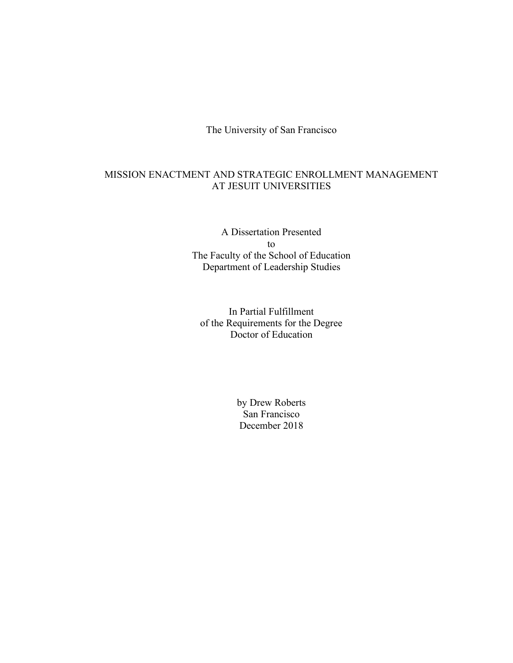The University of San Francisco

# MISSION ENACTMENT AND STRATEGIC ENROLLMENT MANAGEMENT AT JESUIT UNIVERSITIES

A Dissertation Presented to The Faculty of the School of Education Department of Leadership Studies

In Partial Fulfillment of the Requirements for the Degree Doctor of Education

> by Drew Roberts San Francisco December 2018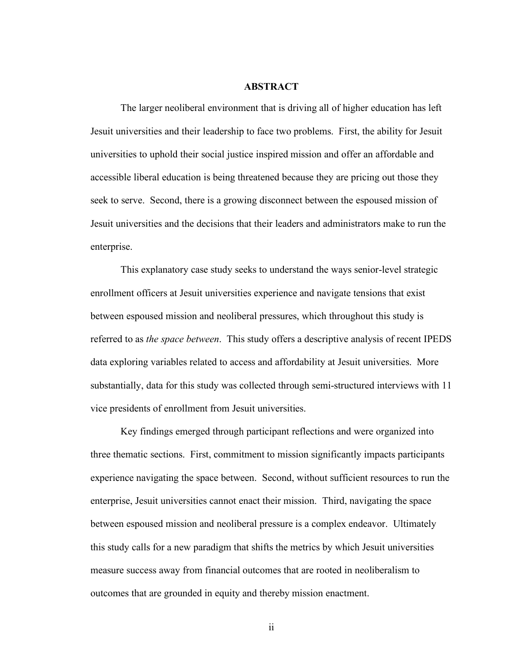# **ABSTRACT**

The larger neoliberal environment that is driving all of higher education has left Jesuit universities and their leadership to face two problems. First, the ability for Jesuit universities to uphold their social justice inspired mission and offer an affordable and accessible liberal education is being threatened because they are pricing out those they seek to serve. Second, there is a growing disconnect between the espoused mission of Jesuit universities and the decisions that their leaders and administrators make to run the enterprise.

This explanatory case study seeks to understand the ways senior-level strategic enrollment officers at Jesuit universities experience and navigate tensions that exist between espoused mission and neoliberal pressures, which throughout this study is referred to as *the space between*. This study offers a descriptive analysis of recent IPEDS data exploring variables related to access and affordability at Jesuit universities. More substantially, data for this study was collected through semi-structured interviews with 11 vice presidents of enrollment from Jesuit universities.

Key findings emerged through participant reflections and were organized into three thematic sections. First, commitment to mission significantly impacts participants experience navigating the space between. Second, without sufficient resources to run the enterprise, Jesuit universities cannot enact their mission. Third, navigating the space between espoused mission and neoliberal pressure is a complex endeavor. Ultimately this study calls for a new paradigm that shifts the metrics by which Jesuit universities measure success away from financial outcomes that are rooted in neoliberalism to outcomes that are grounded in equity and thereby mission enactment.

ii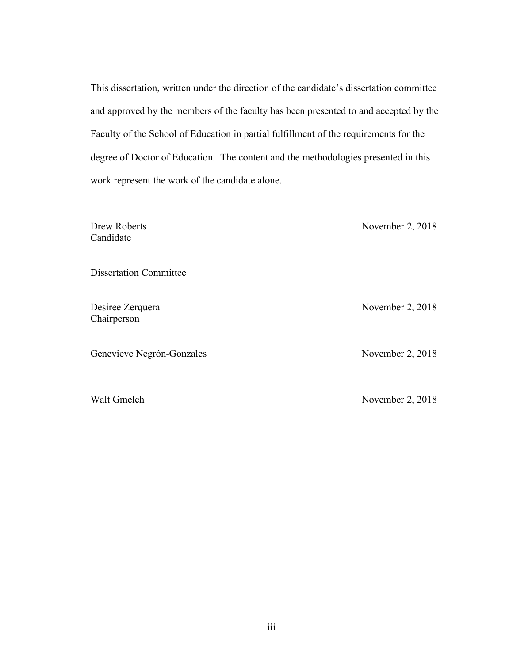This dissertation, written under the direction of the candidate's dissertation committee and approved by the members of the faculty has been presented to and accepted by the Faculty of the School of Education in partial fulfillment of the requirements for the degree of Doctor of Education. The content and the methodologies presented in this work represent the work of the candidate alone.

| Drew Roberts<br>Candidate       | November 2, 2018 |
|---------------------------------|------------------|
| <b>Dissertation Committee</b>   |                  |
| Desiree Zerquera<br>Chairperson | November 2, 2018 |
| Genevieve Negrón-Gonzales       | November 2, 2018 |
| Walt Gmelch                     | November 2, 2018 |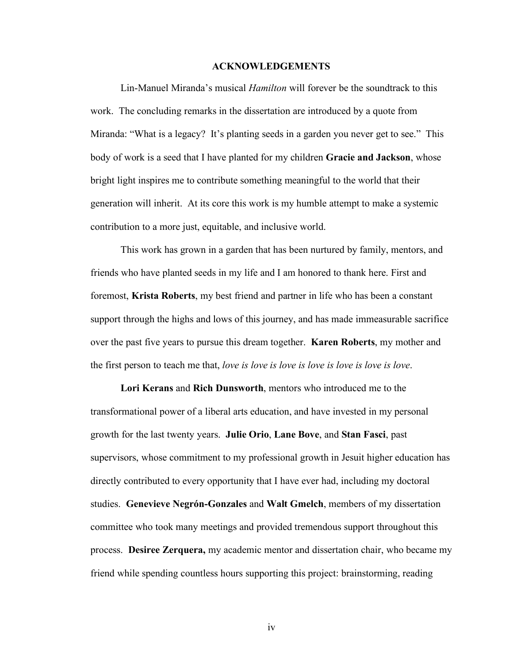# **ACKNOWLEDGEMENTS**

Lin-Manuel Miranda's musical *Hamilton* will forever be the soundtrack to this work. The concluding remarks in the dissertation are introduced by a quote from Miranda: "What is a legacy? It's planting seeds in a garden you never get to see." This body of work is a seed that I have planted for my children **Gracie and Jackson**, whose bright light inspires me to contribute something meaningful to the world that their generation will inherit. At its core this work is my humble attempt to make a systemic contribution to a more just, equitable, and inclusive world.

This work has grown in a garden that has been nurtured by family, mentors, and friends who have planted seeds in my life and I am honored to thank here. First and foremost, **Krista Roberts**, my best friend and partner in life who has been a constant support through the highs and lows of this journey, and has made immeasurable sacrifice over the past five years to pursue this dream together. **Karen Roberts**, my mother and the first person to teach me that, *love is love is love is love is love is love is love*.

**Lori Kerans** and **Rich Dunsworth**, mentors who introduced me to the transformational power of a liberal arts education, and have invested in my personal growth for the last twenty years. **Julie Orio**, **Lane Bove**, and **Stan Fasci**, past supervisors, whose commitment to my professional growth in Jesuit higher education has directly contributed to every opportunity that I have ever had, including my doctoral studies. **Genevieve Negrón-Gonzales** and **Walt Gmelch**, members of my dissertation committee who took many meetings and provided tremendous support throughout this process. **Desiree Zerquera,** my academic mentor and dissertation chair, who became my friend while spending countless hours supporting this project: brainstorming, reading

iv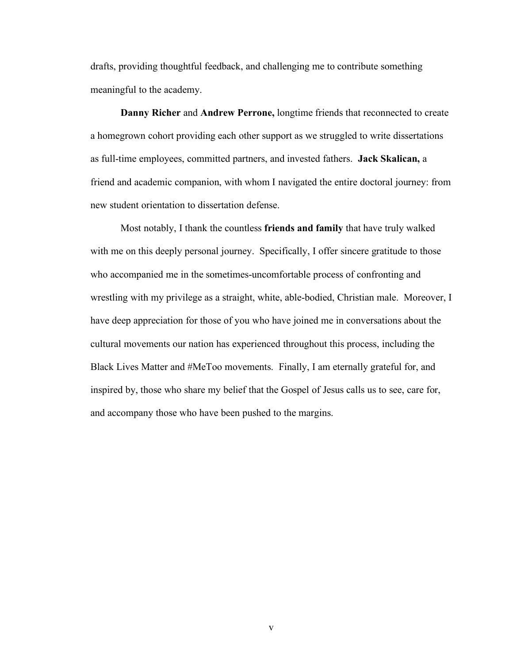drafts, providing thoughtful feedback, and challenging me to contribute something meaningful to the academy.

**Danny Richer** and **Andrew Perrone,** longtime friends that reconnected to create a homegrown cohort providing each other support as we struggled to write dissertations as full-time employees, committed partners, and invested fathers. **Jack Skalican,** a friend and academic companion, with whom I navigated the entire doctoral journey: from new student orientation to dissertation defense.

Most notably, I thank the countless **friends and family** that have truly walked with me on this deeply personal journey. Specifically, I offer sincere gratitude to those who accompanied me in the sometimes-uncomfortable process of confronting and wrestling with my privilege as a straight, white, able-bodied, Christian male. Moreover, I have deep appreciation for those of you who have joined me in conversations about the cultural movements our nation has experienced throughout this process, including the Black Lives Matter and #MeToo movements. Finally, I am eternally grateful for, and inspired by, those who share my belief that the Gospel of Jesus calls us to see, care for, and accompany those who have been pushed to the margins.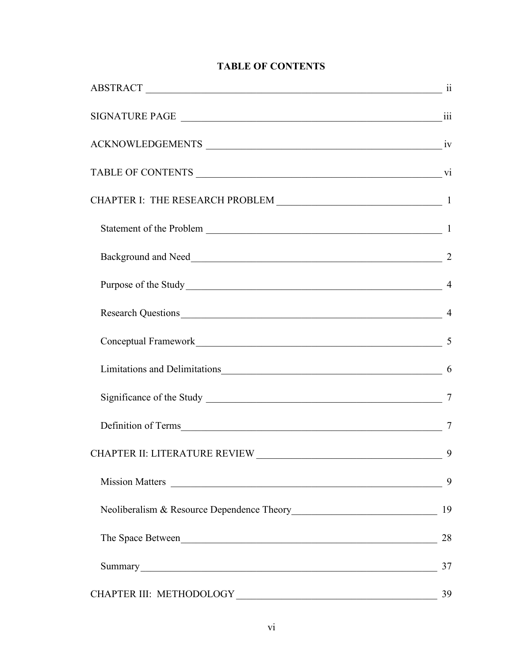# **TABLE OF CONTENTS**

| Purpose of the Study 4                     |                |
|--------------------------------------------|----------------|
| Research Questions 14                      |                |
|                                            | 5              |
|                                            |                |
|                                            |                |
|                                            | $\overline{7}$ |
| CHAPTER II: LITERATURE REVIEW              | 9              |
|                                            | 9              |
|                                            |                |
| The Space Between https://www.archive.com/ | 28             |
|                                            | 37             |
| CHAPTER III: METHODOLOGY                   | 39             |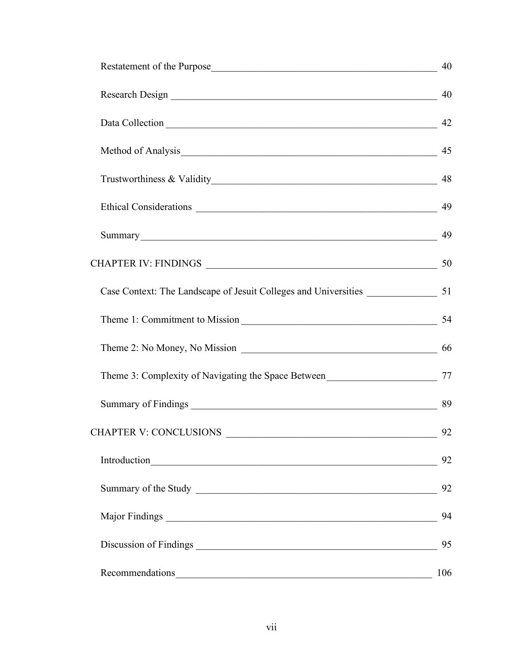|                                                                                                                                                                                                                                | 40  |
|--------------------------------------------------------------------------------------------------------------------------------------------------------------------------------------------------------------------------------|-----|
|                                                                                                                                                                                                                                |     |
| Data Collection 142                                                                                                                                                                                                            |     |
|                                                                                                                                                                                                                                |     |
|                                                                                                                                                                                                                                | 48  |
|                                                                                                                                                                                                                                |     |
| Summary 49                                                                                                                                                                                                                     |     |
|                                                                                                                                                                                                                                |     |
|                                                                                                                                                                                                                                |     |
| Theme 1: Commitment to Mission                                                                                                                                                                                                 | 54  |
| Theme 2: No Money, No Mission 2008 2014 10:00 10:00 10:00 10:00 10:00 10:00 10:00 10:00 10:00 10:00 10:00 10:00 10:00 10:00 10:00 10:00 10:00 10:00 10:00 10:00 10:00 10:00 10:00 10:00 10:00 10:00 10:00 10:00 10:00 10:00 10 |     |
|                                                                                                                                                                                                                                |     |
|                                                                                                                                                                                                                                |     |
| <b>CHAPTER V: CONCLUSIONS</b>                                                                                                                                                                                                  | 92  |
|                                                                                                                                                                                                                                | 92  |
|                                                                                                                                                                                                                                | 92  |
|                                                                                                                                                                                                                                | 94  |
|                                                                                                                                                                                                                                | 95  |
| Recommendations expansion and the commendations of the commendations of the commendations of the commendations                                                                                                                 | 106 |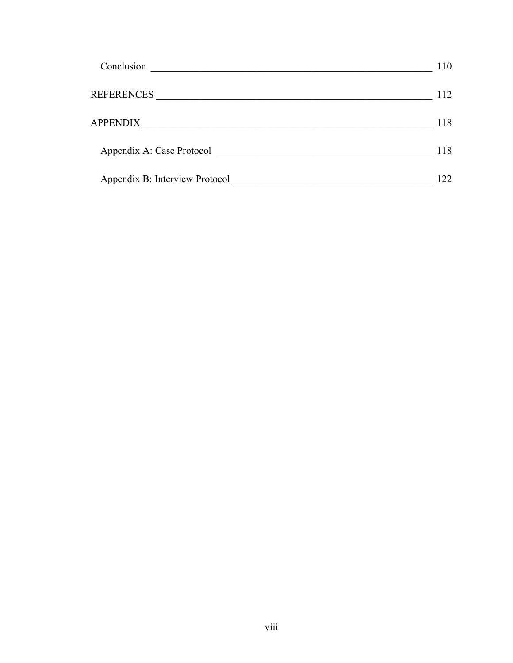| Conclusion                     | 110 |
|--------------------------------|-----|
| <b>REFERENCES</b>              | 112 |
| <b>APPENDIX</b>                | 118 |
| Appendix A: Case Protocol      | 118 |
| Appendix B: Interview Protocol | 122 |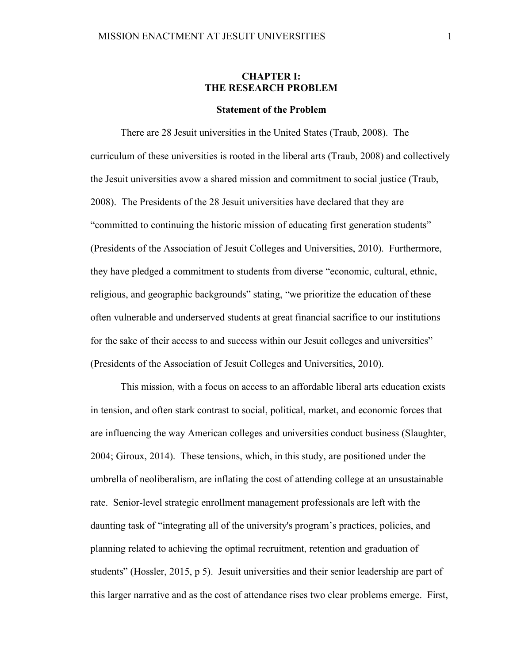# **CHAPTER I: THE RESEARCH PROBLEM**

#### **Statement of the Problem**

There are 28 Jesuit universities in the United States (Traub, 2008). The curriculum of these universities is rooted in the liberal arts (Traub, 2008) and collectively the Jesuit universities avow a shared mission and commitment to social justice (Traub, 2008). The Presidents of the 28 Jesuit universities have declared that they are "committed to continuing the historic mission of educating first generation students" (Presidents of the Association of Jesuit Colleges and Universities, 2010). Furthermore, they have pledged a commitment to students from diverse "economic, cultural, ethnic, religious, and geographic backgrounds" stating, "we prioritize the education of these often vulnerable and underserved students at great financial sacrifice to our institutions for the sake of their access to and success within our Jesuit colleges and universities" (Presidents of the Association of Jesuit Colleges and Universities, 2010).

This mission, with a focus on access to an affordable liberal arts education exists in tension, and often stark contrast to social, political, market, and economic forces that are influencing the way American colleges and universities conduct business (Slaughter, 2004; Giroux, 2014). These tensions, which, in this study, are positioned under the umbrella of neoliberalism, are inflating the cost of attending college at an unsustainable rate. Senior-level strategic enrollment management professionals are left with the daunting task of "integrating all of the university's program's practices, policies, and planning related to achieving the optimal recruitment, retention and graduation of students" (Hossler, 2015, p 5). Jesuit universities and their senior leadership are part of this larger narrative and as the cost of attendance rises two clear problems emerge. First,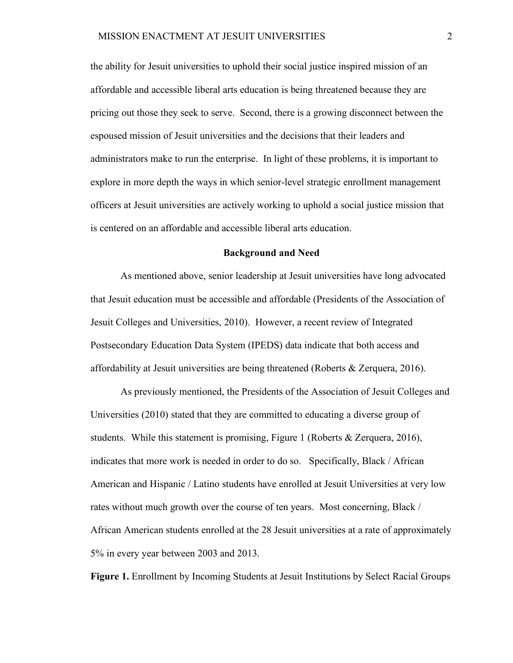the ability for Jesuit universities to uphold their social justice inspired mission of an affordable and accessible liberal arts education is being threatened because they are pricing out those they seek to serve. Second, there is a growing disconnect between the espoused mission of Jesuit universities and the decisions that their leaders and administrators make to run the enterprise. In light of these problems, it is important to explore in more depth the ways in which senior-level strategic enrollment management officers at Jesuit universities are actively working to uphold a social justice mission that is centered on an affordable and accessible liberal arts education.

#### **Background and Need**

As mentioned above, senior leadership at Jesuit universities have long advocated that Jesuit education must be accessible and affordable (Presidents of the Association of Jesuit Colleges and Universities, 2010). However, a recent review of Integrated Postsecondary Education Data System (IPEDS) data indicate that both access and affordability at Jesuit universities are being threatened (Roberts & Zerquera, 2016).

As previously mentioned, the Presidents of the Association of Jesuit Colleges and Universities (2010) stated that they are committed to educating a diverse group of students. While this statement is promising, Figure 1 (Roberts & Zerquera, 2016), indicates that more work is needed in order to do so. Specifically, Black / African American and Hispanic / Latino students have enrolled at Jesuit Universities at very low rates without much growth over the course of ten years. Most concerning, Black / African American students enrolled at the 28 Jesuit universities at a rate of approximately 5% in every year between 2003 and 2013.

**Figure 1.** Enrollment by Incoming Students at Jesuit Institutions by Select Racial Groups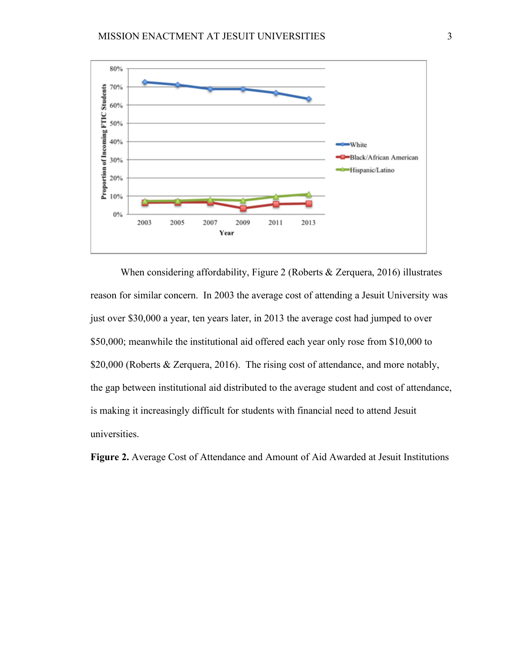

When considering affordability, Figure 2 (Roberts & Zerquera, 2016) illustrates reason for similar concern. In 2003 the average cost of attending a Jesuit University was just over \$30,000 a year, ten years later, in 2013 the average cost had jumped to over \$50,000; meanwhile the institutional aid offered each year only rose from \$10,000 to \$20,000 (Roberts & Zerquera, 2016). The rising cost of attendance, and more notably, the gap between institutional aid distributed to the average student and cost of attendance, is making it increasingly difficult for students with financial need to attend Jesuit universities.

**Figure 2.** Average Cost of Attendance and Amount of Aid Awarded at Jesuit Institutions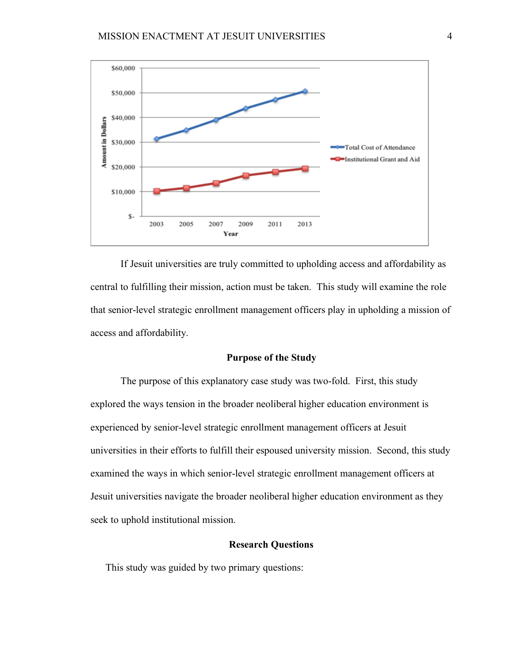

If Jesuit universities are truly committed to upholding access and affordability as central to fulfilling their mission, action must be taken. This study will examine the role that senior-level strategic enrollment management officers play in upholding a mission of access and affordability.

# **Purpose of the Study**

The purpose of this explanatory case study was two-fold. First, this study explored the ways tension in the broader neoliberal higher education environment is experienced by senior-level strategic enrollment management officers at Jesuit universities in their efforts to fulfill their espoused university mission. Second, this study examined the ways in which senior-level strategic enrollment management officers at Jesuit universities navigate the broader neoliberal higher education environment as they seek to uphold institutional mission.

# **Research Questions**

This study was guided by two primary questions: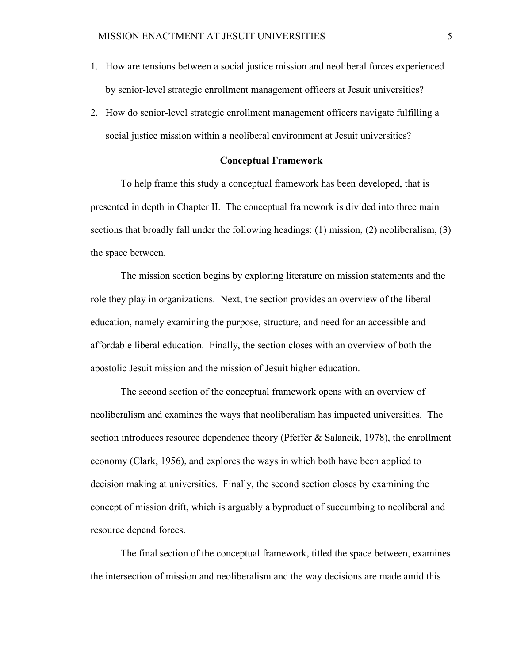- 1. How are tensions between a social justice mission and neoliberal forces experienced by senior-level strategic enrollment management officers at Jesuit universities?
- 2. How do senior-level strategic enrollment management officers navigate fulfilling a social justice mission within a neoliberal environment at Jesuit universities?

# **Conceptual Framework**

To help frame this study a conceptual framework has been developed, that is presented in depth in Chapter II. The conceptual framework is divided into three main sections that broadly fall under the following headings: (1) mission, (2) neoliberalism, (3) the space between.

The mission section begins by exploring literature on mission statements and the role they play in organizations. Next, the section provides an overview of the liberal education, namely examining the purpose, structure, and need for an accessible and affordable liberal education. Finally, the section closes with an overview of both the apostolic Jesuit mission and the mission of Jesuit higher education.

The second section of the conceptual framework opens with an overview of neoliberalism and examines the ways that neoliberalism has impacted universities. The section introduces resource dependence theory (Pfeffer & Salancik, 1978), the enrollment economy (Clark, 1956), and explores the ways in which both have been applied to decision making at universities. Finally, the second section closes by examining the concept of mission drift, which is arguably a byproduct of succumbing to neoliberal and resource depend forces.

The final section of the conceptual framework, titled the space between, examines the intersection of mission and neoliberalism and the way decisions are made amid this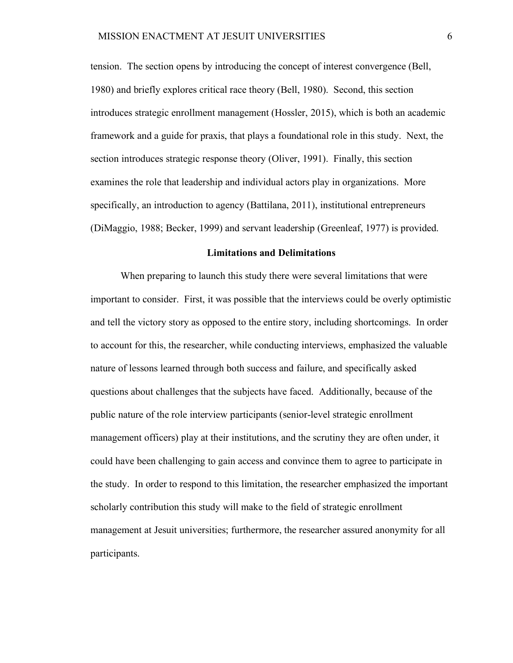tension. The section opens by introducing the concept of interest convergence (Bell, 1980) and briefly explores critical race theory (Bell, 1980). Second, this section introduces strategic enrollment management (Hossler, 2015), which is both an academic framework and a guide for praxis, that plays a foundational role in this study. Next, the section introduces strategic response theory (Oliver, 1991). Finally, this section examines the role that leadership and individual actors play in organizations. More specifically, an introduction to agency (Battilana, 2011), institutional entrepreneurs (DiMaggio, 1988; Becker, 1999) and servant leadership (Greenleaf, 1977) is provided.

# **Limitations and Delimitations**

When preparing to launch this study there were several limitations that were important to consider. First, it was possible that the interviews could be overly optimistic and tell the victory story as opposed to the entire story, including shortcomings. In order to account for this, the researcher, while conducting interviews, emphasized the valuable nature of lessons learned through both success and failure, and specifically asked questions about challenges that the subjects have faced. Additionally, because of the public nature of the role interview participants (senior-level strategic enrollment management officers) play at their institutions, and the scrutiny they are often under, it could have been challenging to gain access and convince them to agree to participate in the study. In order to respond to this limitation, the researcher emphasized the important scholarly contribution this study will make to the field of strategic enrollment management at Jesuit universities; furthermore, the researcher assured anonymity for all participants.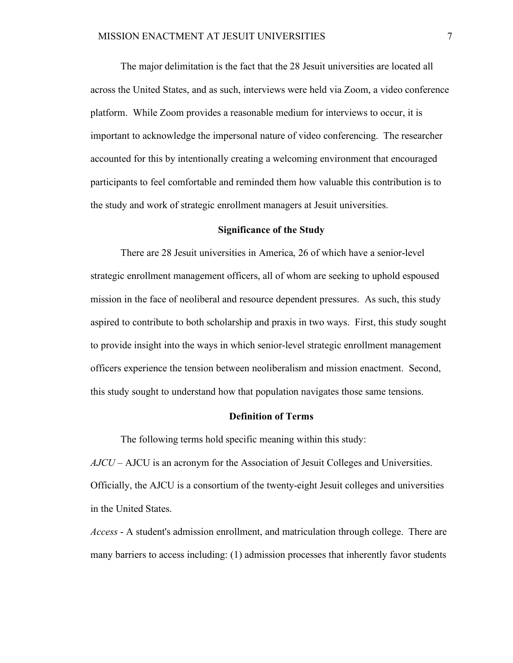The major delimitation is the fact that the 28 Jesuit universities are located all across the United States, and as such, interviews were held via Zoom, a video conference platform. While Zoom provides a reasonable medium for interviews to occur, it is important to acknowledge the impersonal nature of video conferencing. The researcher accounted for this by intentionally creating a welcoming environment that encouraged participants to feel comfortable and reminded them how valuable this contribution is to the study and work of strategic enrollment managers at Jesuit universities.

# **Significance of the Study**

There are 28 Jesuit universities in America, 26 of which have a senior-level strategic enrollment management officers, all of whom are seeking to uphold espoused mission in the face of neoliberal and resource dependent pressures. As such, this study aspired to contribute to both scholarship and praxis in two ways. First, this study sought to provide insight into the ways in which senior-level strategic enrollment management officers experience the tension between neoliberalism and mission enactment. Second, this study sought to understand how that population navigates those same tensions.

# **Definition of Terms**

The following terms hold specific meaning within this study:

*AJCU –* AJCU is an acronym for the Association of Jesuit Colleges and Universities. Officially, the AJCU is a consortium of the twenty-eight Jesuit colleges and universities in the United States.

*Access* - A student's admission enrollment, and matriculation through college. There are many barriers to access including: (1) admission processes that inherently favor students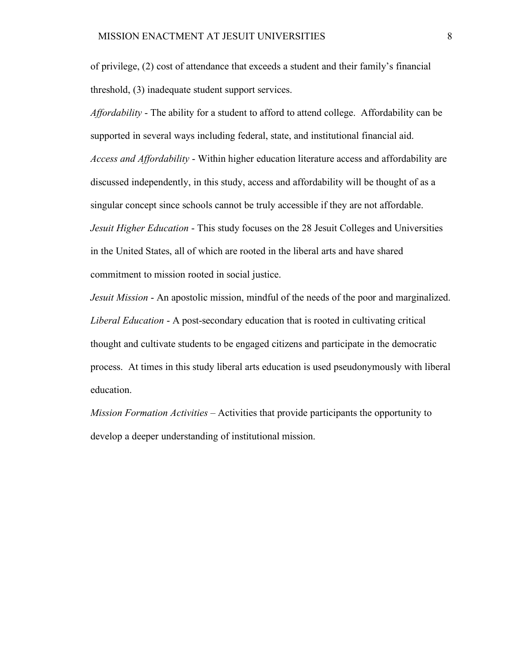of privilege, (2) cost of attendance that exceeds a student and their family's financial threshold, (3) inadequate student support services.

*Affordability* - The ability for a student to afford to attend college. Affordability can be supported in several ways including federal, state, and institutional financial aid. *Access and Affordability* - Within higher education literature access and affordability are discussed independently, in this study, access and affordability will be thought of as a singular concept since schools cannot be truly accessible if they are not affordable. *Jesuit Higher Education* - This study focuses on the 28 Jesuit Colleges and Universities in the United States, all of which are rooted in the liberal arts and have shared commitment to mission rooted in social justice.

*Jesuit Mission* - An apostolic mission, mindful of the needs of the poor and marginalized. *Liberal Education* - A post-secondary education that is rooted in cultivating critical thought and cultivate students to be engaged citizens and participate in the democratic process. At times in this study liberal arts education is used pseudonymously with liberal education.

*Mission Formation Activities* – Activities that provide participants the opportunity to develop a deeper understanding of institutional mission.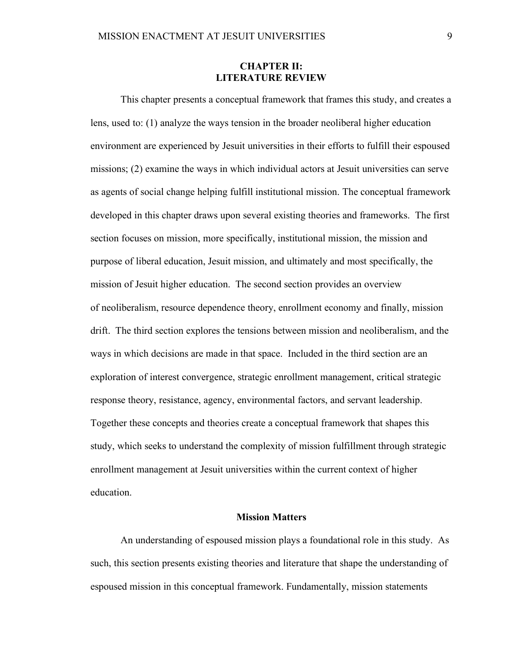# **CHAPTER II: LITERATURE REVIEW**

This chapter presents a conceptual framework that frames this study, and creates a lens, used to: (1) analyze the ways tension in the broader neoliberal higher education environment are experienced by Jesuit universities in their efforts to fulfill their espoused missions; (2) examine the ways in which individual actors at Jesuit universities can serve as agents of social change helping fulfill institutional mission. The conceptual framework developed in this chapter draws upon several existing theories and frameworks. The first section focuses on mission, more specifically, institutional mission, the mission and purpose of liberal education, Jesuit mission, and ultimately and most specifically, the mission of Jesuit higher education. The second section provides an overview of neoliberalism, resource dependence theory, enrollment economy and finally, mission drift. The third section explores the tensions between mission and neoliberalism, and the ways in which decisions are made in that space. Included in the third section are an exploration of interest convergence, strategic enrollment management, critical strategic response theory, resistance, agency, environmental factors, and servant leadership. Together these concepts and theories create a conceptual framework that shapes this study, which seeks to understand the complexity of mission fulfillment through strategic enrollment management at Jesuit universities within the current context of higher education.

#### **Mission Matters**

An understanding of espoused mission plays a foundational role in this study. As such, this section presents existing theories and literature that shape the understanding of espoused mission in this conceptual framework. Fundamentally, mission statements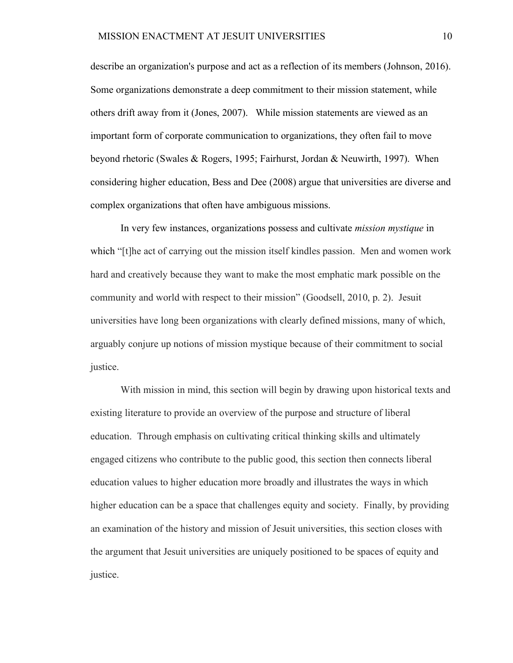describe an organization's purpose and act as a reflection of its members (Johnson, 2016). Some organizations demonstrate a deep commitment to their mission statement, while others drift away from it (Jones, 2007). While mission statements are viewed as an important form of corporate communication to organizations, they often fail to move beyond rhetoric (Swales & Rogers, 1995; Fairhurst, Jordan & Neuwirth, 1997). When considering higher education, Bess and Dee (2008) argue that universities are diverse and complex organizations that often have ambiguous missions.

In very few instances, organizations possess and cultivate *mission mystique* in which "[t]he act of carrying out the mission itself kindles passion. Men and women work hard and creatively because they want to make the most emphatic mark possible on the community and world with respect to their mission" (Goodsell, 2010, p. 2). Jesuit universities have long been organizations with clearly defined missions, many of which, arguably conjure up notions of mission mystique because of their commitment to social justice.

With mission in mind, this section will begin by drawing upon historical texts and existing literature to provide an overview of the purpose and structure of liberal education. Through emphasis on cultivating critical thinking skills and ultimately engaged citizens who contribute to the public good, this section then connects liberal education values to higher education more broadly and illustrates the ways in which higher education can be a space that challenges equity and society. Finally, by providing an examination of the history and mission of Jesuit universities, this section closes with the argument that Jesuit universities are uniquely positioned to be spaces of equity and justice.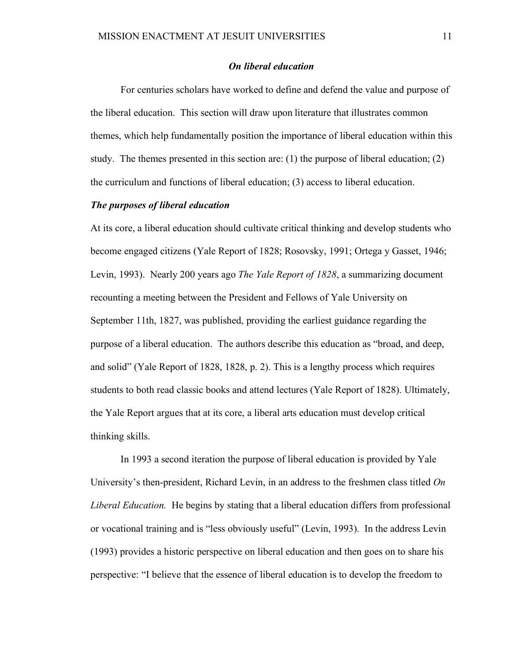# *On liberal education*

For centuries scholars have worked to define and defend the value and purpose of the liberal education. This section will draw upon literature that illustrates common themes, which help fundamentally position the importance of liberal education within this study. The themes presented in this section are: (1) the purpose of liberal education; (2) the curriculum and functions of liberal education; (3) access to liberal education.

# *The purposes of liberal education*

At its core, a liberal education should cultivate critical thinking and develop students who become engaged citizens (Yale Report of 1828; Rosovsky, 1991; Ortega y Gasset, 1946; Levin, 1993). Nearly 200 years ago *The Yale Report of 1828*, a summarizing document recounting a meeting between the President and Fellows of Yale University on September 11th, 1827, was published, providing the earliest guidance regarding the purpose of a liberal education. The authors describe this education as "broad, and deep, and solid" (Yale Report of 1828, 1828, p. 2). This is a lengthy process which requires students to both read classic books and attend lectures (Yale Report of 1828). Ultimately, the Yale Report argues that at its core, a liberal arts education must develop critical thinking skills.

In 1993 a second iteration the purpose of liberal education is provided by Yale University's then-president, Richard Levin, in an address to the freshmen class titled *On Liberal Education.* He begins by stating that a liberal education differs from professional or vocational training and is "less obviously useful" (Levin, 1993). In the address Levin (1993) provides a historic perspective on liberal education and then goes on to share his perspective: "I believe that the essence of liberal education is to develop the freedom to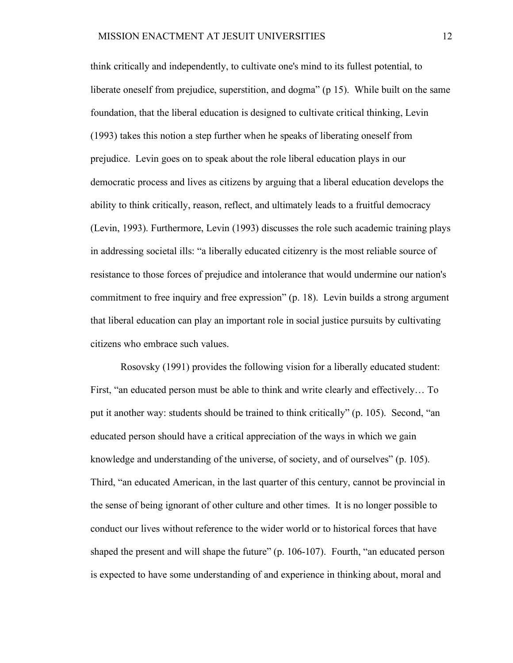think critically and independently, to cultivate one's mind to its fullest potential, to liberate oneself from prejudice, superstition, and dogma" (p 15). While built on the same foundation, that the liberal education is designed to cultivate critical thinking, Levin (1993) takes this notion a step further when he speaks of liberating oneself from prejudice. Levin goes on to speak about the role liberal education plays in our democratic process and lives as citizens by arguing that a liberal education develops the ability to think critically, reason, reflect, and ultimately leads to a fruitful democracy (Levin, 1993). Furthermore, Levin (1993) discusses the role such academic training plays in addressing societal ills: "a liberally educated citizenry is the most reliable source of resistance to those forces of prejudice and intolerance that would undermine our nation's commitment to free inquiry and free expression" (p. 18). Levin builds a strong argument that liberal education can play an important role in social justice pursuits by cultivating citizens who embrace such values.

Rosovsky (1991) provides the following vision for a liberally educated student: First, "an educated person must be able to think and write clearly and effectively… To put it another way: students should be trained to think critically" (p. 105). Second, "an educated person should have a critical appreciation of the ways in which we gain knowledge and understanding of the universe, of society, and of ourselves" (p. 105). Third, "an educated American, in the last quarter of this century, cannot be provincial in the sense of being ignorant of other culture and other times. It is no longer possible to conduct our lives without reference to the wider world or to historical forces that have shaped the present and will shape the future" (p. 106-107). Fourth, "an educated person is expected to have some understanding of and experience in thinking about, moral and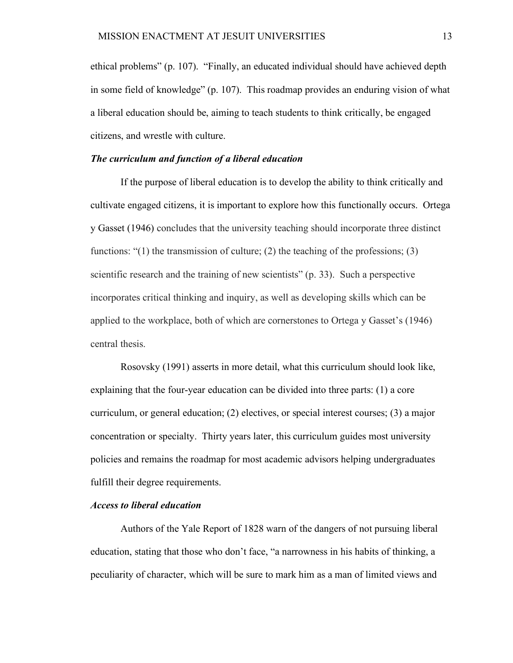ethical problems" (p. 107). "Finally, an educated individual should have achieved depth in some field of knowledge" (p. 107). This roadmap provides an enduring vision of what a liberal education should be, aiming to teach students to think critically, be engaged citizens, and wrestle with culture.

# *The curriculum and function of a liberal education*

If the purpose of liberal education is to develop the ability to think critically and cultivate engaged citizens, it is important to explore how this functionally occurs. Ortega y Gasset (1946) concludes that the university teaching should incorporate three distinct functions: "(1) the transmission of culture; (2) the teaching of the professions; (3) scientific research and the training of new scientists" (p. 33). Such a perspective incorporates critical thinking and inquiry, as well as developing skills which can be applied to the workplace, both of which are cornerstones to Ortega y Gasset's (1946) central thesis.

Rosovsky (1991) asserts in more detail, what this curriculum should look like, explaining that the four-year education can be divided into three parts: (1) a core curriculum, or general education; (2) electives, or special interest courses; (3) a major concentration or specialty. Thirty years later, this curriculum guides most university policies and remains the roadmap for most academic advisors helping undergraduates fulfill their degree requirements.

# *Access to liberal education*

Authors of the Yale Report of 1828 warn of the dangers of not pursuing liberal education, stating that those who don't face, "a narrowness in his habits of thinking, a peculiarity of character, which will be sure to mark him as a man of limited views and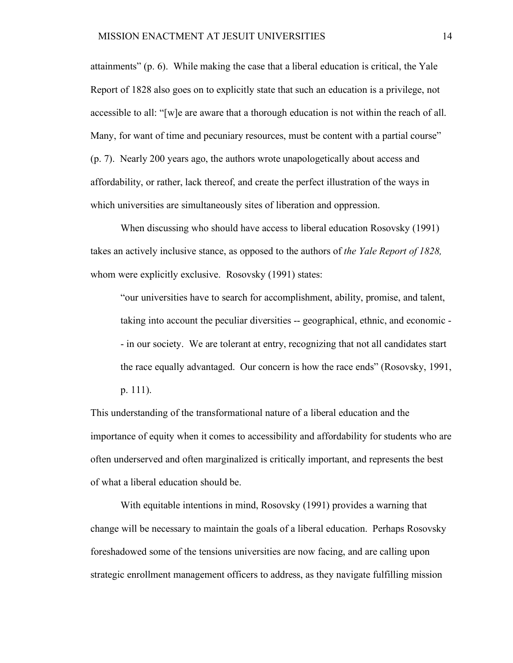attainments" (p. 6). While making the case that a liberal education is critical, the Yale Report of 1828 also goes on to explicitly state that such an education is a privilege, not accessible to all: "[w]e are aware that a thorough education is not within the reach of all. Many, for want of time and pecuniary resources, must be content with a partial course" (p. 7). Nearly 200 years ago, the authors wrote unapologetically about access and affordability, or rather, lack thereof, and create the perfect illustration of the ways in which universities are simultaneously sites of liberation and oppression.

When discussing who should have access to liberal education Rosovsky (1991) takes an actively inclusive stance, as opposed to the authors of *the Yale Report of 1828,*  whom were explicitly exclusive. Rosovsky (1991) states:

"our universities have to search for accomplishment, ability, promise, and talent, taking into account the peculiar diversities -- geographical, ethnic, and economic - - in our society. We are tolerant at entry, recognizing that not all candidates start the race equally advantaged. Our concern is how the race ends" (Rosovsky, 1991,

p. 111).

This understanding of the transformational nature of a liberal education and the importance of equity when it comes to accessibility and affordability for students who are often underserved and often marginalized is critically important, and represents the best of what a liberal education should be.

With equitable intentions in mind, Rosovsky (1991) provides a warning that change will be necessary to maintain the goals of a liberal education. Perhaps Rosovsky foreshadowed some of the tensions universities are now facing, and are calling upon strategic enrollment management officers to address, as they navigate fulfilling mission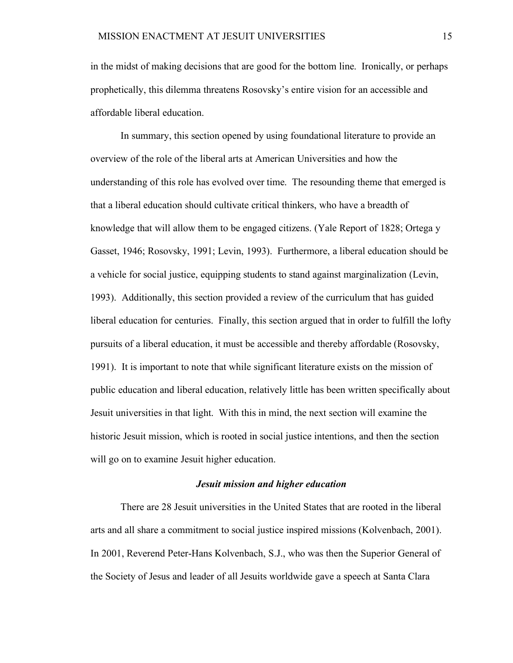in the midst of making decisions that are good for the bottom line. Ironically, or perhaps prophetically, this dilemma threatens Rosovsky's entire vision for an accessible and affordable liberal education.

In summary, this section opened by using foundational literature to provide an overview of the role of the liberal arts at American Universities and how the understanding of this role has evolved over time. The resounding theme that emerged is that a liberal education should cultivate critical thinkers, who have a breadth of knowledge that will allow them to be engaged citizens. (Yale Report of 1828; Ortega y Gasset, 1946; Rosovsky, 1991; Levin, 1993). Furthermore, a liberal education should be a vehicle for social justice, equipping students to stand against marginalization (Levin, 1993). Additionally, this section provided a review of the curriculum that has guided liberal education for centuries. Finally, this section argued that in order to fulfill the lofty pursuits of a liberal education, it must be accessible and thereby affordable (Rosovsky, 1991). It is important to note that while significant literature exists on the mission of public education and liberal education, relatively little has been written specifically about Jesuit universities in that light. With this in mind, the next section will examine the historic Jesuit mission, which is rooted in social justice intentions, and then the section will go on to examine Jesuit higher education.

#### *Jesuit mission and higher education*

There are 28 Jesuit universities in the United States that are rooted in the liberal arts and all share a commitment to social justice inspired missions (Kolvenbach, 2001). In 2001, Reverend Peter-Hans Kolvenbach, S.J., who was then the Superior General of the Society of Jesus and leader of all Jesuits worldwide gave a speech at Santa Clara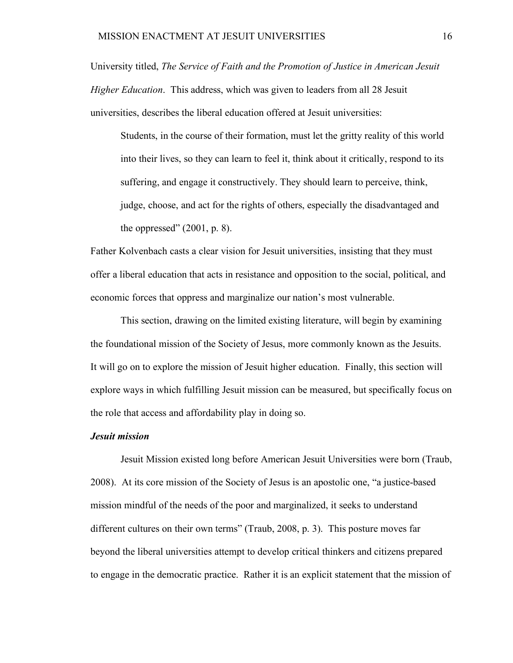University titled, *The Service of Faith and the Promotion of Justice in American Jesuit Higher Education*. This address, which was given to leaders from all 28 Jesuit universities, describes the liberal education offered at Jesuit universities:

Students, in the course of their formation, must let the gritty reality of this world into their lives, so they can learn to feel it, think about it critically, respond to its suffering, and engage it constructively. They should learn to perceive, think, judge, choose, and act for the rights of others, especially the disadvantaged and the oppressed"  $(2001, p. 8)$ .

Father Kolvenbach casts a clear vision for Jesuit universities, insisting that they must offer a liberal education that acts in resistance and opposition to the social, political, and economic forces that oppress and marginalize our nation's most vulnerable.

This section, drawing on the limited existing literature, will begin by examining the foundational mission of the Society of Jesus, more commonly known as the Jesuits. It will go on to explore the mission of Jesuit higher education. Finally, this section will explore ways in which fulfilling Jesuit mission can be measured, but specifically focus on the role that access and affordability play in doing so.

## *Jesuit mission*

Jesuit Mission existed long before American Jesuit Universities were born (Traub, 2008).At its core mission of the Society of Jesus is an apostolic one, "a justice-based mission mindful of the needs of the poor and marginalized, it seeks to understand different cultures on their own terms" (Traub, 2008, p. 3). This posture moves far beyond the liberal universities attempt to develop critical thinkers and citizens prepared to engage in the democratic practice. Rather it is an explicit statement that the mission of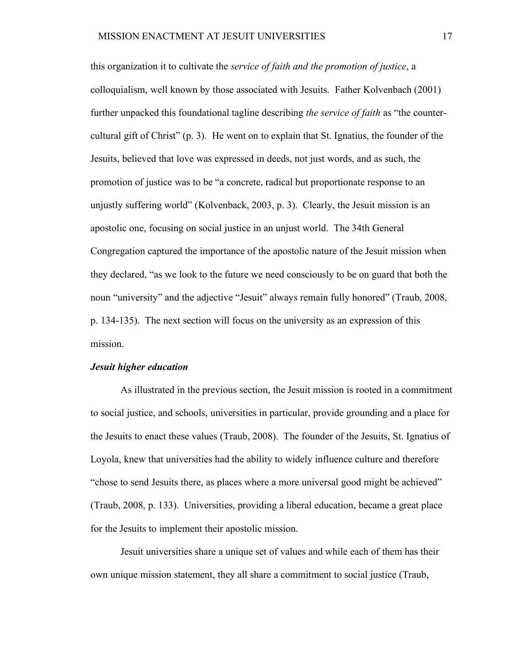this organization it to cultivate the *service of faith and the promotion of justice*, a colloquialism, well known by those associated with Jesuits. Father Kolvenbach (2001) further unpacked this foundational tagline describing *the service of faith* as "the countercultural gift of Christ" (p. 3). He went on to explain that St. Ignatius, the founder of the Jesuits, believed that love was expressed in deeds, not just words, and as such, the promotion of justice was to be "a concrete, radical but proportionate response to an unjustly suffering world" (Kolvenback, 2003, p. 3). Clearly, the Jesuit mission is an apostolic one, focusing on social justice in an unjust world. The 34th General Congregation captured the importance of the apostolic nature of the Jesuit mission when they declared, "as we look to the future we need consciously to be on guard that both the noun "university" and the adjective "Jesuit" always remain fully honored" (Traub, 2008, p. 134-135). The next section will focus on the university as an expression of this mission.

#### *Jesuit higher education*

As illustrated in the previous section, the Jesuit mission is rooted in a commitment to social justice, and schools, universities in particular, provide grounding and a place for the Jesuits to enact these values (Traub, 2008). The founder of the Jesuits, St. Ignatius of Loyola, knew that universities had the ability to widely influence culture and therefore "chose to send Jesuits there, as places where a more universal good might be achieved" (Traub, 2008, p. 133). Universities, providing a liberal education, became a great place for the Jesuits to implement their apostolic mission.

Jesuit universities share a unique set of values and while each of them has their own unique mission statement, they all share a commitment to social justice (Traub,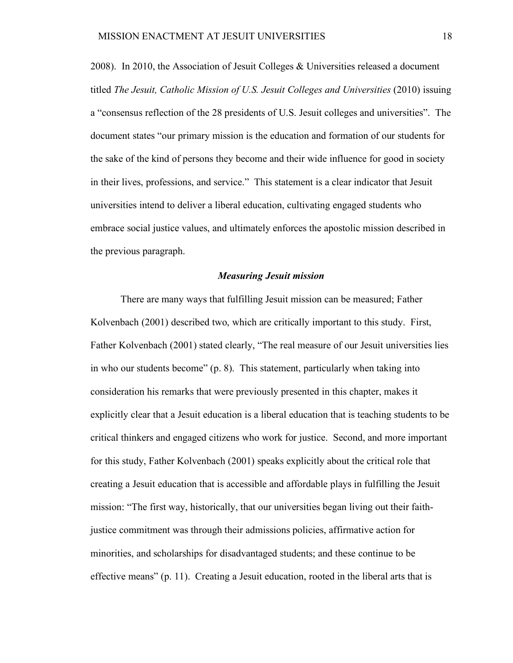2008). In 2010, the Association of Jesuit Colleges & Universities released a document titled *The Jesuit, Catholic Mission of U.S. Jesuit Colleges and Universities* (2010) issuing a "consensus reflection of the 28 presidents of U.S. Jesuit colleges and universities". The document states "our primary mission is the education and formation of our students for the sake of the kind of persons they become and their wide influence for good in society in their lives, professions, and service." This statement is a clear indicator that Jesuit universities intend to deliver a liberal education, cultivating engaged students who embrace social justice values, and ultimately enforces the apostolic mission described in the previous paragraph.

#### *Measuring Jesuit mission*

There are many ways that fulfilling Jesuit mission can be measured; Father Kolvenbach (2001) described two, which are critically important to this study. First, Father Kolvenbach (2001) stated clearly, "The real measure of our Jesuit universities lies in who our students become" (p. 8). This statement, particularly when taking into consideration his remarks that were previously presented in this chapter, makes it explicitly clear that a Jesuit education is a liberal education that is teaching students to be critical thinkers and engaged citizens who work for justice. Second, and more important for this study, Father Kolvenbach (2001) speaks explicitly about the critical role that creating a Jesuit education that is accessible and affordable plays in fulfilling the Jesuit mission: "The first way, historically, that our universities began living out their faithjustice commitment was through their admissions policies, affirmative action for minorities, and scholarships for disadvantaged students; and these continue to be effective means" (p. 11). Creating a Jesuit education, rooted in the liberal arts that is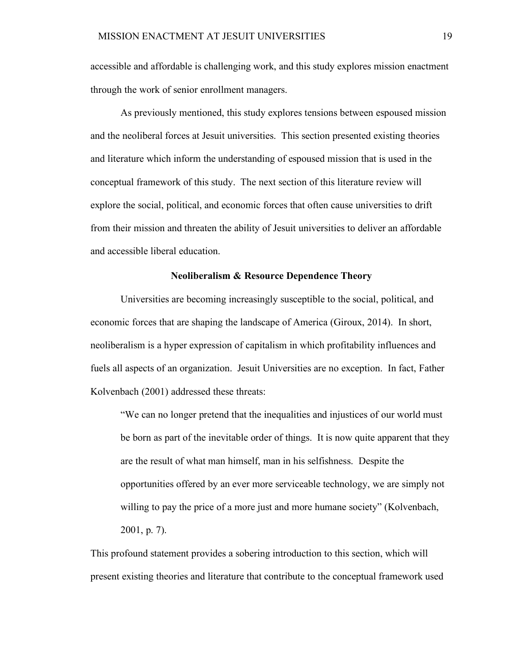accessible and affordable is challenging work, and this study explores mission enactment through the work of senior enrollment managers.

As previously mentioned, this study explores tensions between espoused mission and the neoliberal forces at Jesuit universities. This section presented existing theories and literature which inform the understanding of espoused mission that is used in the conceptual framework of this study. The next section of this literature review will explore the social, political, and economic forces that often cause universities to drift from their mission and threaten the ability of Jesuit universities to deliver an affordable and accessible liberal education.

# **Neoliberalism & Resource Dependence Theory**

Universities are becoming increasingly susceptible to the social, political, and economic forces that are shaping the landscape of America (Giroux, 2014). In short, neoliberalism is a hyper expression of capitalism in which profitability influences and fuels all aspects of an organization. Jesuit Universities are no exception. In fact, Father Kolvenbach (2001) addressed these threats:

"We can no longer pretend that the inequalities and injustices of our world must be born as part of the inevitable order of things. It is now quite apparent that they are the result of what man himself, man in his selfishness. Despite the opportunities offered by an ever more serviceable technology, we are simply not willing to pay the price of a more just and more humane society" (Kolvenbach, 2001, p. 7).

This profound statement provides a sobering introduction to this section, which will present existing theories and literature that contribute to the conceptual framework used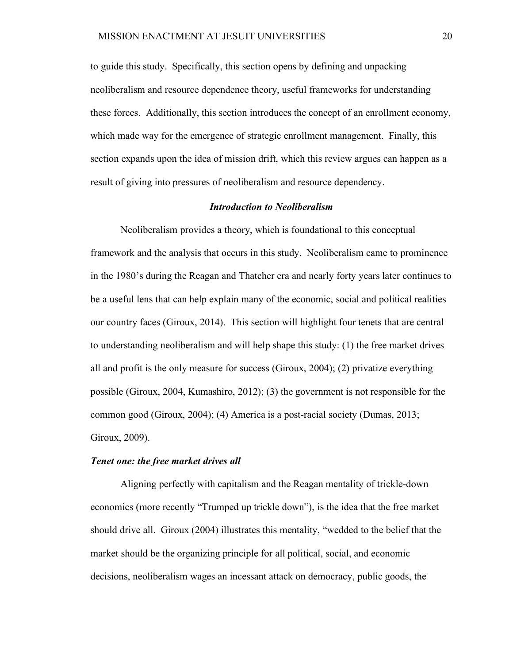to guide this study. Specifically, this section opens by defining and unpacking neoliberalism and resource dependence theory, useful frameworks for understanding these forces. Additionally, this section introduces the concept of an enrollment economy, which made way for the emergence of strategic enrollment management. Finally, this section expands upon the idea of mission drift, which this review argues can happen as a result of giving into pressures of neoliberalism and resource dependency.

# *Introduction to Neoliberalism*

Neoliberalism provides a theory, which is foundational to this conceptual framework and the analysis that occurs in this study. Neoliberalism came to prominence in the 1980's during the Reagan and Thatcher era and nearly forty years later continues to be a useful lens that can help explain many of the economic, social and political realities our country faces (Giroux, 2014). This section will highlight four tenets that are central to understanding neoliberalism and will help shape this study: (1) the free market drives all and profit is the only measure for success (Giroux, 2004); (2) privatize everything possible (Giroux, 2004, Kumashiro, 2012); (3) the government is not responsible for the common good (Giroux, 2004); (4) America is a post-racial society (Dumas, 2013; Giroux, 2009).

# *Tenet one: the free market drives all*

Aligning perfectly with capitalism and the Reagan mentality of trickle-down economics (more recently "Trumped up trickle down"), is the idea that the free market should drive all. Giroux (2004) illustrates this mentality, "wedded to the belief that the market should be the organizing principle for all political, social, and economic decisions, neoliberalism wages an incessant attack on democracy, public goods, the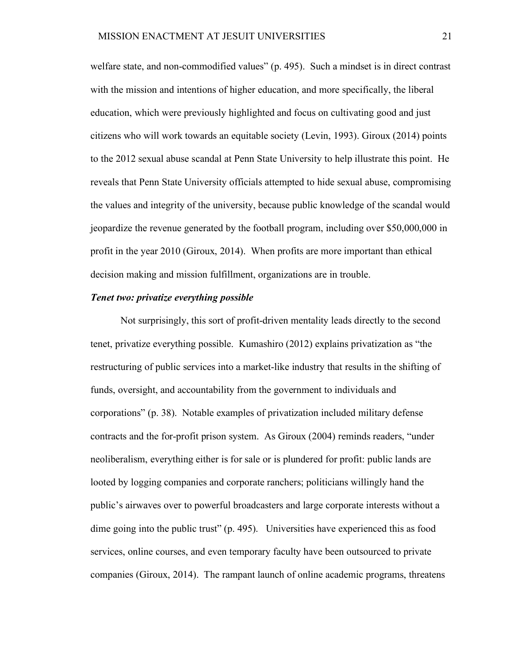welfare state, and non-commodified values" (p. 495). Such a mindset is in direct contrast with the mission and intentions of higher education, and more specifically, the liberal education, which were previously highlighted and focus on cultivating good and just citizens who will work towards an equitable society (Levin, 1993). Giroux (2014) points to the 2012 sexual abuse scandal at Penn State University to help illustrate this point. He reveals that Penn State University officials attempted to hide sexual abuse, compromising the values and integrity of the university, because public knowledge of the scandal would jeopardize the revenue generated by the football program, including over \$50,000,000 in profit in the year 2010 (Giroux, 2014). When profits are more important than ethical decision making and mission fulfillment, organizations are in trouble.

# *Tenet two: privatize everything possible*

Not surprisingly, this sort of profit-driven mentality leads directly to the second tenet, privatize everything possible. Kumashiro (2012) explains privatization as "the restructuring of public services into a market-like industry that results in the shifting of funds, oversight, and accountability from the government to individuals and corporations" (p. 38). Notable examples of privatization included military defense contracts and the for-profit prison system. As Giroux (2004) reminds readers, "under neoliberalism, everything either is for sale or is plundered for profit: public lands are looted by logging companies and corporate ranchers; politicians willingly hand the public's airwaves over to powerful broadcasters and large corporate interests without a dime going into the public trust" (p. 495). Universities have experienced this as food services, online courses, and even temporary faculty have been outsourced to private companies (Giroux, 2014). The rampant launch of online academic programs, threatens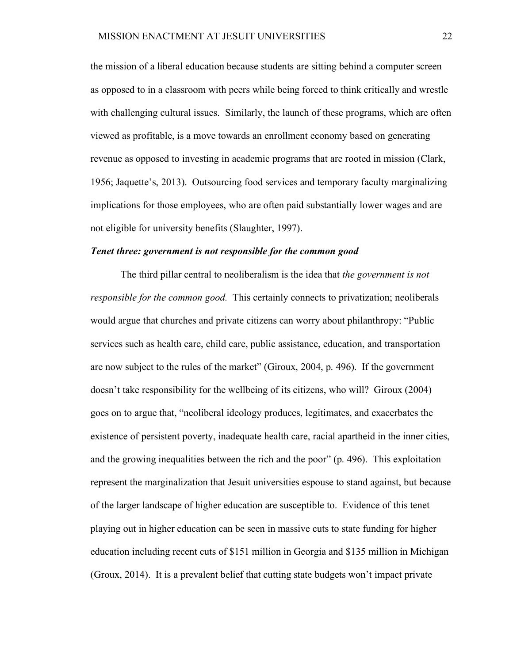the mission of a liberal education because students are sitting behind a computer screen as opposed to in a classroom with peers while being forced to think critically and wrestle with challenging cultural issues. Similarly, the launch of these programs, which are often viewed as profitable, is a move towards an enrollment economy based on generating revenue as opposed to investing in academic programs that are rooted in mission (Clark, 1956; Jaquette's, 2013). Outsourcing food services and temporary faculty marginalizing implications for those employees, who are often paid substantially lower wages and are not eligible for university benefits (Slaughter, 1997).

#### *Tenet three: government is not responsible for the common good*

The third pillar central to neoliberalism is the idea that *the government is not responsible for the common good.* This certainly connects to privatization; neoliberals would argue that churches and private citizens can worry about philanthropy: "Public services such as health care, child care, public assistance, education, and transportation are now subject to the rules of the market" (Giroux, 2004, p. 496). If the government doesn't take responsibility for the wellbeing of its citizens, who will? Giroux (2004) goes on to argue that, "neoliberal ideology produces, legitimates, and exacerbates the existence of persistent poverty, inadequate health care, racial apartheid in the inner cities, and the growing inequalities between the rich and the poor" (p. 496). This exploitation represent the marginalization that Jesuit universities espouse to stand against, but because of the larger landscape of higher education are susceptible to. Evidence of this tenet playing out in higher education can be seen in massive cuts to state funding for higher education including recent cuts of \$151 million in Georgia and \$135 million in Michigan (Groux, 2014). It is a prevalent belief that cutting state budgets won't impact private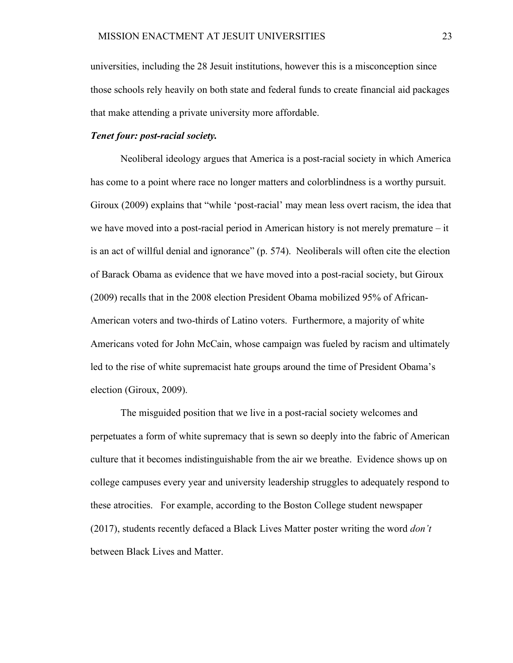universities, including the 28 Jesuit institutions, however this is a misconception since those schools rely heavily on both state and federal funds to create financial aid packages that make attending a private university more affordable.

# *Tenet four: post-racial society.*

Neoliberal ideology argues that America is a post-racial society in which America has come to a point where race no longer matters and colorblindness is a worthy pursuit. Giroux (2009) explains that "while 'post-racial' may mean less overt racism, the idea that we have moved into a post-racial period in American history is not merely premature – it is an act of willful denial and ignorance" (p. 574). Neoliberals will often cite the election of Barack Obama as evidence that we have moved into a post-racial society, but Giroux (2009) recalls that in the 2008 election President Obama mobilized 95% of African-American voters and two-thirds of Latino voters. Furthermore, a majority of white Americans voted for John McCain, whose campaign was fueled by racism and ultimately led to the rise of white supremacist hate groups around the time of President Obama's election (Giroux, 2009).

The misguided position that we live in a post-racial society welcomes and perpetuates a form of white supremacy that is sewn so deeply into the fabric of American culture that it becomes indistinguishable from the air we breathe. Evidence shows up on college campuses every year and university leadership struggles to adequately respond to these atrocities. For example, according to the Boston College student newspaper (2017), students recently defaced a Black Lives Matter poster writing the word *don't* between Black Lives and Matter.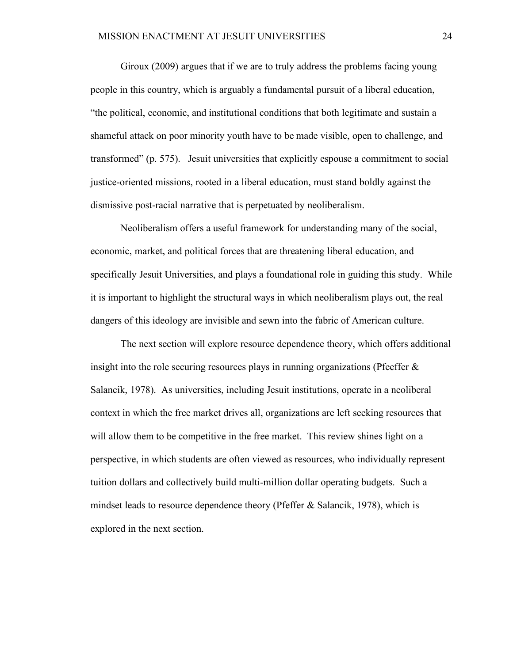Giroux (2009) argues that if we are to truly address the problems facing young people in this country, which is arguably a fundamental pursuit of a liberal education, "the political, economic, and institutional conditions that both legitimate and sustain a shameful attack on poor minority youth have to be made visible, open to challenge, and transformed" (p. 575). Jesuit universities that explicitly espouse a commitment to social justice-oriented missions, rooted in a liberal education, must stand boldly against the dismissive post-racial narrative that is perpetuated by neoliberalism.

Neoliberalism offers a useful framework for understanding many of the social, economic, market, and political forces that are threatening liberal education, and specifically Jesuit Universities, and plays a foundational role in guiding this study. While it is important to highlight the structural ways in which neoliberalism plays out, the real dangers of this ideology are invisible and sewn into the fabric of American culture.

The next section will explore resource dependence theory, which offers additional insight into the role securing resources plays in running organizations (Pfeeffer & Salancik, 1978). As universities, including Jesuit institutions, operate in a neoliberal context in which the free market drives all, organizations are left seeking resources that will allow them to be competitive in the free market. This review shines light on a perspective, in which students are often viewed as resources, who individually represent tuition dollars and collectively build multi-million dollar operating budgets. Such a mindset leads to resource dependence theory (Pfeffer & Salancik, 1978), which is explored in the next section.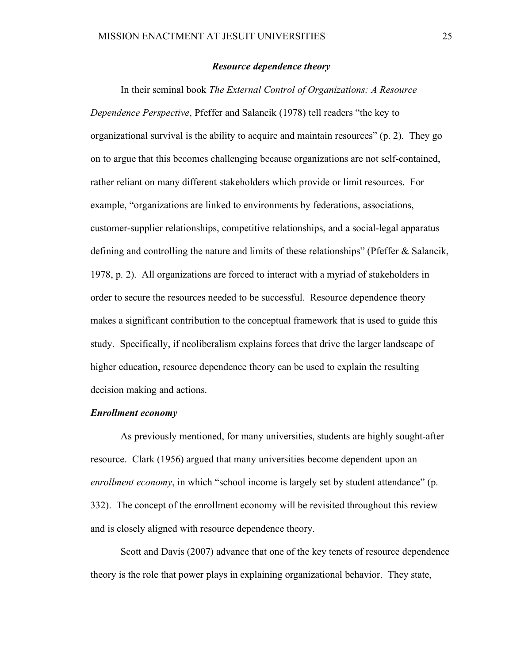# *Resource dependence theory*

In their seminal book *The External Control of Organizations: A Resource Dependence Perspective*, Pfeffer and Salancik (1978) tell readers "the key to organizational survival is the ability to acquire and maintain resources" (p. 2). They go on to argue that this becomes challenging because organizations are not self-contained, rather reliant on many different stakeholders which provide or limit resources. For example, "organizations are linked to environments by federations, associations, customer-supplier relationships, competitive relationships, and a social-legal apparatus defining and controlling the nature and limits of these relationships" (Pfeffer & Salancik, 1978, p. 2). All organizations are forced to interact with a myriad of stakeholders in order to secure the resources needed to be successful. Resource dependence theory makes a significant contribution to the conceptual framework that is used to guide this study. Specifically, if neoliberalism explains forces that drive the larger landscape of higher education, resource dependence theory can be used to explain the resulting decision making and actions.

#### *Enrollment economy*

As previously mentioned, for many universities, students are highly sought-after resource. Clark (1956) argued that many universities become dependent upon an *enrollment economy*, in which "school income is largely set by student attendance" (p. 332). The concept of the enrollment economy will be revisited throughout this review and is closely aligned with resource dependence theory.

Scott and Davis (2007) advance that one of the key tenets of resource dependence theory is the role that power plays in explaining organizational behavior. They state,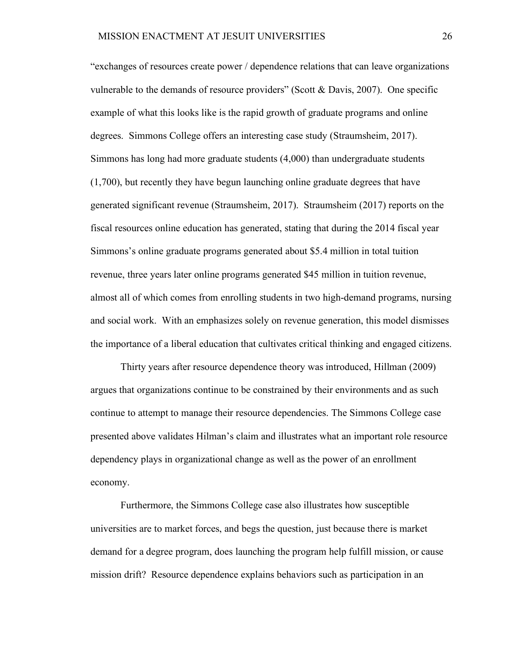"exchanges of resources create power / dependence relations that can leave organizations vulnerable to the demands of resource providers" (Scott & Davis, 2007). One specific example of what this looks like is the rapid growth of graduate programs and online degrees. Simmons College offers an interesting case study (Straumsheim, 2017). Simmons has long had more graduate students (4,000) than undergraduate students (1,700), but recently they have begun launching online graduate degrees that have generated significant revenue (Straumsheim, 2017). Straumsheim (2017) reports on the fiscal resources online education has generated, stating that during the 2014 fiscal year Simmons's online graduate programs generated about \$5.4 million in total tuition revenue, three years later online programs generated \$45 million in tuition revenue, almost all of which comes from enrolling students in two high-demand programs, nursing and social work. With an emphasizes solely on revenue generation, this model dismisses the importance of a liberal education that cultivates critical thinking and engaged citizens.

Thirty years after resource dependence theory was introduced, Hillman (2009) argues that organizations continue to be constrained by their environments and as such continue to attempt to manage their resource dependencies. The Simmons College case presented above validates Hilman's claim and illustrates what an important role resource dependency plays in organizational change as well as the power of an enrollment economy.

Furthermore, the Simmons College case also illustrates how susceptible universities are to market forces, and begs the question, just because there is market demand for a degree program, does launching the program help fulfill mission, or cause mission drift? Resource dependence explains behaviors such as participation in an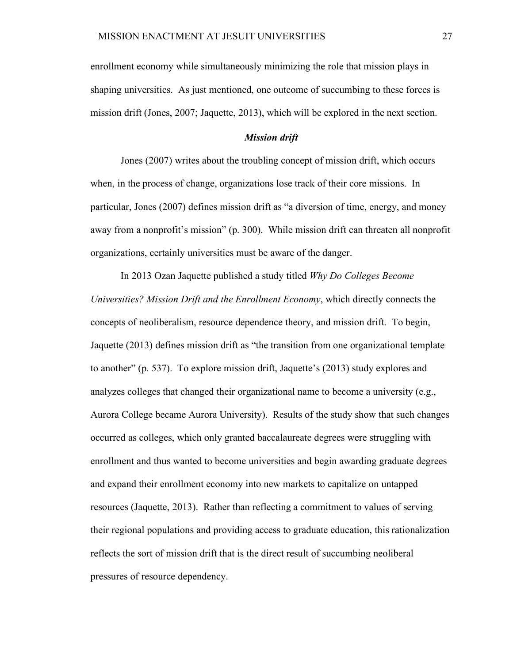enrollment economy while simultaneously minimizing the role that mission plays in shaping universities. As just mentioned, one outcome of succumbing to these forces is mission drift (Jones, 2007; Jaquette, 2013), which will be explored in the next section.

#### *Mission drift*

Jones (2007) writes about the troubling concept of mission drift, which occurs when, in the process of change, organizations lose track of their core missions. In particular, Jones (2007) defines mission drift as "a diversion of time, energy, and money away from a nonprofit's mission" (p. 300). While mission drift can threaten all nonprofit organizations, certainly universities must be aware of the danger.

In 2013 Ozan Jaquette published a study titled *Why Do Colleges Become Universities? Mission Drift and the Enrollment Economy*, which directly connects the concepts of neoliberalism, resource dependence theory, and mission drift. To begin, Jaquette (2013) defines mission drift as "the transition from one organizational template to another" (p. 537). To explore mission drift, Jaquette's (2013) study explores and analyzes colleges that changed their organizational name to become a university (e.g., Aurora College became Aurora University). Results of the study show that such changes occurred as colleges, which only granted baccalaureate degrees were struggling with enrollment and thus wanted to become universities and begin awarding graduate degrees and expand their enrollment economy into new markets to capitalize on untapped resources (Jaquette, 2013). Rather than reflecting a commitment to values of serving their regional populations and providing access to graduate education, this rationalization reflects the sort of mission drift that is the direct result of succumbing neoliberal pressures of resource dependency.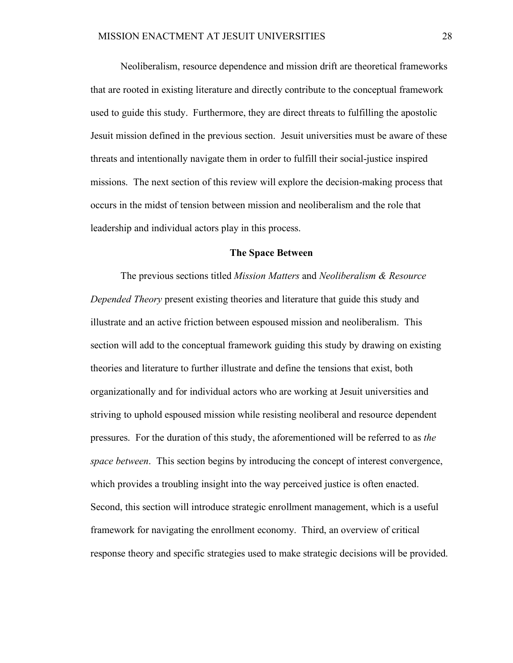Neoliberalism, resource dependence and mission drift are theoretical frameworks that are rooted in existing literature and directly contribute to the conceptual framework used to guide this study. Furthermore, they are direct threats to fulfilling the apostolic Jesuit mission defined in the previous section. Jesuit universities must be aware of these threats and intentionally navigate them in order to fulfill their social-justice inspired missions. The next section of this review will explore the decision-making process that occurs in the midst of tension between mission and neoliberalism and the role that leadership and individual actors play in this process.

#### **The Space Between**

The previous sections titled *Mission Matters* and *Neoliberalism & Resource Depended Theory* present existing theories and literature that guide this study and illustrate and an active friction between espoused mission and neoliberalism. This section will add to the conceptual framework guiding this study by drawing on existing theories and literature to further illustrate and define the tensions that exist, both organizationally and for individual actors who are working at Jesuit universities and striving to uphold espoused mission while resisting neoliberal and resource dependent pressures. For the duration of this study, the aforementioned will be referred to as *the space between*. This section begins by introducing the concept of interest convergence, which provides a troubling insight into the way perceived justice is often enacted. Second, this section will introduce strategic enrollment management, which is a useful framework for navigating the enrollment economy. Third, an overview of critical response theory and specific strategies used to make strategic decisions will be provided.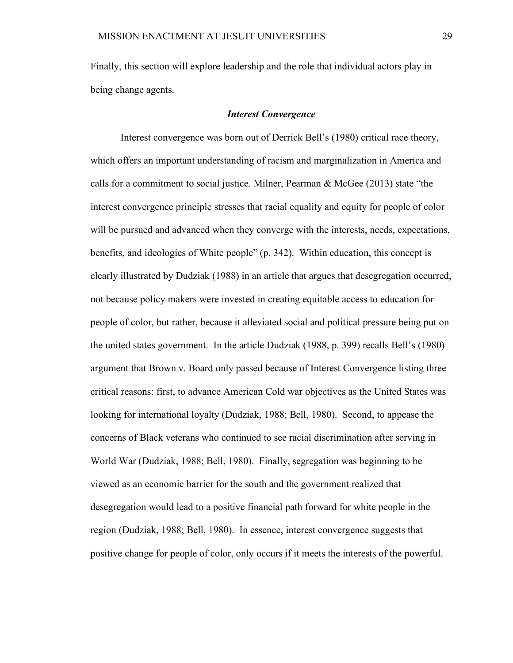Finally, this section will explore leadership and the role that individual actors play in being change agents.

#### *Interest Convergence*

Interest convergence was born out of Derrick Bell's (1980) critical race theory, which offers an important understanding of racism and marginalization in America and calls for a commitment to social justice. Milner, Pearman & McGee (2013) state "the interest convergence principle stresses that racial equality and equity for people of color will be pursued and advanced when they converge with the interests, needs, expectations, benefits, and ideologies of White people" (p. 342). Within education, this concept is clearly illustrated by Dudziak (1988) in an article that argues that desegregation occurred, not because policy makers were invested in creating equitable access to education for people of color, but rather, because it alleviated social and political pressure being put on the united states government. In the article Dudziak (1988, p. 399) recalls Bell's (1980) argument that Brown v. Board only passed because of Interest Convergence listing three critical reasons: first, to advance American Cold war objectives as the United States was looking for international loyalty (Dudziak, 1988; Bell, 1980). Second, to appease the concerns of Black veterans who continued to see racial discrimination after serving in World War (Dudziak, 1988; Bell, 1980). Finally, segregation was beginning to be viewed as an economic barrier for the south and the government realized that desegregation would lead to a positive financial path forward for white people in the region (Dudziak, 1988; Bell, 1980). In essence, interest convergence suggests that positive change for people of color, only occurs if it meets the interests of the powerful.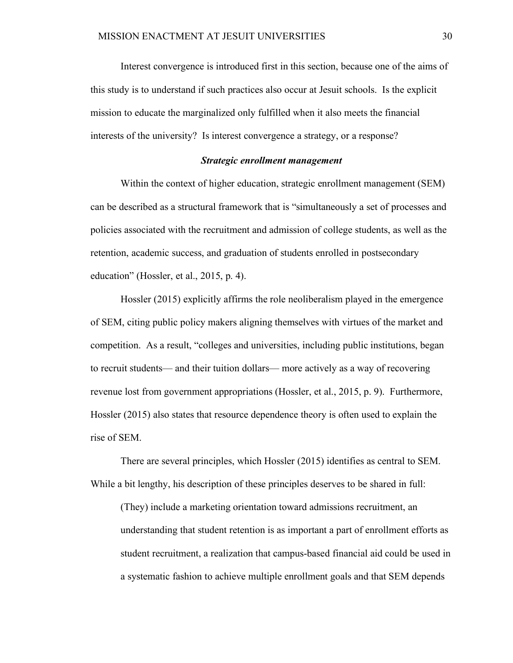Interest convergence is introduced first in this section, because one of the aims of this study is to understand if such practices also occur at Jesuit schools. Is the explicit mission to educate the marginalized only fulfilled when it also meets the financial interests of the university? Is interest convergence a strategy, or a response?

### *Strategic enrollment management*

Within the context of higher education, strategic enrollment management (SEM) can be described as a structural framework that is "simultaneously a set of processes and policies associated with the recruitment and admission of college students, as well as the retention, academic success, and graduation of students enrolled in postsecondary education" (Hossler, et al., 2015, p. 4).

Hossler (2015) explicitly affirms the role neoliberalism played in the emergence of SEM, citing public policy makers aligning themselves with virtues of the market and competition. As a result, "colleges and universities, including public institutions, began to recruit students— and their tuition dollars— more actively as a way of recovering revenue lost from government appropriations (Hossler, et al., 2015, p. 9). Furthermore, Hossler (2015) also states that resource dependence theory is often used to explain the rise of SEM.

There are several principles, which Hossler (2015) identifies as central to SEM. While a bit lengthy, his description of these principles deserves to be shared in full:

(They) include a marketing orientation toward admissions recruitment, an understanding that student retention is as important a part of enrollment efforts as student recruitment, a realization that campus-based financial aid could be used in a systematic fashion to achieve multiple enrollment goals and that SEM depends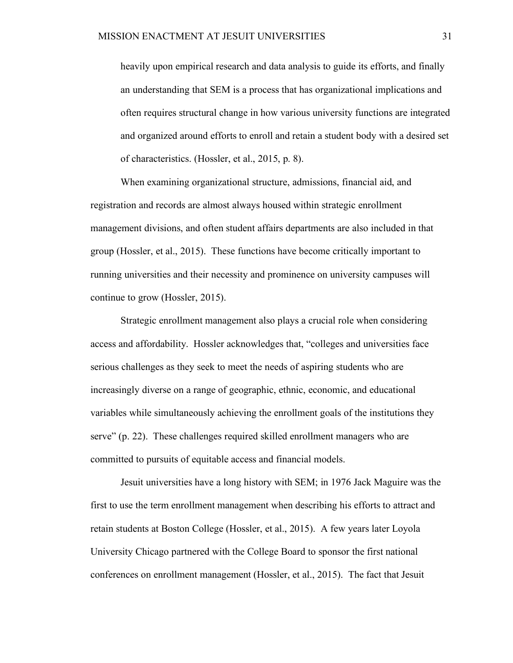heavily upon empirical research and data analysis to guide its efforts, and finally an understanding that SEM is a process that has organizational implications and often requires structural change in how various university functions are integrated and organized around efforts to enroll and retain a student body with a desired set of characteristics. (Hossler, et al., 2015, p. 8).

When examining organizational structure, admissions, financial aid, and registration and records are almost always housed within strategic enrollment management divisions, and often student affairs departments are also included in that group (Hossler, et al., 2015). These functions have become critically important to running universities and their necessity and prominence on university campuses will continue to grow (Hossler, 2015).

Strategic enrollment management also plays a crucial role when considering access and affordability. Hossler acknowledges that, "colleges and universities face serious challenges as they seek to meet the needs of aspiring students who are increasingly diverse on a range of geographic, ethnic, economic, and educational variables while simultaneously achieving the enrollment goals of the institutions they serve" (p. 22). These challenges required skilled enrollment managers who are committed to pursuits of equitable access and financial models.

Jesuit universities have a long history with SEM; in 1976 Jack Maguire was the first to use the term enrollment management when describing his efforts to attract and retain students at Boston College (Hossler, et al., 2015). A few years later Loyola University Chicago partnered with the College Board to sponsor the first national conferences on enrollment management (Hossler, et al., 2015). The fact that Jesuit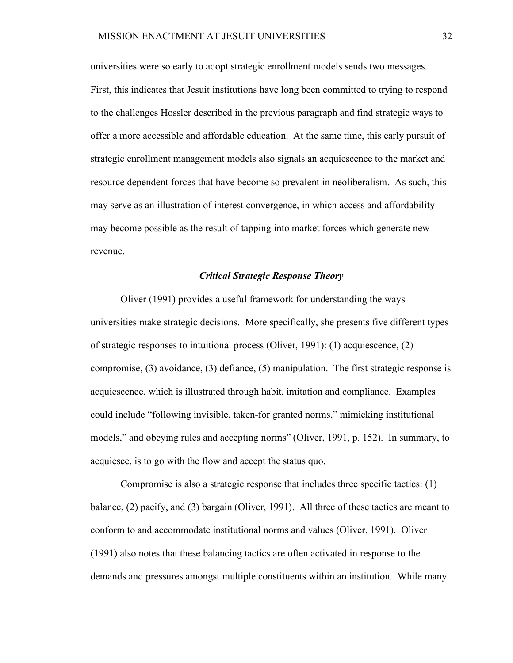universities were so early to adopt strategic enrollment models sends two messages. First, this indicates that Jesuit institutions have long been committed to trying to respond to the challenges Hossler described in the previous paragraph and find strategic ways to offer a more accessible and affordable education. At the same time, this early pursuit of strategic enrollment management models also signals an acquiescence to the market and resource dependent forces that have become so prevalent in neoliberalism. As such, this may serve as an illustration of interest convergence, in which access and affordability may become possible as the result of tapping into market forces which generate new revenue.

### *Critical Strategic Response Theory*

Oliver (1991) provides a useful framework for understanding the ways universities make strategic decisions. More specifically, she presents five different types of strategic responses to intuitional process (Oliver, 1991): (1) acquiescence, (2) compromise, (3) avoidance, (3) defiance, (5) manipulation. The first strategic response is acquiescence, which is illustrated through habit, imitation and compliance. Examples could include "following invisible, taken-for granted norms," mimicking institutional models," and obeying rules and accepting norms" (Oliver, 1991, p. 152). In summary, to acquiesce, is to go with the flow and accept the status quo.

Compromise is also a strategic response that includes three specific tactics: (1) balance, (2) pacify, and (3) bargain (Oliver, 1991). All three of these tactics are meant to conform to and accommodate institutional norms and values (Oliver, 1991). Oliver (1991) also notes that these balancing tactics are often activated in response to the demands and pressures amongst multiple constituents within an institution. While many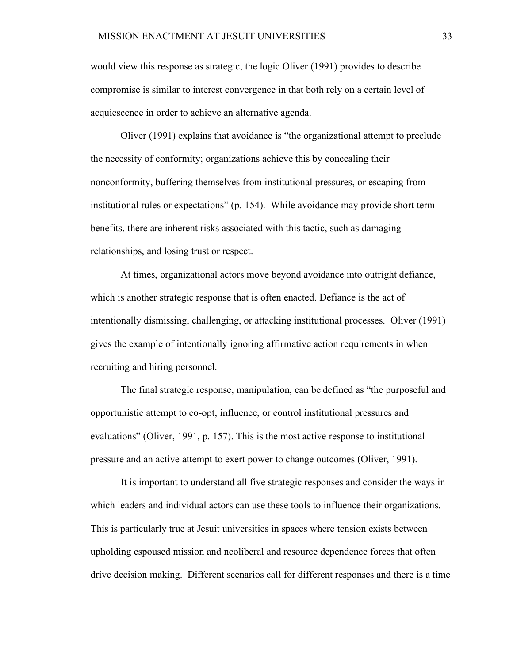would view this response as strategic, the logic Oliver (1991) provides to describe compromise is similar to interest convergence in that both rely on a certain level of acquiescence in order to achieve an alternative agenda.

Oliver (1991) explains that avoidance is "the organizational attempt to preclude the necessity of conformity; organizations achieve this by concealing their nonconformity, buffering themselves from institutional pressures, or escaping from institutional rules or expectations" (p. 154). While avoidance may provide short term benefits, there are inherent risks associated with this tactic, such as damaging relationships, and losing trust or respect.

At times, organizational actors move beyond avoidance into outright defiance, which is another strategic response that is often enacted. Defiance is the act of intentionally dismissing, challenging, or attacking institutional processes. Oliver (1991) gives the example of intentionally ignoring affirmative action requirements in when recruiting and hiring personnel.

The final strategic response, manipulation, can be defined as "the purposeful and opportunistic attempt to co-opt, influence, or control institutional pressures and evaluations" (Oliver, 1991, p. 157). This is the most active response to institutional pressure and an active attempt to exert power to change outcomes (Oliver, 1991).

It is important to understand all five strategic responses and consider the ways in which leaders and individual actors can use these tools to influence their organizations. This is particularly true at Jesuit universities in spaces where tension exists between upholding espoused mission and neoliberal and resource dependence forces that often drive decision making. Different scenarios call for different responses and there is a time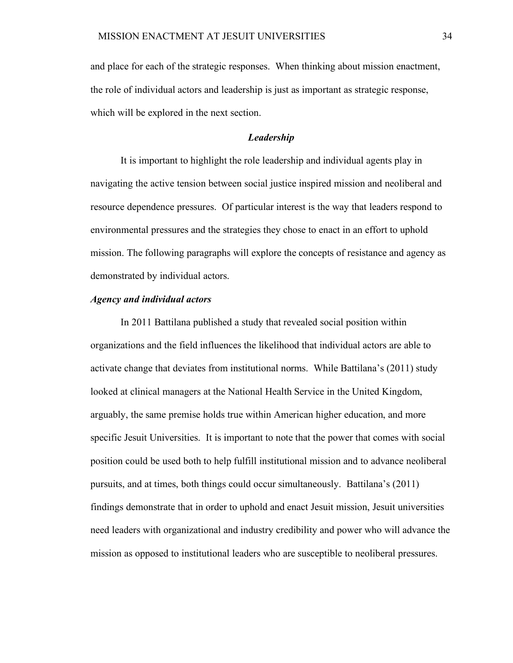and place for each of the strategic responses. When thinking about mission enactment, the role of individual actors and leadership is just as important as strategic response, which will be explored in the next section.

#### *Leadership*

It is important to highlight the role leadership and individual agents play in navigating the active tension between social justice inspired mission and neoliberal and resource dependence pressures. Of particular interest is the way that leaders respond to environmental pressures and the strategies they chose to enact in an effort to uphold mission. The following paragraphs will explore the concepts of resistance and agency as demonstrated by individual actors.

# *Agency and individual actors*

In 2011 Battilana published a study that revealed social position within organizations and the field influences the likelihood that individual actors are able to activate change that deviates from institutional norms. While Battilana's (2011) study looked at clinical managers at the National Health Service in the United Kingdom, arguably, the same premise holds true within American higher education, and more specific Jesuit Universities. It is important to note that the power that comes with social position could be used both to help fulfill institutional mission and to advance neoliberal pursuits, and at times, both things could occur simultaneously. Battilana's (2011) findings demonstrate that in order to uphold and enact Jesuit mission, Jesuit universities need leaders with organizational and industry credibility and power who will advance the mission as opposed to institutional leaders who are susceptible to neoliberal pressures.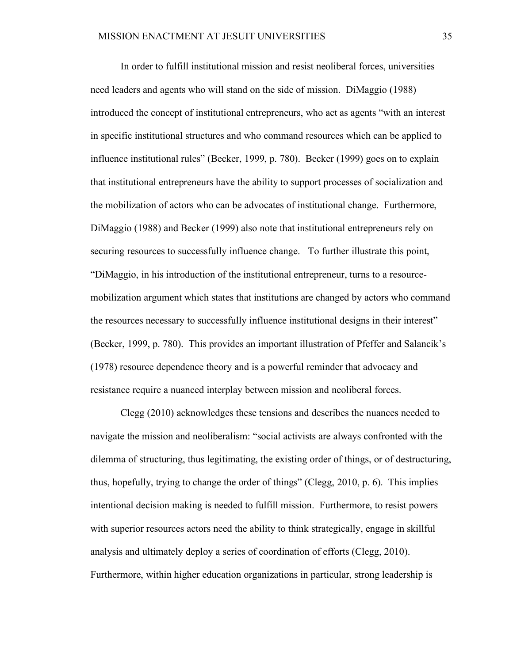In order to fulfill institutional mission and resist neoliberal forces, universities need leaders and agents who will stand on the side of mission. DiMaggio (1988) introduced the concept of institutional entrepreneurs, who act as agents "with an interest in specific institutional structures and who command resources which can be applied to influence institutional rules" (Becker, 1999, p. 780). Becker (1999) goes on to explain that institutional entrepreneurs have the ability to support processes of socialization and the mobilization of actors who can be advocates of institutional change. Furthermore, DiMaggio (1988) and Becker (1999) also note that institutional entrepreneurs rely on securing resources to successfully influence change. To further illustrate this point, "DiMaggio, in his introduction of the institutional entrepreneur, turns to a resourcemobilization argument which states that institutions are changed by actors who command the resources necessary to successfully influence institutional designs in their interest" (Becker, 1999, p. 780). This provides an important illustration of Pfeffer and Salancik's (1978) resource dependence theory and is a powerful reminder that advocacy and resistance require a nuanced interplay between mission and neoliberal forces.

Clegg (2010) acknowledges these tensions and describes the nuances needed to navigate the mission and neoliberalism: "social activists are always confronted with the dilemma of structuring, thus legitimating, the existing order of things, or of destructuring, thus, hopefully, trying to change the order of things" (Clegg, 2010, p. 6). This implies intentional decision making is needed to fulfill mission. Furthermore, to resist powers with superior resources actors need the ability to think strategically, engage in skillful analysis and ultimately deploy a series of coordination of efforts (Clegg, 2010). Furthermore, within higher education organizations in particular, strong leadership is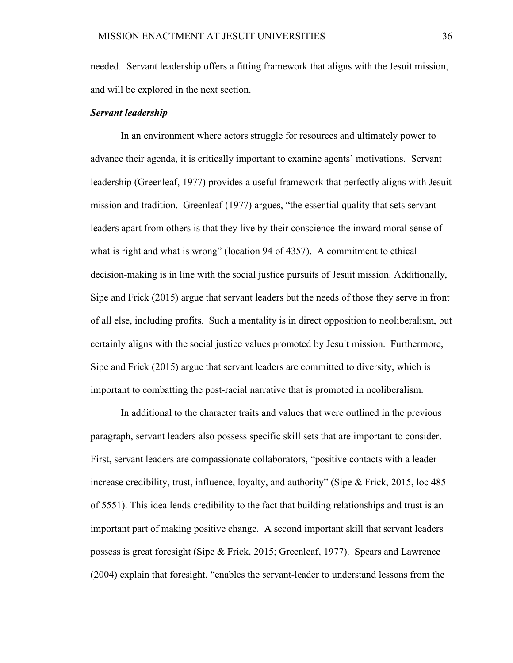needed. Servant leadership offers a fitting framework that aligns with the Jesuit mission, and will be explored in the next section.

#### *Servant leadership*

In an environment where actors struggle for resources and ultimately power to advance their agenda, it is critically important to examine agents' motivations. Servant leadership (Greenleaf, 1977) provides a useful framework that perfectly aligns with Jesuit mission and tradition. Greenleaf (1977) argues, "the essential quality that sets servantleaders apart from others is that they live by their conscience-the inward moral sense of what is right and what is wrong" (location 94 of 4357). A commitment to ethical decision-making is in line with the social justice pursuits of Jesuit mission. Additionally, Sipe and Frick (2015) argue that servant leaders but the needs of those they serve in front of all else, including profits. Such a mentality is in direct opposition to neoliberalism, but certainly aligns with the social justice values promoted by Jesuit mission. Furthermore, Sipe and Frick (2015) argue that servant leaders are committed to diversity, which is important to combatting the post-racial narrative that is promoted in neoliberalism.

In additional to the character traits and values that were outlined in the previous paragraph, servant leaders also possess specific skill sets that are important to consider. First, servant leaders are compassionate collaborators, "positive contacts with a leader increase credibility, trust, influence, loyalty, and authority" (Sipe & Frick, 2015, loc 485 of 5551). This idea lends credibility to the fact that building relationships and trust is an important part of making positive change. A second important skill that servant leaders possess is great foresight (Sipe & Frick, 2015; Greenleaf, 1977). Spears and Lawrence (2004) explain that foresight, "enables the servant-leader to understand lessons from the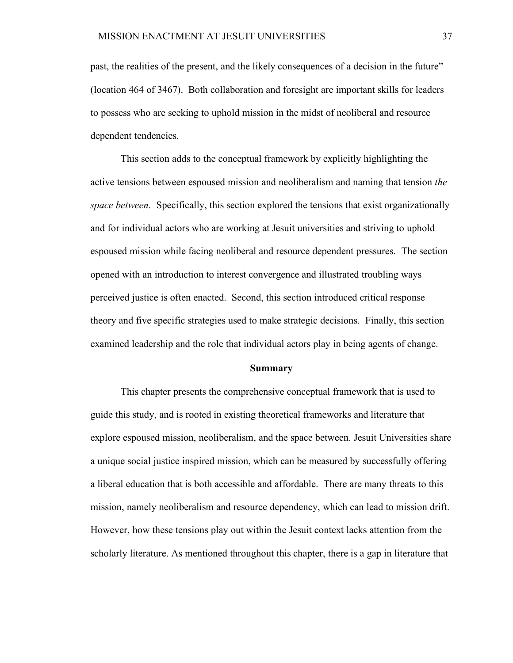past, the realities of the present, and the likely consequences of a decision in the future" (location 464 of 3467). Both collaboration and foresight are important skills for leaders to possess who are seeking to uphold mission in the midst of neoliberal and resource dependent tendencies.

This section adds to the conceptual framework by explicitly highlighting the active tensions between espoused mission and neoliberalism and naming that tension *the space between*. Specifically, this section explored the tensions that exist organizationally and for individual actors who are working at Jesuit universities and striving to uphold espoused mission while facing neoliberal and resource dependent pressures. The section opened with an introduction to interest convergence and illustrated troubling ways perceived justice is often enacted. Second, this section introduced critical response theory and five specific strategies used to make strategic decisions. Finally, this section examined leadership and the role that individual actors play in being agents of change.

#### **Summary**

This chapter presents the comprehensive conceptual framework that is used to guide this study, and is rooted in existing theoretical frameworks and literature that explore espoused mission, neoliberalism, and the space between. Jesuit Universities share a unique social justice inspired mission, which can be measured by successfully offering a liberal education that is both accessible and affordable. There are many threats to this mission, namely neoliberalism and resource dependency, which can lead to mission drift. However, how these tensions play out within the Jesuit context lacks attention from the scholarly literature. As mentioned throughout this chapter, there is a gap in literature that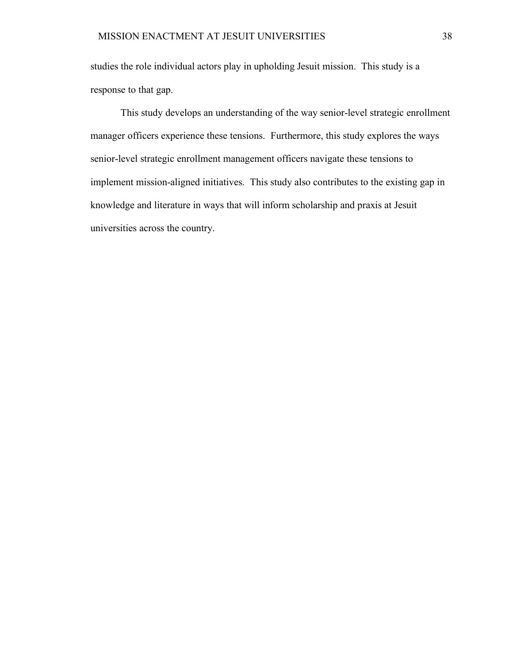studies the role individual actors play in upholding Jesuit mission. This study is a response to that gap.

This study develops an understanding of the way senior-level strategic enrollment manager officers experience these tensions. Furthermore, this study explores the ways senior-level strategic enrollment management officers navigate these tensions to implement mission-aligned initiatives. This study also contributes to the existing gap in knowledge and literature in ways that will inform scholarship and praxis at Jesuit universities across the country.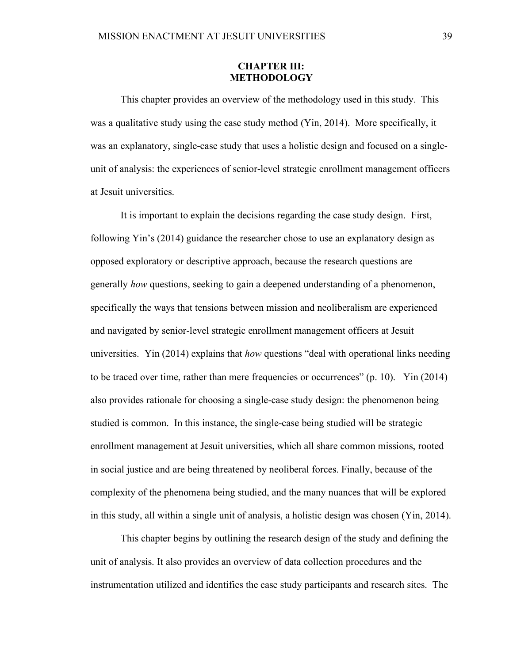### **CHAPTER III: METHODOLOGY**

This chapter provides an overview of the methodology used in this study. This was a qualitative study using the case study method (Yin, 2014). More specifically, it was an explanatory, single-case study that uses a holistic design and focused on a singleunit of analysis: the experiences of senior-level strategic enrollment management officers at Jesuit universities.

It is important to explain the decisions regarding the case study design. First, following Yin's (2014) guidance the researcher chose to use an explanatory design as opposed exploratory or descriptive approach, because the research questions are generally *how* questions, seeking to gain a deepened understanding of a phenomenon, specifically the ways that tensions between mission and neoliberalism are experienced and navigated by senior-level strategic enrollment management officers at Jesuit universities. Yin (2014) explains that *how* questions "deal with operational links needing to be traced over time, rather than mere frequencies or occurrences" (p. 10). Yin (2014) also provides rationale for choosing a single-case study design: the phenomenon being studied is common. In this instance, the single-case being studied will be strategic enrollment management at Jesuit universities, which all share common missions, rooted in social justice and are being threatened by neoliberal forces. Finally, because of the complexity of the phenomena being studied, and the many nuances that will be explored in this study, all within a single unit of analysis, a holistic design was chosen (Yin, 2014).

This chapter begins by outlining the research design of the study and defining the unit of analysis. It also provides an overview of data collection procedures and the instrumentation utilized and identifies the case study participants and research sites. The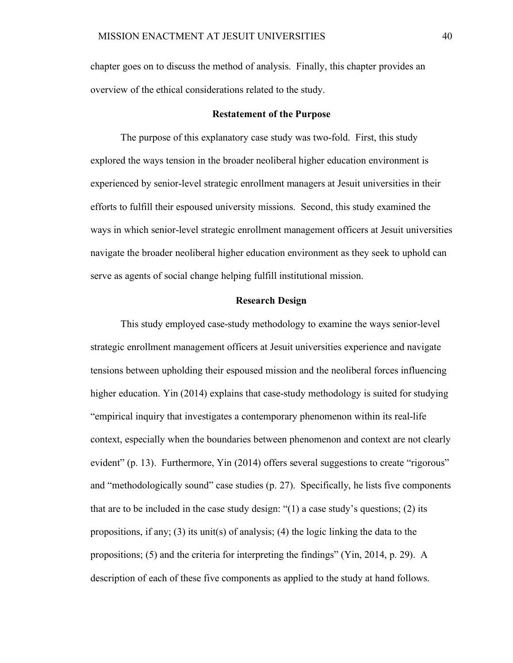chapter goes on to discuss the method of analysis. Finally, this chapter provides an overview of the ethical considerations related to the study.

#### **Restatement of the Purpose**

The purpose of this explanatory case study was two-fold. First, this study explored the ways tension in the broader neoliberal higher education environment is experienced by senior-level strategic enrollment managers at Jesuit universities in their efforts to fulfill their espoused university missions. Second, this study examined the ways in which senior-level strategic enrollment management officers at Jesuit universities navigate the broader neoliberal higher education environment as they seek to uphold can serve as agents of social change helping fulfill institutional mission.

# **Research Design**

This study employed case-study methodology to examine the ways senior-level strategic enrollment management officers at Jesuit universities experience and navigate tensions between upholding their espoused mission and the neoliberal forces influencing higher education. Yin (2014) explains that case-study methodology is suited for studying "empirical inquiry that investigates a contemporary phenomenon within its real-life context, especially when the boundaries between phenomenon and context are not clearly evident" (p. 13). Furthermore, Yin (2014) offers several suggestions to create "rigorous" and "methodologically sound" case studies (p. 27). Specifically, he lists five components that are to be included in the case study design: "(1) a case study's questions; (2) its propositions, if any; (3) its unit(s) of analysis; (4) the logic linking the data to the propositions; (5) and the criteria for interpreting the findings" (Yin, 2014, p. 29). A description of each of these five components as applied to the study at hand follows.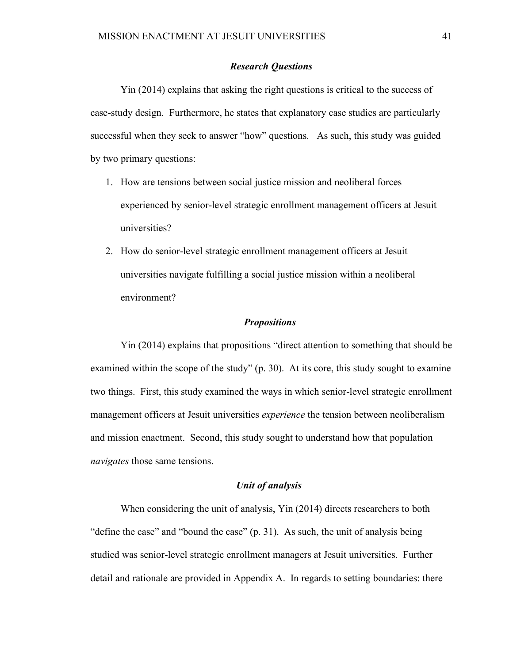### *Research Questions*

Yin (2014) explains that asking the right questions is critical to the success of case-study design. Furthermore, he states that explanatory case studies are particularly successful when they seek to answer "how" questions. As such, this study was guided by two primary questions:

- 1. How are tensions between social justice mission and neoliberal forces experienced by senior-level strategic enrollment management officers at Jesuit universities?
- 2. How do senior-level strategic enrollment management officers at Jesuit universities navigate fulfilling a social justice mission within a neoliberal environment?

### *Propositions*

Yin (2014) explains that propositions "direct attention to something that should be examined within the scope of the study" (p. 30). At its core, this study sought to examine two things. First, this study examined the ways in which senior-level strategic enrollment management officers at Jesuit universities *experience* the tension between neoliberalism and mission enactment. Second, this study sought to understand how that population *navigates* those same tensions.

### *Unit of analysis*

When considering the unit of analysis, Yin (2014) directs researchers to both "define the case" and "bound the case" (p. 31). As such, the unit of analysis being studied was senior-level strategic enrollment managers at Jesuit universities. Further detail and rationale are provided in Appendix A. In regards to setting boundaries: there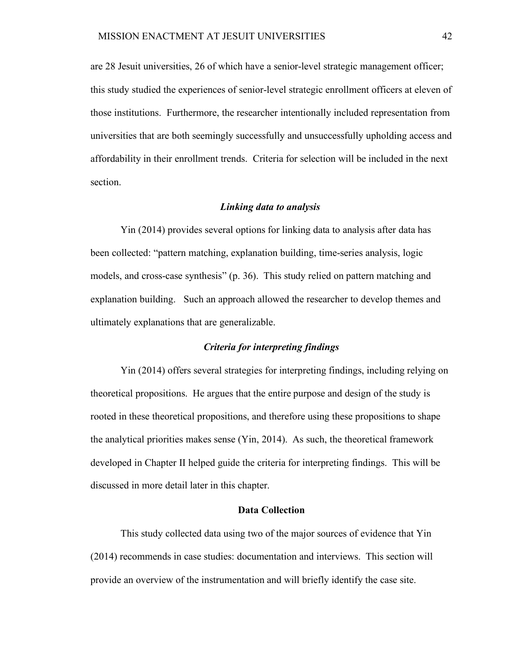are 28 Jesuit universities, 26 of which have a senior-level strategic management officer; this study studied the experiences of senior-level strategic enrollment officers at eleven of those institutions. Furthermore, the researcher intentionally included representation from universities that are both seemingly successfully and unsuccessfully upholding access and affordability in their enrollment trends. Criteria for selection will be included in the next section.

#### *Linking data to analysis*

Yin (2014) provides several options for linking data to analysis after data has been collected: "pattern matching, explanation building, time-series analysis, logic models, and cross-case synthesis" (p. 36). This study relied on pattern matching and explanation building. Such an approach allowed the researcher to develop themes and ultimately explanations that are generalizable.

# *Criteria for interpreting findings*

Yin (2014) offers several strategies for interpreting findings, including relying on theoretical propositions. He argues that the entire purpose and design of the study is rooted in these theoretical propositions, and therefore using these propositions to shape the analytical priorities makes sense (Yin, 2014). As such, the theoretical framework developed in Chapter II helped guide the criteria for interpreting findings. This will be discussed in more detail later in this chapter.

### **Data Collection**

This study collected data using two of the major sources of evidence that Yin (2014) recommends in case studies: documentation and interviews. This section will provide an overview of the instrumentation and will briefly identify the case site.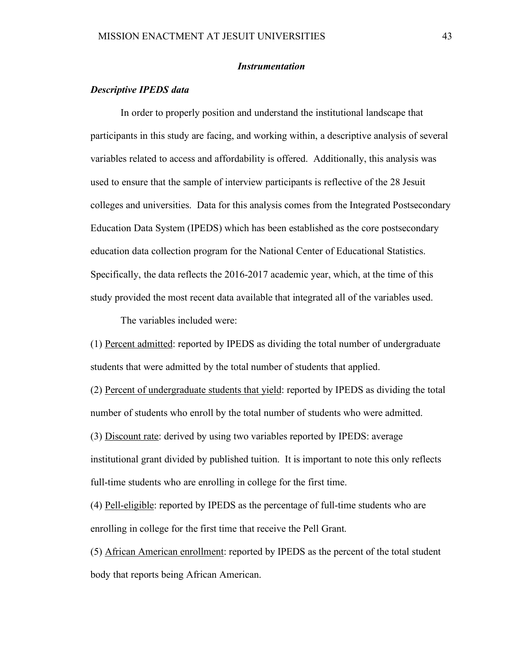#### *Instrumentation*

# *Descriptive IPEDS data*

In order to properly position and understand the institutional landscape that participants in this study are facing, and working within, a descriptive analysis of several variables related to access and affordability is offered. Additionally, this analysis was used to ensure that the sample of interview participants is reflective of the 28 Jesuit colleges and universities. Data for this analysis comes from the Integrated Postsecondary Education Data System (IPEDS) which has been established as the core postsecondary education data collection program for the National Center of Educational Statistics. Specifically, the data reflects the 2016-2017 academic year, which, at the time of this study provided the most recent data available that integrated all of the variables used.

The variables included were:

(1) Percent admitted: reported by IPEDS as dividing the total number of undergraduate students that were admitted by the total number of students that applied.

(2) Percent of undergraduate students that yield: reported by IPEDS as dividing the total number of students who enroll by the total number of students who were admitted.

(3) Discount rate: derived by using two variables reported by IPEDS: average

institutional grant divided by published tuition. It is important to note this only reflects full-time students who are enrolling in college for the first time.

(4) Pell-eligible: reported by IPEDS as the percentage of full-time students who are enrolling in college for the first time that receive the Pell Grant.

(5) African American enrollment: reported by IPEDS as the percent of the total student body that reports being African American.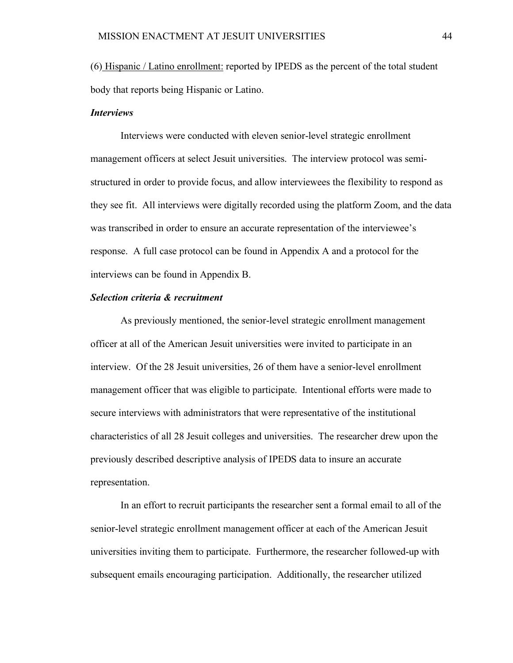(6) Hispanic / Latino enrollment: reported by IPEDS as the percent of the total student body that reports being Hispanic or Latino.

### *Interviews*

Interviews were conducted with eleven senior-level strategic enrollment management officers at select Jesuit universities. The interview protocol was semistructured in order to provide focus, and allow interviewees the flexibility to respond as they see fit. All interviews were digitally recorded using the platform Zoom, and the data was transcribed in order to ensure an accurate representation of the interviewee's response. A full case protocol can be found in Appendix A and a protocol for the interviews can be found in Appendix B.

#### *Selection criteria & recruitment*

As previously mentioned, the senior-level strategic enrollment management officer at all of the American Jesuit universities were invited to participate in an interview. Of the 28 Jesuit universities, 26 of them have a senior-level enrollment management officer that was eligible to participate. Intentional efforts were made to secure interviews with administrators that were representative of the institutional characteristics of all 28 Jesuit colleges and universities. The researcher drew upon the previously described descriptive analysis of IPEDS data to insure an accurate representation.

 In an effort to recruit participants the researcher sent a formal email to all of the senior-level strategic enrollment management officer at each of the American Jesuit universities inviting them to participate. Furthermore, the researcher followed-up with subsequent emails encouraging participation. Additionally, the researcher utilized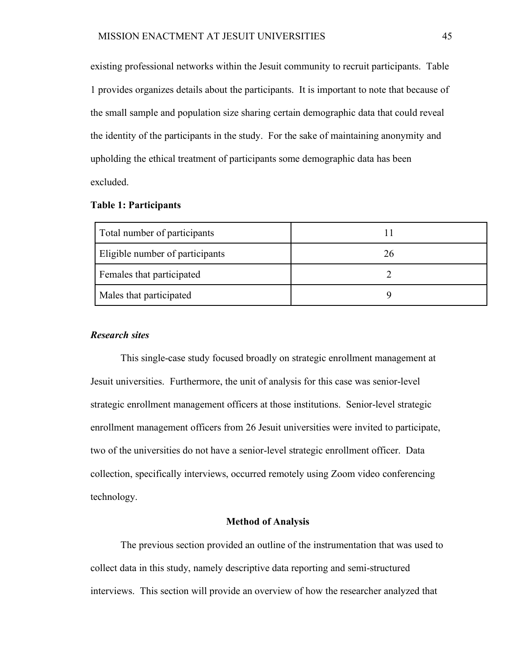existing professional networks within the Jesuit community to recruit participants. Table 1 provides organizes details about the participants. It is important to note that because of the small sample and population size sharing certain demographic data that could reveal the identity of the participants in the study. For the sake of maintaining anonymity and upholding the ethical treatment of participants some demographic data has been excluded.

# **Table 1: Participants**

| Total number of participants    |    |
|---------------------------------|----|
| Eligible number of participants | 26 |
| Females that participated       |    |
| Males that participated         |    |

### *Research sites*

This single-case study focused broadly on strategic enrollment management at Jesuit universities. Furthermore, the unit of analysis for this case was senior-level strategic enrollment management officers at those institutions. Senior-level strategic enrollment management officers from 26 Jesuit universities were invited to participate, two of the universities do not have a senior-level strategic enrollment officer. Data collection, specifically interviews, occurred remotely using Zoom video conferencing technology.

# **Method of Analysis**

The previous section provided an outline of the instrumentation that was used to collect data in this study, namely descriptive data reporting and semi-structured interviews. This section will provide an overview of how the researcher analyzed that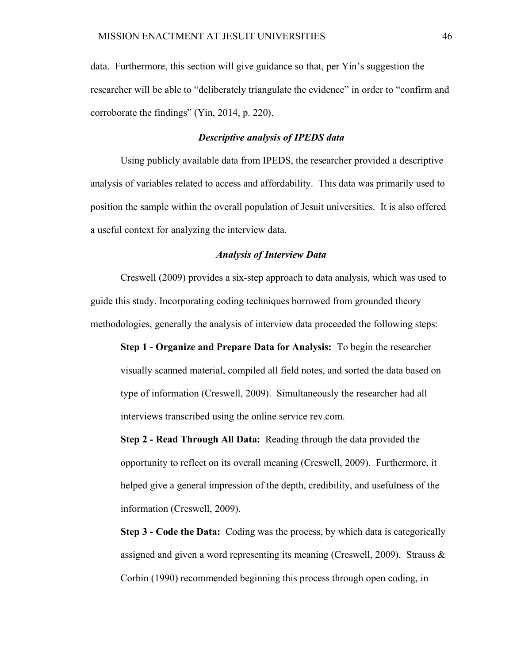data. Furthermore, this section will give guidance so that, per Yin's suggestion the researcher will be able to "deliberately triangulate the evidence" in order to "confirm and corroborate the findings" (Yin, 2014, p. 220).

#### *Descriptive analysis of IPEDS data*

Using publicly available data from IPEDS, the researcher provided a descriptive analysis of variables related to access and affordability. This data was primarily used to position the sample within the overall population of Jesuit universities. It is also offered a useful context for analyzing the interview data.

#### *Analysis of Interview Data*

Creswell (2009) provides a six-step approach to data analysis, which was used to guide this study. Incorporating coding techniques borrowed from grounded theory methodologies, generally the analysis of interview data proceeded the following steps:

**Step 1 - Organize and Prepare Data for Analysis:** To begin the researcher visually scanned material, compiled all field notes, and sorted the data based on type of information (Creswell, 2009). Simultaneously the researcher had all interviews transcribed using the online service rev.com.

**Step 2 - Read Through All Data:** Reading through the data provided the opportunity to reflect on its overall meaning (Creswell, 2009). Furthermore, it helped give a general impression of the depth, credibility, and usefulness of the information (Creswell, 2009).

**Step 3 - Code the Data:** Coding was the process, by which data is categorically assigned and given a word representing its meaning (Creswell, 2009). Strauss  $\&$ Corbin (1990) recommended beginning this process through open coding, in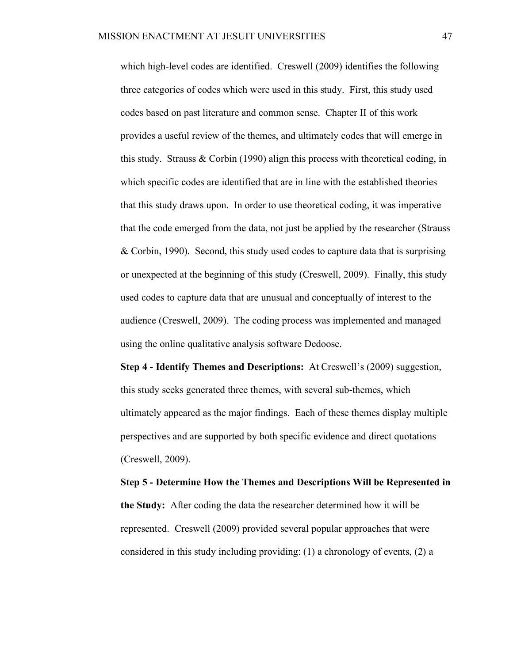which high-level codes are identified. Creswell (2009) identifies the following three categories of codes which were used in this study. First, this study used codes based on past literature and common sense. Chapter II of this work provides a useful review of the themes, and ultimately codes that will emerge in this study. Strauss & Corbin (1990) align this process with theoretical coding, in which specific codes are identified that are in line with the established theories that this study draws upon. In order to use theoretical coding, it was imperative that the code emerged from the data, not just be applied by the researcher (Strauss & Corbin, 1990). Second, this study used codes to capture data that is surprising or unexpected at the beginning of this study (Creswell, 2009). Finally, this study used codes to capture data that are unusual and conceptually of interest to the audience (Creswell, 2009). The coding process was implemented and managed using the online qualitative analysis software Dedoose.

**Step 4 - Identify Themes and Descriptions:** At Creswell's (2009) suggestion, this study seeks generated three themes, with several sub-themes, which ultimately appeared as the major findings. Each of these themes display multiple perspectives and are supported by both specific evidence and direct quotations (Creswell, 2009).

**Step 5 - Determine How the Themes and Descriptions Will be Represented in the Study:** After coding the data the researcher determined how it will be represented. Creswell (2009) provided several popular approaches that were considered in this study including providing: (1) a chronology of events, (2) a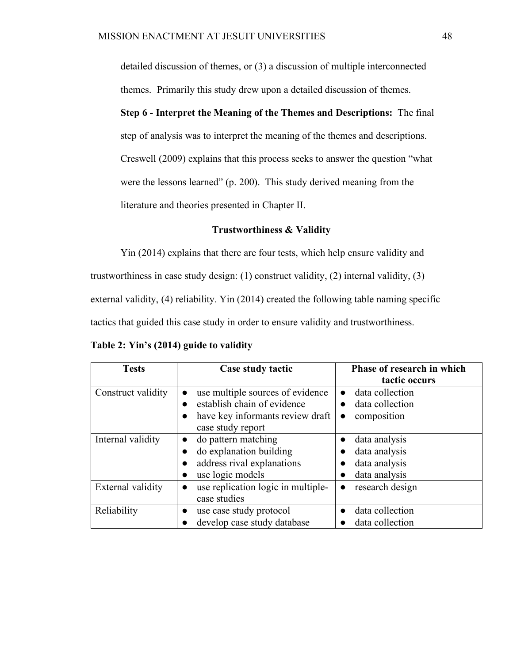detailed discussion of themes, or (3) a discussion of multiple interconnected themes. Primarily this study drew upon a detailed discussion of themes.

**Step 6 - Interpret the Meaning of the Themes and Descriptions:** The final step of analysis was to interpret the meaning of the themes and descriptions. Creswell (2009) explains that this process seeks to answer the question "what were the lessons learned" (p. 200). This study derived meaning from the literature and theories presented in Chapter II.

### **Trustworthiness & Validity**

Yin (2014) explains that there are four tests, which help ensure validity and trustworthiness in case study design: (1) construct validity, (2) internal validity, (3) external validity, (4) reliability. Yin (2014) created the following table naming specific tactics that guided this case study in order to ensure validity and trustworthiness.

**Table 2: Yin's (2014) guide to validity**

| <b>Tests</b>       | Case study tactic                               | Phase of research in which   |  |  |
|--------------------|-------------------------------------------------|------------------------------|--|--|
|                    |                                                 | tactic occurs                |  |  |
| Construct validity | use multiple sources of evidence<br>$\bullet$   | data collection<br>$\bullet$ |  |  |
|                    | establish chain of evidence                     | data collection<br>$\bullet$ |  |  |
|                    | have key informants review draft<br>$\bullet$   | composition<br>$\bullet$     |  |  |
|                    | case study report                               |                              |  |  |
| Internal validity  | do pattern matching<br>$\bullet$                | data analysis<br>$\bullet$   |  |  |
|                    | do explanation building<br>$\bullet$            | data analysis                |  |  |
|                    | address rival explanations                      | data analysis                |  |  |
|                    | use logic models                                | data analysis                |  |  |
| External validity  | use replication logic in multiple-<br>$\bullet$ | research design<br>●         |  |  |
|                    | case studies                                    |                              |  |  |
| Reliability        | use case study protocol<br>$\bullet$            | data collection<br>$\bullet$ |  |  |
|                    | develop case study database                     | data collection              |  |  |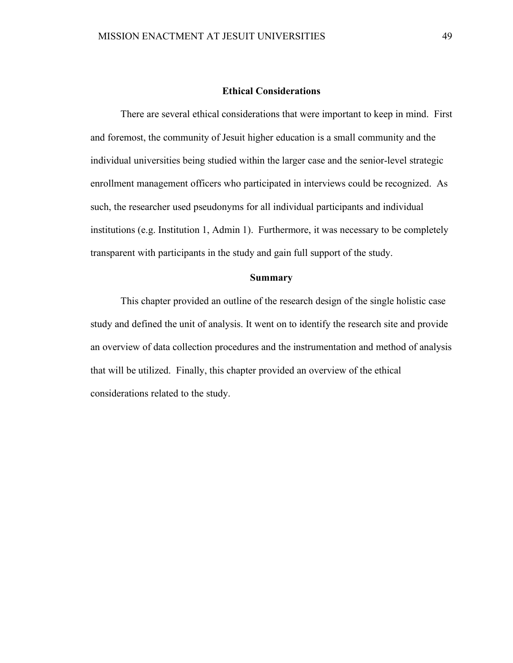#### **Ethical Considerations**

There are several ethical considerations that were important to keep in mind. First and foremost, the community of Jesuit higher education is a small community and the individual universities being studied within the larger case and the senior-level strategic enrollment management officers who participated in interviews could be recognized. As such, the researcher used pseudonyms for all individual participants and individual institutions (e.g. Institution 1, Admin 1). Furthermore, it was necessary to be completely transparent with participants in the study and gain full support of the study.

### **Summary**

This chapter provided an outline of the research design of the single holistic case study and defined the unit of analysis. It went on to identify the research site and provide an overview of data collection procedures and the instrumentation and method of analysis that will be utilized. Finally, this chapter provided an overview of the ethical considerations related to the study.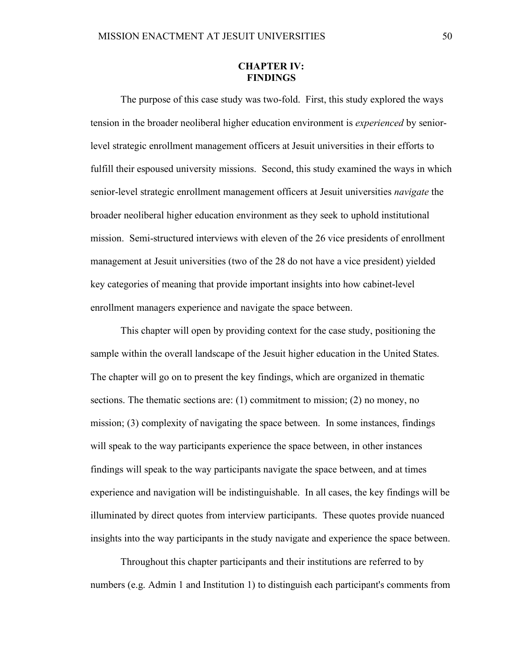### **CHAPTER IV: FINDINGS**

The purpose of this case study was two-fold. First, this study explored the ways tension in the broader neoliberal higher education environment is *experienced* by seniorlevel strategic enrollment management officers at Jesuit universities in their efforts to fulfill their espoused university missions. Second, this study examined the ways in which senior-level strategic enrollment management officers at Jesuit universities *navigate* the broader neoliberal higher education environment as they seek to uphold institutional mission. Semi-structured interviews with eleven of the 26 vice presidents of enrollment management at Jesuit universities (two of the 28 do not have a vice president) yielded key categories of meaning that provide important insights into how cabinet-level enrollment managers experience and navigate the space between.

This chapter will open by providing context for the case study, positioning the sample within the overall landscape of the Jesuit higher education in the United States. The chapter will go on to present the key findings, which are organized in thematic sections. The thematic sections are: (1) commitment to mission; (2) no money, no mission; (3) complexity of navigating the space between. In some instances, findings will speak to the way participants experience the space between, in other instances findings will speak to the way participants navigate the space between, and at times experience and navigation will be indistinguishable. In all cases, the key findings will be illuminated by direct quotes from interview participants. These quotes provide nuanced insights into the way participants in the study navigate and experience the space between.

Throughout this chapter participants and their institutions are referred to by numbers (e.g. Admin 1 and Institution 1) to distinguish each participant's comments from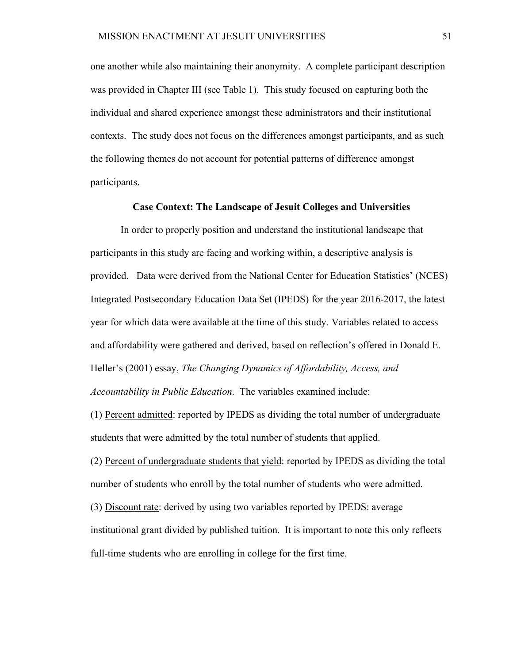one another while also maintaining their anonymity. A complete participant description was provided in Chapter III (see Table 1). This study focused on capturing both the individual and shared experience amongst these administrators and their institutional contexts. The study does not focus on the differences amongst participants, and as such the following themes do not account for potential patterns of difference amongst participants.

#### **Case Context: The Landscape of Jesuit Colleges and Universities**

In order to properly position and understand the institutional landscape that participants in this study are facing and working within, a descriptive analysis is provided. Data were derived from the National Center for Education Statistics' (NCES) Integrated Postsecondary Education Data Set (IPEDS) for the year 2016-2017, the latest year for which data were available at the time of this study. Variables related to access and affordability were gathered and derived, based on reflection's offered in Donald E. Heller's (2001) essay, *The Changing Dynamics of Affordability, Access, and Accountability in Public Education*. The variables examined include:

(1) Percent admitted: reported by IPEDS as dividing the total number of undergraduate students that were admitted by the total number of students that applied.

(2) Percent of undergraduate students that yield: reported by IPEDS as dividing the total number of students who enroll by the total number of students who were admitted.

(3) Discount rate: derived by using two variables reported by IPEDS: average institutional grant divided by published tuition. It is important to note this only reflects full-time students who are enrolling in college for the first time.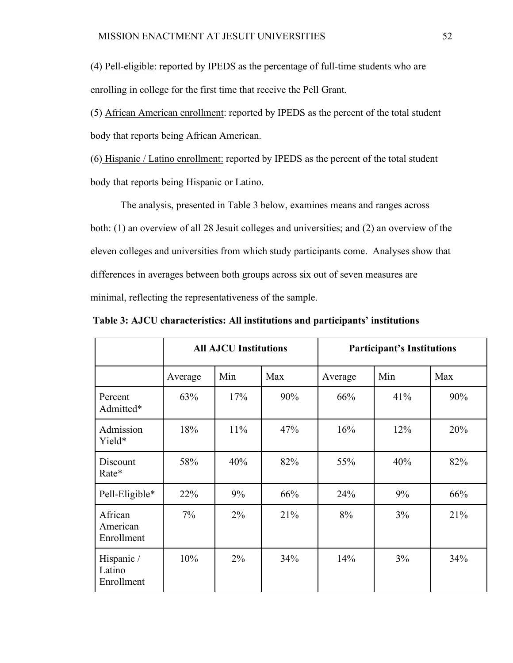(4) Pell-eligible: reported by IPEDS as the percentage of full-time students who are enrolling in college for the first time that receive the Pell Grant.

(5) African American enrollment: reported by IPEDS as the percent of the total student body that reports being African American.

(6) Hispanic / Latino enrollment: reported by IPEDS as the percent of the total student body that reports being Hispanic or Latino.

The analysis, presented in Table 3 below, examines means and ranges across both: (1) an overview of all 28 Jesuit colleges and universities; and (2) an overview of the eleven colleges and universities from which study participants come. Analyses show that differences in averages between both groups across six out of seven measures are minimal, reflecting the representativeness of the sample.

|                                    | <b>All AJCU Institutions</b> |       |     | <b>Participant's Institutions</b> |     |     |
|------------------------------------|------------------------------|-------|-----|-----------------------------------|-----|-----|
|                                    | Average                      | Min   | Max | Average                           | Min | Max |
| Percent<br>Admitted*               | 63%                          | 17%   | 90% | 66%                               | 41% | 90% |
| Admission<br>Yield*                | 18%                          | 11%   | 47% | 16%                               | 12% | 20% |
| Discount<br>Rate*                  | 58%                          | 40%   | 82% | 55%                               | 40% | 82% |
| Pell-Eligible*                     | 22%                          | 9%    | 66% | 24%                               | 9%  | 66% |
| African<br>American<br>Enrollment  | $7\%$                        | $2\%$ | 21% | 8%                                | 3%  | 21% |
| Hispanic /<br>Latino<br>Enrollment | 10%                          | $2\%$ | 34% | 14%                               | 3%  | 34% |

**Table 3: AJCU characteristics: All institutions and participants' institutions**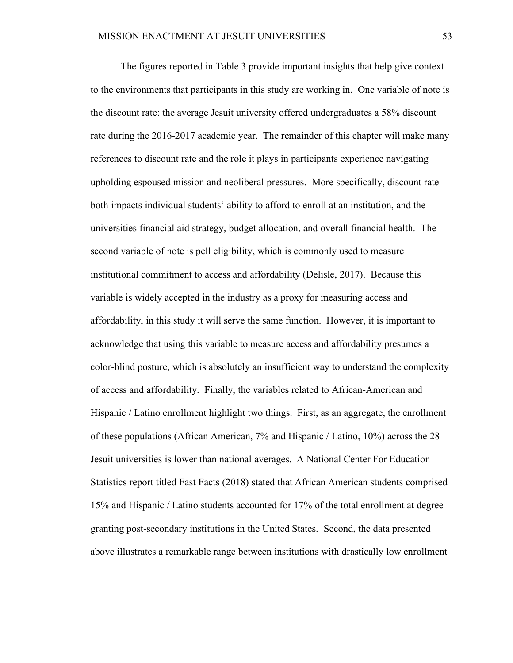The figures reported in Table 3 provide important insights that help give context to the environments that participants in this study are working in. One variable of note is the discount rate: the average Jesuit university offered undergraduates a 58% discount rate during the 2016-2017 academic year. The remainder of this chapter will make many references to discount rate and the role it plays in participants experience navigating upholding espoused mission and neoliberal pressures. More specifically, discount rate both impacts individual students' ability to afford to enroll at an institution, and the universities financial aid strategy, budget allocation, and overall financial health. The second variable of note is pell eligibility, which is commonly used to measure institutional commitment to access and affordability (Delisle, 2017). Because this variable is widely accepted in the industry as a proxy for measuring access and affordability, in this study it will serve the same function. However, it is important to acknowledge that using this variable to measure access and affordability presumes a color-blind posture, which is absolutely an insufficient way to understand the complexity of access and affordability. Finally, the variables related to African-American and Hispanic / Latino enrollment highlight two things. First, as an aggregate, the enrollment of these populations (African American, 7% and Hispanic / Latino, 10%) across the 28 Jesuit universities is lower than national averages. A National Center For Education Statistics report titled Fast Facts (2018) stated that African American students comprised 15% and Hispanic / Latino students accounted for 17% of the total enrollment at degree granting post-secondary institutions in the United States. Second, the data presented above illustrates a remarkable range between institutions with drastically low enrollment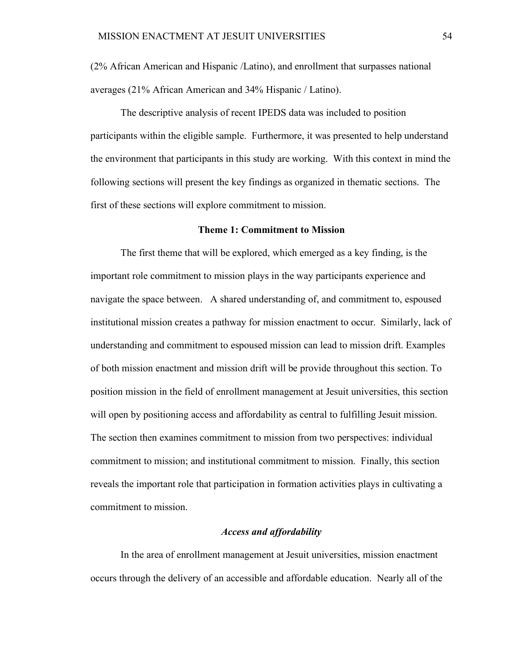(2% African American and Hispanic /Latino), and enrollment that surpasses national averages (21% African American and 34% Hispanic / Latino).

The descriptive analysis of recent IPEDS data was included to position participants within the eligible sample. Furthermore, it was presented to help understand the environment that participants in this study are working. With this context in mind the following sections will present the key findings as organized in thematic sections. The first of these sections will explore commitment to mission.

#### **Theme 1: Commitment to Mission**

The first theme that will be explored, which emerged as a key finding, is the important role commitment to mission plays in the way participants experience and navigate the space between. A shared understanding of, and commitment to, espoused institutional mission creates a pathway for mission enactment to occur. Similarly, lack of understanding and commitment to espoused mission can lead to mission drift. Examples of both mission enactment and mission drift will be provide throughout this section. To position mission in the field of enrollment management at Jesuit universities, this section will open by positioning access and affordability as central to fulfilling Jesuit mission. The section then examines commitment to mission from two perspectives: individual commitment to mission; and institutional commitment to mission. Finally, this section reveals the important role that participation in formation activities plays in cultivating a commitment to mission.

# *Access and affordability*

In the area of enrollment management at Jesuit universities, mission enactment occurs through the delivery of an accessible and affordable education. Nearly all of the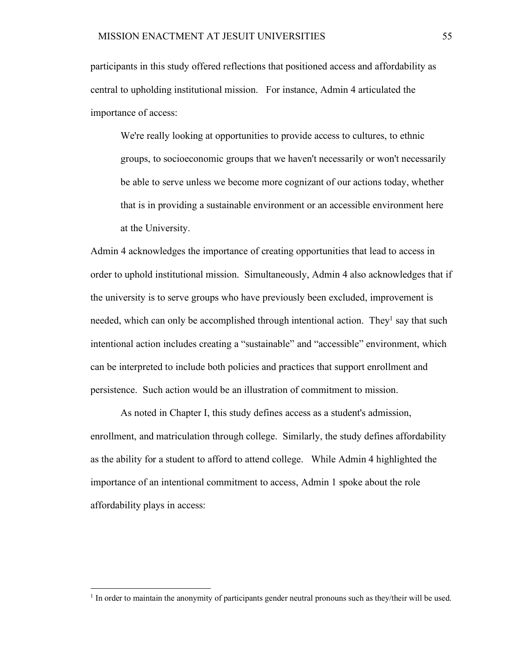participants in this study offered reflections that positioned access and affordability as central to upholding institutional mission. For instance, Admin 4 articulated the importance of access:

We're really looking at opportunities to provide access to cultures, to ethnic groups, to socioeconomic groups that we haven't necessarily or won't necessarily be able to serve unless we become more cognizant of our actions today, whether that is in providing a sustainable environment or an accessible environment here at the University.

Admin 4 acknowledges the importance of creating opportunities that lead to access in order to uphold institutional mission. Simultaneously, Admin 4 also acknowledges that if the university is to serve groups who have previously been excluded, improvement is needed, which can only be accomplished through intentional action. They<sup>1</sup> say that such intentional action includes creating a "sustainable" and "accessible" environment, which can be interpreted to include both policies and practices that support enrollment and persistence. Such action would be an illustration of commitment to mission.

As noted in Chapter I, this study defines access as a student's admission, enrollment, and matriculation through college. Similarly, the study defines affordability as the ability for a student to afford to attend college. While Admin 4 highlighted the importance of an intentional commitment to access, Admin 1 spoke about the role affordability plays in access:

<sup>&</sup>lt;sup>1</sup> In order to maintain the anonymity of participants gender neutral pronouns such as they/their will be used.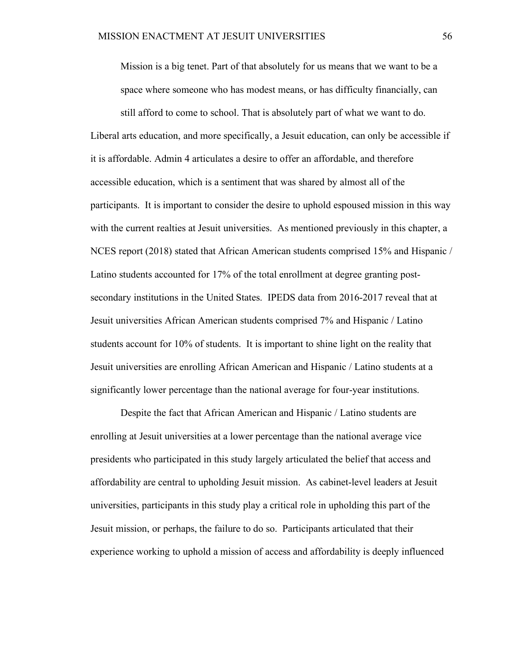Mission is a big tenet. Part of that absolutely for us means that we want to be a space where someone who has modest means, or has difficulty financially, can

still afford to come to school. That is absolutely part of what we want to do. Liberal arts education, and more specifically, a Jesuit education, can only be accessible if it is affordable. Admin 4 articulates a desire to offer an affordable, and therefore accessible education, which is a sentiment that was shared by almost all of the participants. It is important to consider the desire to uphold espoused mission in this way with the current realties at Jesuit universities. As mentioned previously in this chapter, a NCES report (2018) stated that African American students comprised 15% and Hispanic / Latino students accounted for 17% of the total enrollment at degree granting postsecondary institutions in the United States. IPEDS data from 2016-2017 reveal that at Jesuit universities African American students comprised 7% and Hispanic / Latino students account for 10% of students. It is important to shine light on the reality that Jesuit universities are enrolling African American and Hispanic / Latino students at a significantly lower percentage than the national average for four-year institutions.

Despite the fact that African American and Hispanic / Latino students are enrolling at Jesuit universities at a lower percentage than the national average vice presidents who participated in this study largely articulated the belief that access and affordability are central to upholding Jesuit mission. As cabinet-level leaders at Jesuit universities, participants in this study play a critical role in upholding this part of the Jesuit mission, or perhaps, the failure to do so. Participants articulated that their experience working to uphold a mission of access and affordability is deeply influenced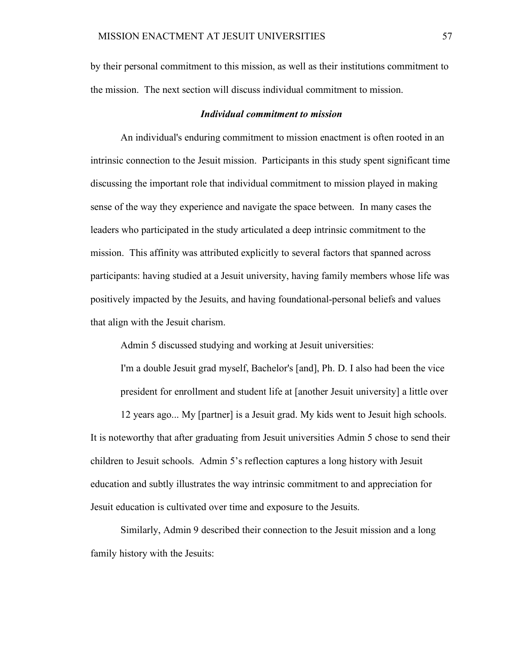by their personal commitment to this mission, as well as their institutions commitment to the mission. The next section will discuss individual commitment to mission.

#### *Individual commitment to mission*

An individual's enduring commitment to mission enactment is often rooted in an intrinsic connection to the Jesuit mission. Participants in this study spent significant time discussing the important role that individual commitment to mission played in making sense of the way they experience and navigate the space between. In many cases the leaders who participated in the study articulated a deep intrinsic commitment to the mission. This affinity was attributed explicitly to several factors that spanned across participants: having studied at a Jesuit university, having family members whose life was positively impacted by the Jesuits, and having foundational-personal beliefs and values that align with the Jesuit charism.

Admin 5 discussed studying and working at Jesuit universities:

I'm a double Jesuit grad myself, Bachelor's [and], Ph. D. I also had been the vice president for enrollment and student life at [another Jesuit university] a little over

12 years ago... My [partner] is a Jesuit grad. My kids went to Jesuit high schools. It is noteworthy that after graduating from Jesuit universities Admin 5 chose to send their children to Jesuit schools. Admin 5's reflection captures a long history with Jesuit education and subtly illustrates the way intrinsic commitment to and appreciation for Jesuit education is cultivated over time and exposure to the Jesuits.

Similarly, Admin 9 described their connection to the Jesuit mission and a long family history with the Jesuits: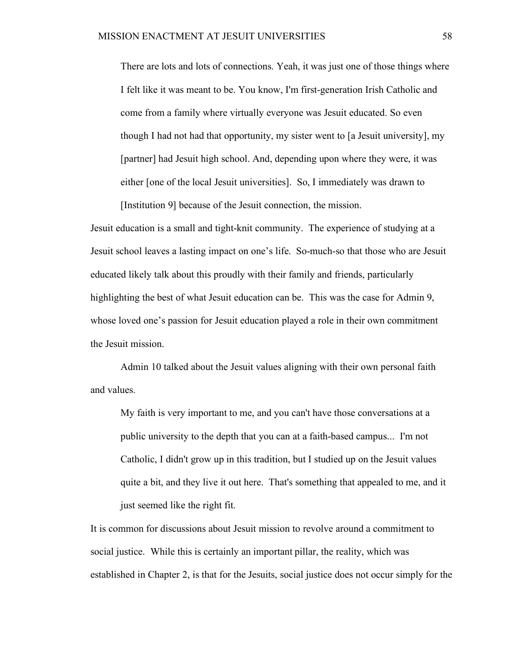There are lots and lots of connections. Yeah, it was just one of those things where I felt like it was meant to be. You know, I'm first-generation Irish Catholic and come from a family where virtually everyone was Jesuit educated. So even though I had not had that opportunity, my sister went to [a Jesuit university], my [partner] had Jesuit high school. And, depending upon where they were, it was either [one of the local Jesuit universities]. So, I immediately was drawn to [Institution 9] because of the Jesuit connection, the mission.

Jesuit education is a small and tight-knit community. The experience of studying at a Jesuit school leaves a lasting impact on one's life. So-much-so that those who are Jesuit educated likely talk about this proudly with their family and friends, particularly highlighting the best of what Jesuit education can be. This was the case for Admin 9, whose loved one's passion for Jesuit education played a role in their own commitment the Jesuit mission.

Admin 10 talked about the Jesuit values aligning with their own personal faith and values.

My faith is very important to me, and you can't have those conversations at a public university to the depth that you can at a faith-based campus... I'm not Catholic, I didn't grow up in this tradition, but I studied up on the Jesuit values quite a bit, and they live it out here. That's something that appealed to me, and it just seemed like the right fit.

It is common for discussions about Jesuit mission to revolve around a commitment to social justice. While this is certainly an important pillar, the reality, which was established in Chapter 2, is that for the Jesuits, social justice does not occur simply for the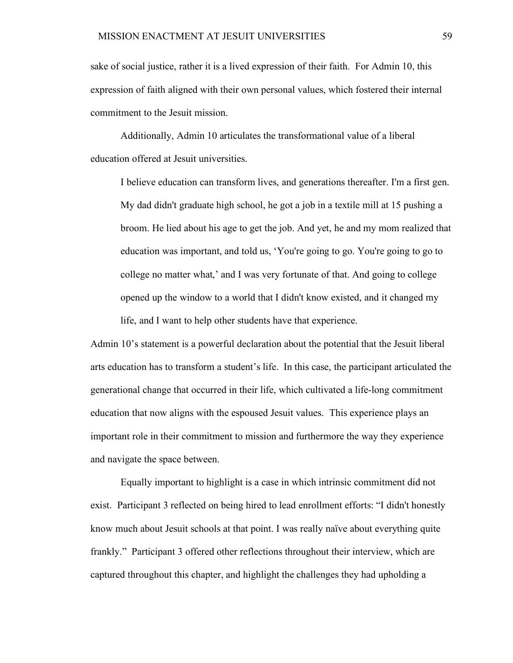sake of social justice, rather it is a lived expression of their faith. For Admin 10, this expression of faith aligned with their own personal values, which fostered their internal commitment to the Jesuit mission.

Additionally, Admin 10 articulates the transformational value of a liberal education offered at Jesuit universities.

I believe education can transform lives, and generations thereafter. I'm a first gen. My dad didn't graduate high school, he got a job in a textile mill at 15 pushing a broom. He lied about his age to get the job. And yet, he and my mom realized that education was important, and told us, 'You're going to go. You're going to go to college no matter what,' and I was very fortunate of that. And going to college opened up the window to a world that I didn't know existed, and it changed my life, and I want to help other students have that experience.

Admin 10's statement is a powerful declaration about the potential that the Jesuit liberal arts education has to transform a student's life. In this case, the participant articulated the generational change that occurred in their life, which cultivated a life-long commitment education that now aligns with the espoused Jesuit values. This experience plays an important role in their commitment to mission and furthermore the way they experience and navigate the space between.

Equally important to highlight is a case in which intrinsic commitment did not exist. Participant 3 reflected on being hired to lead enrollment efforts: "I didn't honestly know much about Jesuit schools at that point. I was really naïve about everything quite frankly." Participant 3 offered other reflections throughout their interview, which are captured throughout this chapter, and highlight the challenges they had upholding a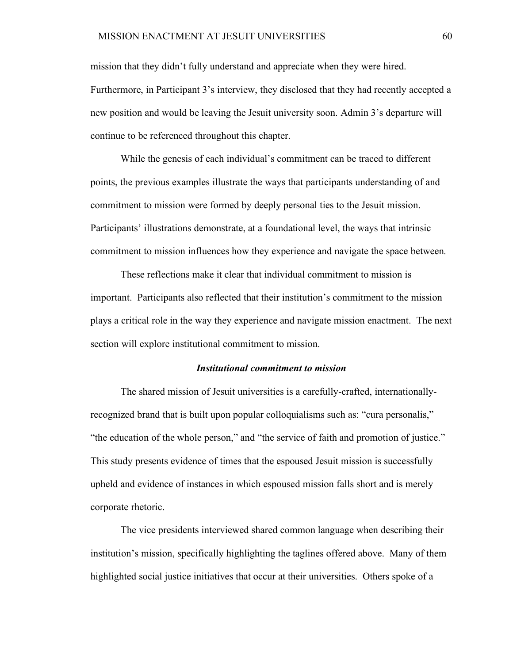mission that they didn't fully understand and appreciate when they were hired. Furthermore, in Participant 3's interview, they disclosed that they had recently accepted a new position and would be leaving the Jesuit university soon. Admin 3's departure will continue to be referenced throughout this chapter.

While the genesis of each individual's commitment can be traced to different points, the previous examples illustrate the ways that participants understanding of and commitment to mission were formed by deeply personal ties to the Jesuit mission. Participants' illustrations demonstrate, at a foundational level, the ways that intrinsic commitment to mission influences how they experience and navigate the space between*.*

These reflections make it clear that individual commitment to mission is important. Participants also reflected that their institution's commitment to the mission plays a critical role in the way they experience and navigate mission enactment. The next section will explore institutional commitment to mission.

#### *Institutional commitment to mission*

The shared mission of Jesuit universities is a carefully-crafted, internationallyrecognized brand that is built upon popular colloquialisms such as: "cura personalis," "the education of the whole person," and "the service of faith and promotion of justice." This study presents evidence of times that the espoused Jesuit mission is successfully upheld and evidence of instances in which espoused mission falls short and is merely corporate rhetoric.

The vice presidents interviewed shared common language when describing their institution's mission, specifically highlighting the taglines offered above. Many of them highlighted social justice initiatives that occur at their universities. Others spoke of a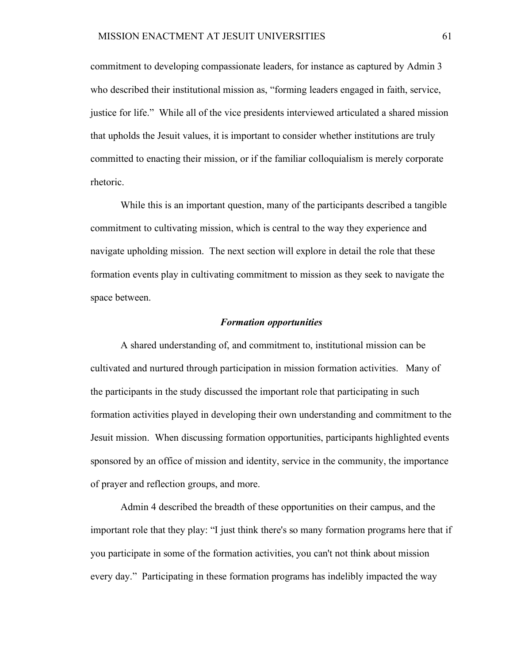commitment to developing compassionate leaders, for instance as captured by Admin 3 who described their institutional mission as, "forming leaders engaged in faith, service, justice for life." While all of the vice presidents interviewed articulated a shared mission that upholds the Jesuit values, it is important to consider whether institutions are truly committed to enacting their mission, or if the familiar colloquialism is merely corporate rhetoric.

While this is an important question, many of the participants described a tangible commitment to cultivating mission, which is central to the way they experience and navigate upholding mission. The next section will explore in detail the role that these formation events play in cultivating commitment to mission as they seek to navigate the space between.

# *Formation opportunities*

A shared understanding of, and commitment to, institutional mission can be cultivated and nurtured through participation in mission formation activities. Many of the participants in the study discussed the important role that participating in such formation activities played in developing their own understanding and commitment to the Jesuit mission. When discussing formation opportunities, participants highlighted events sponsored by an office of mission and identity, service in the community, the importance of prayer and reflection groups, and more.

Admin 4 described the breadth of these opportunities on their campus, and the important role that they play: "I just think there's so many formation programs here that if you participate in some of the formation activities, you can't not think about mission every day." Participating in these formation programs has indelibly impacted the way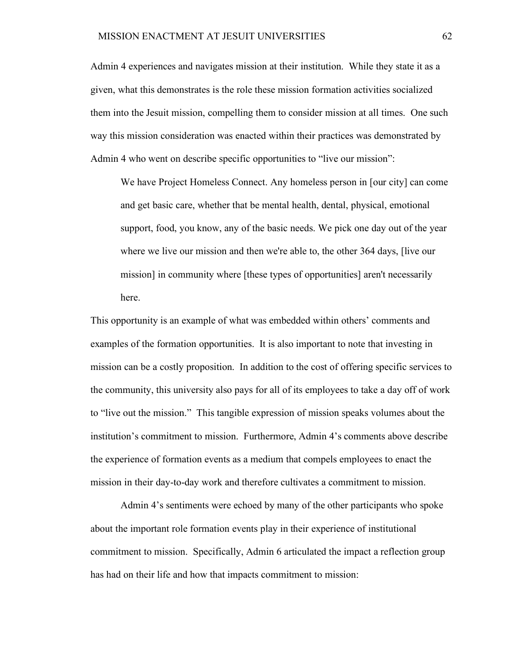Admin 4 experiences and navigates mission at their institution. While they state it as a given, what this demonstrates is the role these mission formation activities socialized them into the Jesuit mission, compelling them to consider mission at all times. One such way this mission consideration was enacted within their practices was demonstrated by Admin 4 who went on describe specific opportunities to "live our mission":

We have Project Homeless Connect. Any homeless person in [our city] can come and get basic care, whether that be mental health, dental, physical, emotional support, food, you know, any of the basic needs. We pick one day out of the year where we live our mission and then we're able to, the other 364 days, [live our mission] in community where [these types of opportunities] aren't necessarily here.

This opportunity is an example of what was embedded within others' comments and examples of the formation opportunities. It is also important to note that investing in mission can be a costly proposition. In addition to the cost of offering specific services to the community, this university also pays for all of its employees to take a day off of work to "live out the mission." This tangible expression of mission speaks volumes about the institution's commitment to mission. Furthermore, Admin 4's comments above describe the experience of formation events as a medium that compels employees to enact the mission in their day-to-day work and therefore cultivates a commitment to mission.

Admin 4's sentiments were echoed by many of the other participants who spoke about the important role formation events play in their experience of institutional commitment to mission. Specifically, Admin 6 articulated the impact a reflection group has had on their life and how that impacts commitment to mission: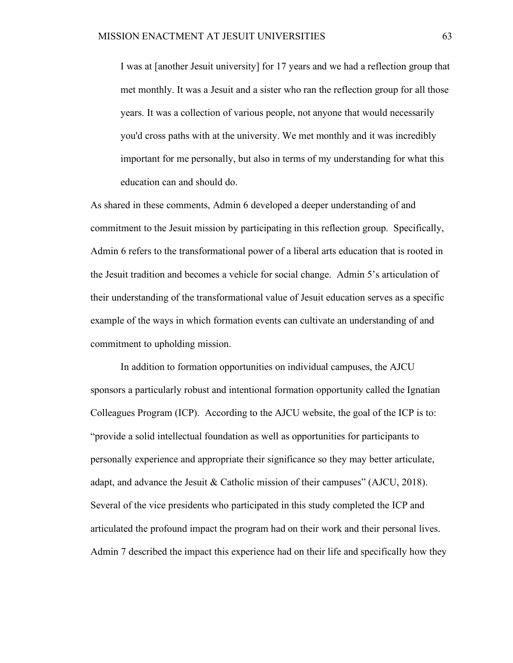I was at [another Jesuit university] for 17 years and we had a reflection group that met monthly. It was a Jesuit and a sister who ran the reflection group for all those years. It was a collection of various people, not anyone that would necessarily you'd cross paths with at the university. We met monthly and it was incredibly important for me personally, but also in terms of my understanding for what this education can and should do.

As shared in these comments, Admin 6 developed a deeper understanding of and commitment to the Jesuit mission by participating in this reflection group. Specifically, Admin 6 refers to the transformational power of a liberal arts education that is rooted in the Jesuit tradition and becomes a vehicle for social change. Admin 5's articulation of their understanding of the transformational value of Jesuit education serves as a specific example of the ways in which formation events can cultivate an understanding of and commitment to upholding mission.

In addition to formation opportunities on individual campuses, the AJCU sponsors a particularly robust and intentional formation opportunity called the Ignatian Colleagues Program (ICP). According to the AJCU website, the goal of the ICP is to: "provide a solid intellectual foundation as well as opportunities for participants to personally experience and appropriate their significance so they may better articulate, adapt, and advance the Jesuit & Catholic mission of their campuses" (AJCU, 2018). Several of the vice presidents who participated in this study completed the ICP and articulated the profound impact the program had on their work and their personal lives. Admin 7 described the impact this experience had on their life and specifically how they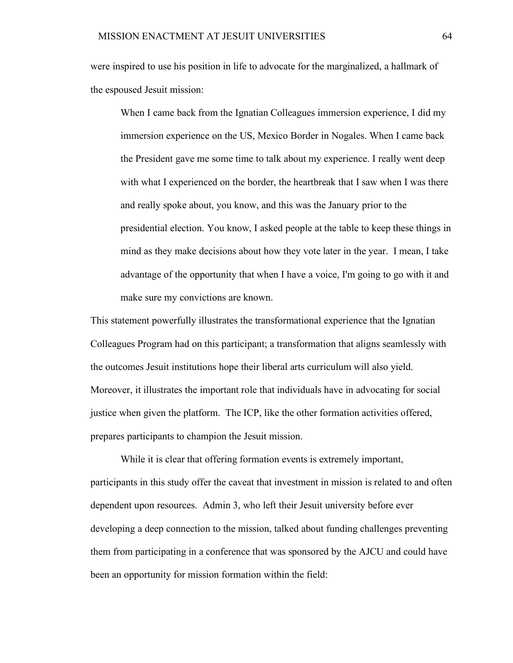were inspired to use his position in life to advocate for the marginalized, a hallmark of the espoused Jesuit mission:

When I came back from the Ignatian Colleagues immersion experience, I did my immersion experience on the US, Mexico Border in Nogales. When I came back the President gave me some time to talk about my experience. I really went deep with what I experienced on the border, the heartbreak that I saw when I was there and really spoke about, you know, and this was the January prior to the presidential election. You know, I asked people at the table to keep these things in mind as they make decisions about how they vote later in the year. I mean, I take advantage of the opportunity that when I have a voice, I'm going to go with it and make sure my convictions are known.

This statement powerfully illustrates the transformational experience that the Ignatian Colleagues Program had on this participant; a transformation that aligns seamlessly with the outcomes Jesuit institutions hope their liberal arts curriculum will also yield. Moreover, it illustrates the important role that individuals have in advocating for social justice when given the platform. The ICP, like the other formation activities offered, prepares participants to champion the Jesuit mission.

While it is clear that offering formation events is extremely important, participants in this study offer the caveat that investment in mission is related to and often dependent upon resources. Admin 3, who left their Jesuit university before ever developing a deep connection to the mission, talked about funding challenges preventing them from participating in a conference that was sponsored by the AJCU and could have been an opportunity for mission formation within the field: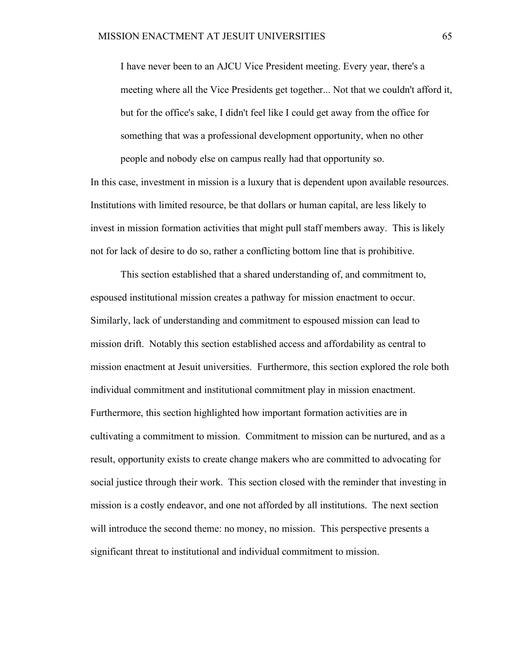I have never been to an AJCU Vice President meeting. Every year, there's a meeting where all the Vice Presidents get together... Not that we couldn't afford it, but for the office's sake, I didn't feel like I could get away from the office for something that was a professional development opportunity, when no other people and nobody else on campus really had that opportunity so.

In this case, investment in mission is a luxury that is dependent upon available resources. Institutions with limited resource, be that dollars or human capital, are less likely to invest in mission formation activities that might pull staff members away. This is likely not for lack of desire to do so, rather a conflicting bottom line that is prohibitive.

This section established that a shared understanding of, and commitment to, espoused institutional mission creates a pathway for mission enactment to occur. Similarly, lack of understanding and commitment to espoused mission can lead to mission drift. Notably this section established access and affordability as central to mission enactment at Jesuit universities. Furthermore, this section explored the role both individual commitment and institutional commitment play in mission enactment. Furthermore, this section highlighted how important formation activities are in cultivating a commitment to mission. Commitment to mission can be nurtured, and as a result, opportunity exists to create change makers who are committed to advocating for social justice through their work. This section closed with the reminder that investing in mission is a costly endeavor, and one not afforded by all institutions. The next section will introduce the second theme: no money, no mission. This perspective presents a significant threat to institutional and individual commitment to mission.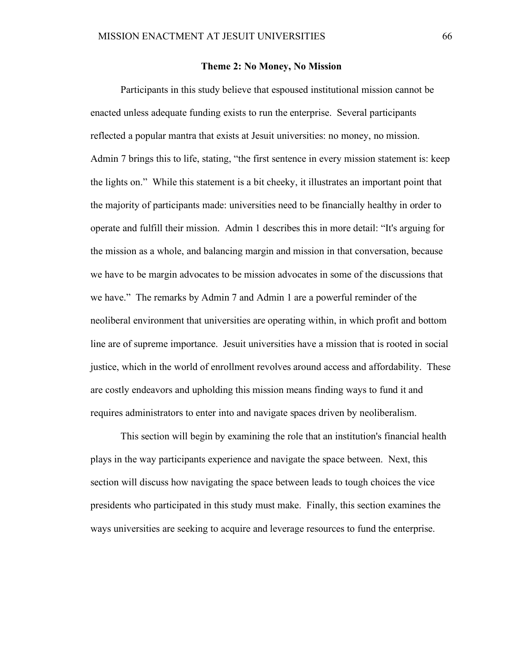#### **Theme 2: No Money, No Mission**

Participants in this study believe that espoused institutional mission cannot be enacted unless adequate funding exists to run the enterprise. Several participants reflected a popular mantra that exists at Jesuit universities: no money, no mission. Admin 7 brings this to life, stating, "the first sentence in every mission statement is: keep the lights on." While this statement is a bit cheeky, it illustrates an important point that the majority of participants made: universities need to be financially healthy in order to operate and fulfill their mission. Admin 1 describes this in more detail: "It's arguing for the mission as a whole, and balancing margin and mission in that conversation, because we have to be margin advocates to be mission advocates in some of the discussions that we have." The remarks by Admin 7 and Admin 1 are a powerful reminder of the neoliberal environment that universities are operating within, in which profit and bottom line are of supreme importance. Jesuit universities have a mission that is rooted in social justice, which in the world of enrollment revolves around access and affordability. These are costly endeavors and upholding this mission means finding ways to fund it and requires administrators to enter into and navigate spaces driven by neoliberalism.

This section will begin by examining the role that an institution's financial health plays in the way participants experience and navigate the space between. Next, this section will discuss how navigating the space between leads to tough choices the vice presidents who participated in this study must make. Finally, this section examines the ways universities are seeking to acquire and leverage resources to fund the enterprise.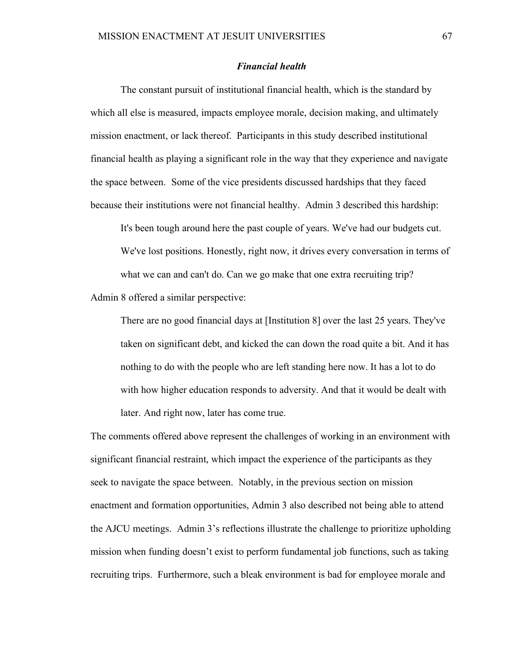## *Financial health*

The constant pursuit of institutional financial health, which is the standard by which all else is measured, impacts employee morale, decision making, and ultimately mission enactment, or lack thereof. Participants in this study described institutional financial health as playing a significant role in the way that they experience and navigate the space between. Some of the vice presidents discussed hardships that they faced because their institutions were not financial healthy. Admin 3 described this hardship:

It's been tough around here the past couple of years. We've had our budgets cut. We've lost positions. Honestly, right now, it drives every conversation in terms of what we can and can't do. Can we go make that one extra recruiting trip?

Admin 8 offered a similar perspective:

There are no good financial days at [Institution 8] over the last 25 years. They've taken on significant debt, and kicked the can down the road quite a bit. And it has nothing to do with the people who are left standing here now. It has a lot to do with how higher education responds to adversity. And that it would be dealt with later. And right now, later has come true.

The comments offered above represent the challenges of working in an environment with significant financial restraint, which impact the experience of the participants as they seek to navigate the space between. Notably, in the previous section on mission enactment and formation opportunities, Admin 3 also described not being able to attend the AJCU meetings. Admin 3's reflections illustrate the challenge to prioritize upholding mission when funding doesn't exist to perform fundamental job functions, such as taking recruiting trips. Furthermore, such a bleak environment is bad for employee morale and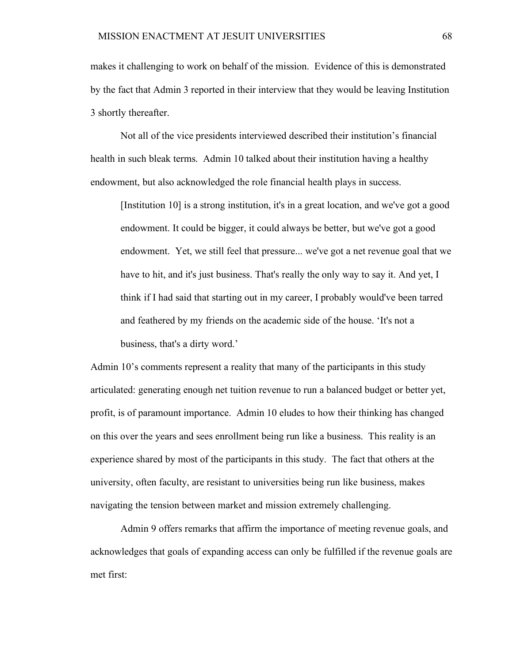makes it challenging to work on behalf of the mission. Evidence of this is demonstrated by the fact that Admin 3 reported in their interview that they would be leaving Institution 3 shortly thereafter.

Not all of the vice presidents interviewed described their institution's financial health in such bleak terms. Admin 10 talked about their institution having a healthy endowment, but also acknowledged the role financial health plays in success.

[Institution 10] is a strong institution, it's in a great location, and we've got a good endowment. It could be bigger, it could always be better, but we've got a good endowment. Yet, we still feel that pressure... we've got a net revenue goal that we have to hit, and it's just business. That's really the only way to say it. And yet, I think if I had said that starting out in my career, I probably would've been tarred and feathered by my friends on the academic side of the house. 'It's not a business, that's a dirty word.'

Admin 10's comments represent a reality that many of the participants in this study articulated: generating enough net tuition revenue to run a balanced budget or better yet, profit, is of paramount importance. Admin 10 eludes to how their thinking has changed on this over the years and sees enrollment being run like a business. This reality is an experience shared by most of the participants in this study. The fact that others at the university, often faculty, are resistant to universities being run like business, makes navigating the tension between market and mission extremely challenging.

Admin 9 offers remarks that affirm the importance of meeting revenue goals, and acknowledges that goals of expanding access can only be fulfilled if the revenue goals are met first: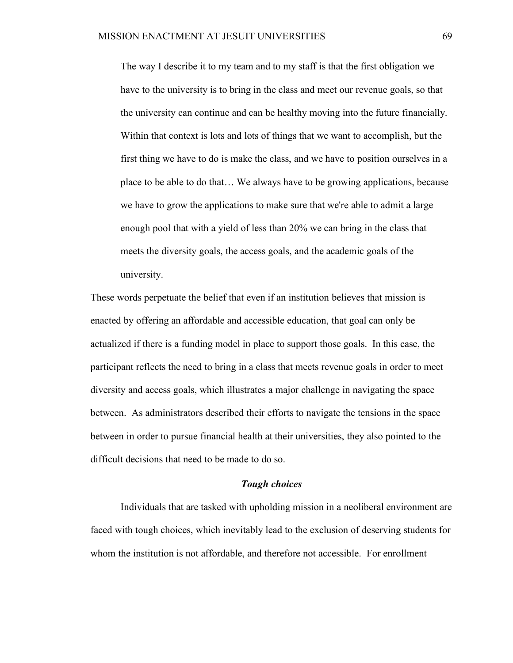The way I describe it to my team and to my staff is that the first obligation we have to the university is to bring in the class and meet our revenue goals, so that the university can continue and can be healthy moving into the future financially. Within that context is lots and lots of things that we want to accomplish, but the first thing we have to do is make the class, and we have to position ourselves in a place to be able to do that… We always have to be growing applications, because we have to grow the applications to make sure that we're able to admit a large enough pool that with a yield of less than 20% we can bring in the class that meets the diversity goals, the access goals, and the academic goals of the university.

These words perpetuate the belief that even if an institution believes that mission is enacted by offering an affordable and accessible education, that goal can only be actualized if there is a funding model in place to support those goals. In this case, the participant reflects the need to bring in a class that meets revenue goals in order to meet diversity and access goals, which illustrates a major challenge in navigating the space between. As administrators described their efforts to navigate the tensions in the space between in order to pursue financial health at their universities, they also pointed to the difficult decisions that need to be made to do so.

### *Tough choices*

Individuals that are tasked with upholding mission in a neoliberal environment are faced with tough choices, which inevitably lead to the exclusion of deserving students for whom the institution is not affordable, and therefore not accessible. For enrollment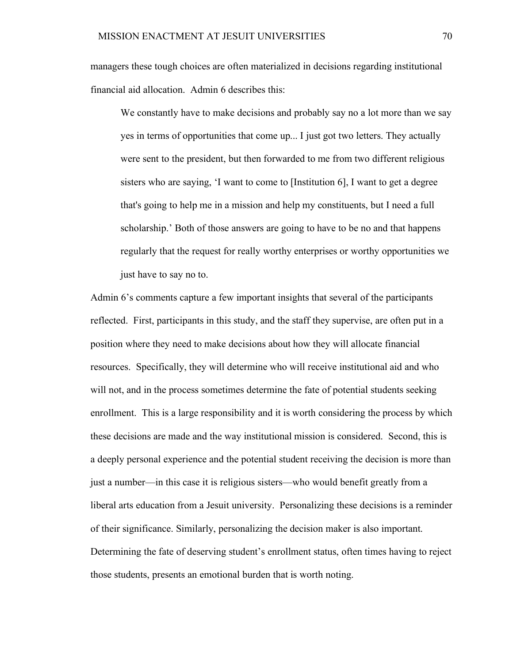managers these tough choices are often materialized in decisions regarding institutional financial aid allocation. Admin 6 describes this:

We constantly have to make decisions and probably say no a lot more than we say yes in terms of opportunities that come up... I just got two letters. They actually were sent to the president, but then forwarded to me from two different religious sisters who are saying, 'I want to come to [Institution 6], I want to get a degree that's going to help me in a mission and help my constituents, but I need a full scholarship.' Both of those answers are going to have to be no and that happens regularly that the request for really worthy enterprises or worthy opportunities we just have to say no to.

Admin 6's comments capture a few important insights that several of the participants reflected. First, participants in this study, and the staff they supervise, are often put in a position where they need to make decisions about how they will allocate financial resources. Specifically, they will determine who will receive institutional aid and who will not, and in the process sometimes determine the fate of potential students seeking enrollment. This is a large responsibility and it is worth considering the process by which these decisions are made and the way institutional mission is considered. Second, this is a deeply personal experience and the potential student receiving the decision is more than just a number—in this case it is religious sisters—who would benefit greatly from a liberal arts education from a Jesuit university. Personalizing these decisions is a reminder of their significance. Similarly, personalizing the decision maker is also important. Determining the fate of deserving student's enrollment status, often times having to reject those students, presents an emotional burden that is worth noting.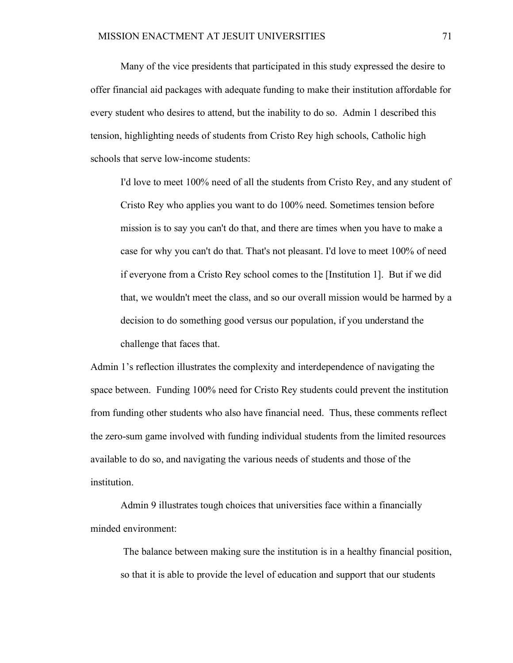Many of the vice presidents that participated in this study expressed the desire to offer financial aid packages with adequate funding to make their institution affordable for every student who desires to attend, but the inability to do so. Admin 1 described this tension, highlighting needs of students from Cristo Rey high schools, Catholic high schools that serve low-income students:

I'd love to meet 100% need of all the students from Cristo Rey, and any student of Cristo Rey who applies you want to do 100% need. Sometimes tension before mission is to say you can't do that, and there are times when you have to make a case for why you can't do that. That's not pleasant. I'd love to meet 100% of need if everyone from a Cristo Rey school comes to the [Institution 1]. But if we did that, we wouldn't meet the class, and so our overall mission would be harmed by a decision to do something good versus our population, if you understand the challenge that faces that.

Admin 1's reflection illustrates the complexity and interdependence of navigating the space between. Funding 100% need for Cristo Rey students could prevent the institution from funding other students who also have financial need. Thus, these comments reflect the zero-sum game involved with funding individual students from the limited resources available to do so, and navigating the various needs of students and those of the institution.

Admin 9 illustrates tough choices that universities face within a financially minded environment:

The balance between making sure the institution is in a healthy financial position, so that it is able to provide the level of education and support that our students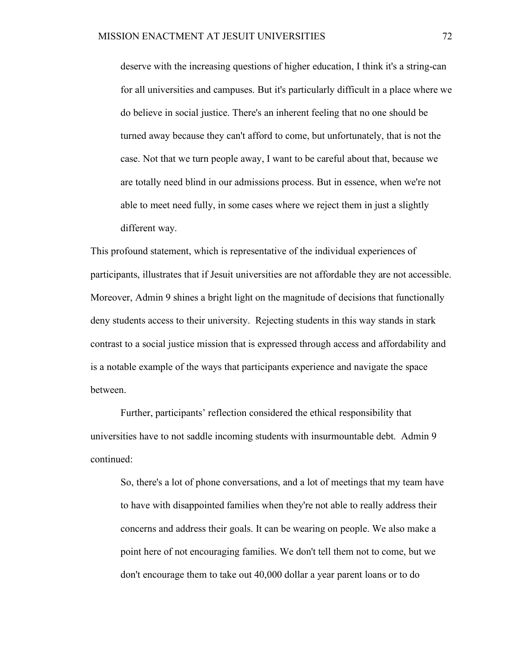deserve with the increasing questions of higher education, I think it's a string-can for all universities and campuses. But it's particularly difficult in a place where we do believe in social justice. There's an inherent feeling that no one should be turned away because they can't afford to come, but unfortunately, that is not the case. Not that we turn people away, I want to be careful about that, because we are totally need blind in our admissions process. But in essence, when we're not able to meet need fully, in some cases where we reject them in just a slightly different way.

This profound statement, which is representative of the individual experiences of participants, illustrates that if Jesuit universities are not affordable they are not accessible. Moreover, Admin 9 shines a bright light on the magnitude of decisions that functionally deny students access to their university. Rejecting students in this way stands in stark contrast to a social justice mission that is expressed through access and affordability and is a notable example of the ways that participants experience and navigate the space between.

Further, participants' reflection considered the ethical responsibility that universities have to not saddle incoming students with insurmountable debt. Admin 9 continued:

So, there's a lot of phone conversations, and a lot of meetings that my team have to have with disappointed families when they're not able to really address their concerns and address their goals. It can be wearing on people. We also make a point here of not encouraging families. We don't tell them not to come, but we don't encourage them to take out 40,000 dollar a year parent loans or to do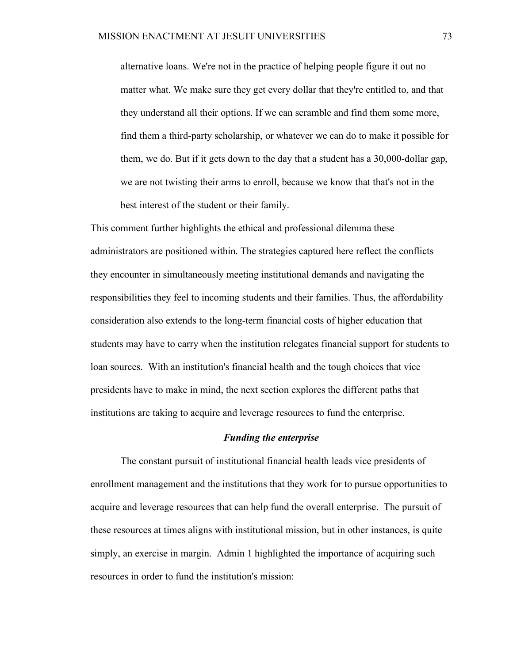alternative loans. We're not in the practice of helping people figure it out no matter what. We make sure they get every dollar that they're entitled to, and that they understand all their options. If we can scramble and find them some more, find them a third-party scholarship, or whatever we can do to make it possible for them, we do. But if it gets down to the day that a student has a 30,000-dollar gap, we are not twisting their arms to enroll, because we know that that's not in the best interest of the student or their family.

This comment further highlights the ethical and professional dilemma these administrators are positioned within. The strategies captured here reflect the conflicts they encounter in simultaneously meeting institutional demands and navigating the responsibilities they feel to incoming students and their families. Thus, the affordability consideration also extends to the long-term financial costs of higher education that students may have to carry when the institution relegates financial support for students to loan sources. With an institution's financial health and the tough choices that vice presidents have to make in mind, the next section explores the different paths that institutions are taking to acquire and leverage resources to fund the enterprise.

#### *Funding the enterprise*

The constant pursuit of institutional financial health leads vice presidents of enrollment management and the institutions that they work for to pursue opportunities to acquire and leverage resources that can help fund the overall enterprise. The pursuit of these resources at times aligns with institutional mission, but in other instances, is quite simply, an exercise in margin. Admin 1 highlighted the importance of acquiring such resources in order to fund the institution's mission: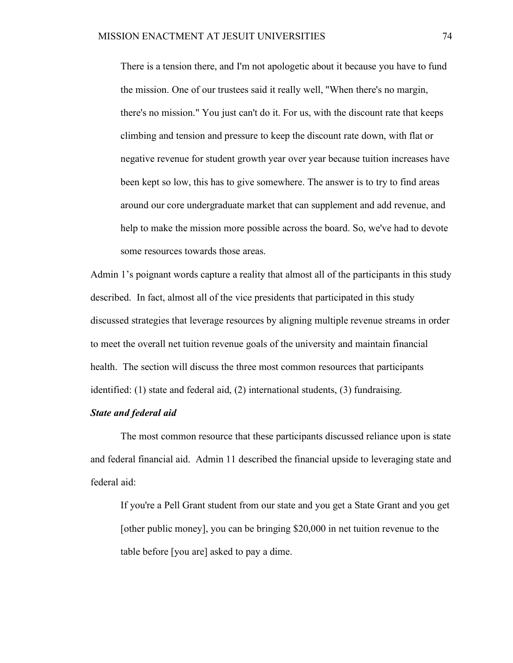There is a tension there, and I'm not apologetic about it because you have to fund the mission. One of our trustees said it really well, "When there's no margin, there's no mission." You just can't do it. For us, with the discount rate that keeps climbing and tension and pressure to keep the discount rate down, with flat or negative revenue for student growth year over year because tuition increases have been kept so low, this has to give somewhere. The answer is to try to find areas around our core undergraduate market that can supplement and add revenue, and help to make the mission more possible across the board. So, we've had to devote some resources towards those areas.

Admin 1's poignant words capture a reality that almost all of the participants in this study described. In fact, almost all of the vice presidents that participated in this study discussed strategies that leverage resources by aligning multiple revenue streams in order to meet the overall net tuition revenue goals of the university and maintain financial health. The section will discuss the three most common resources that participants identified: (1) state and federal aid, (2) international students, (3) fundraising.

## *State and federal aid*

The most common resource that these participants discussed reliance upon is state and federal financial aid. Admin 11 described the financial upside to leveraging state and federal aid:

If you're a Pell Grant student from our state and you get a State Grant and you get [other public money], you can be bringing \$20,000 in net tuition revenue to the table before [you are] asked to pay a dime.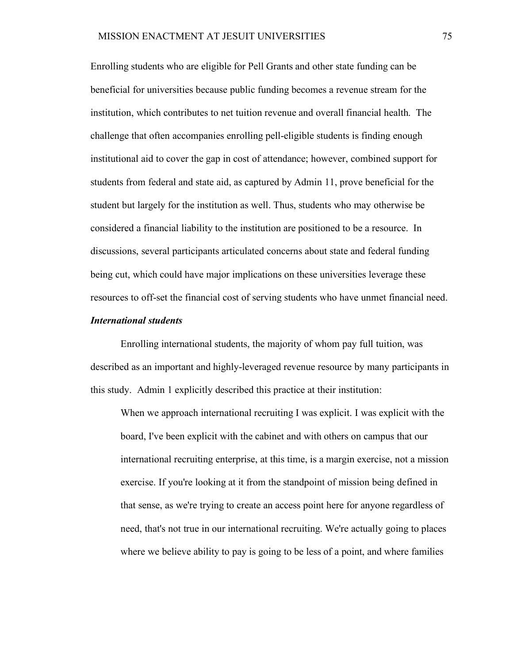Enrolling students who are eligible for Pell Grants and other state funding can be beneficial for universities because public funding becomes a revenue stream for the institution, which contributes to net tuition revenue and overall financial health. The challenge that often accompanies enrolling pell-eligible students is finding enough institutional aid to cover the gap in cost of attendance; however, combined support for students from federal and state aid, as captured by Admin 11, prove beneficial for the student but largely for the institution as well. Thus, students who may otherwise be considered a financial liability to the institution are positioned to be a resource. In discussions, several participants articulated concerns about state and federal funding being cut, which could have major implications on these universities leverage these resources to off-set the financial cost of serving students who have unmet financial need.

## *International students*

Enrolling international students, the majority of whom pay full tuition, was described as an important and highly-leveraged revenue resource by many participants in this study. Admin 1 explicitly described this practice at their institution:

When we approach international recruiting I was explicit. I was explicit with the board, I've been explicit with the cabinet and with others on campus that our international recruiting enterprise, at this time, is a margin exercise, not a mission exercise. If you're looking at it from the standpoint of mission being defined in that sense, as we're trying to create an access point here for anyone regardless of need, that's not true in our international recruiting. We're actually going to places where we believe ability to pay is going to be less of a point, and where families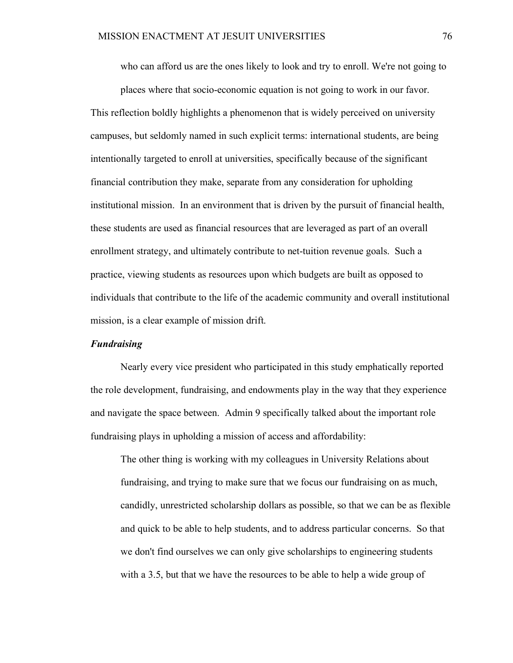who can afford us are the ones likely to look and try to enroll. We're not going to

places where that socio-economic equation is not going to work in our favor. This reflection boldly highlights a phenomenon that is widely perceived on university campuses, but seldomly named in such explicit terms: international students, are being intentionally targeted to enroll at universities, specifically because of the significant financial contribution they make, separate from any consideration for upholding institutional mission. In an environment that is driven by the pursuit of financial health, these students are used as financial resources that are leveraged as part of an overall enrollment strategy, and ultimately contribute to net-tuition revenue goals. Such a practice, viewing students as resources upon which budgets are built as opposed to individuals that contribute to the life of the academic community and overall institutional mission, is a clear example of mission drift.

#### *Fundraising*

Nearly every vice president who participated in this study emphatically reported the role development, fundraising, and endowments play in the way that they experience and navigate the space between. Admin 9 specifically talked about the important role fundraising plays in upholding a mission of access and affordability:

The other thing is working with my colleagues in University Relations about fundraising, and trying to make sure that we focus our fundraising on as much, candidly, unrestricted scholarship dollars as possible, so that we can be as flexible and quick to be able to help students, and to address particular concerns. So that we don't find ourselves we can only give scholarships to engineering students with a 3.5, but that we have the resources to be able to help a wide group of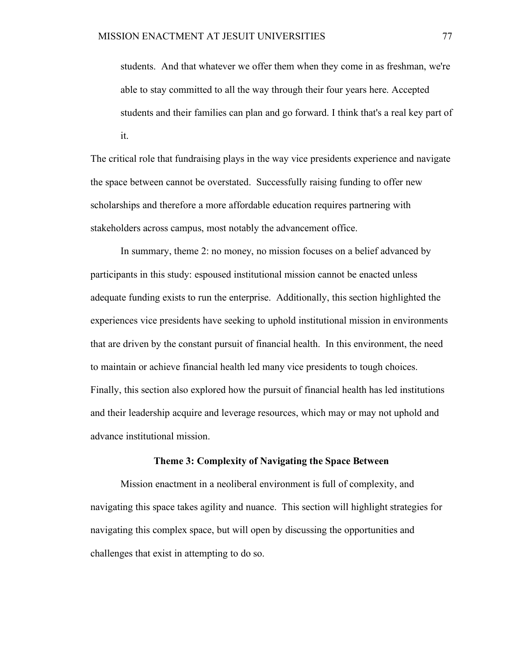students. And that whatever we offer them when they come in as freshman, we're able to stay committed to all the way through their four years here. Accepted students and their families can plan and go forward. I think that's a real key part of it.

The critical role that fundraising plays in the way vice presidents experience and navigate the space between cannot be overstated. Successfully raising funding to offer new scholarships and therefore a more affordable education requires partnering with stakeholders across campus, most notably the advancement office.

In summary, theme 2: no money, no mission focuses on a belief advanced by participants in this study: espoused institutional mission cannot be enacted unless adequate funding exists to run the enterprise. Additionally, this section highlighted the experiences vice presidents have seeking to uphold institutional mission in environments that are driven by the constant pursuit of financial health. In this environment, the need to maintain or achieve financial health led many vice presidents to tough choices. Finally, this section also explored how the pursuit of financial health has led institutions and their leadership acquire and leverage resources, which may or may not uphold and advance institutional mission.

## **Theme 3: Complexity of Navigating the Space Between**

Mission enactment in a neoliberal environment is full of complexity, and navigating this space takes agility and nuance. This section will highlight strategies for navigating this complex space, but will open by discussing the opportunities and challenges that exist in attempting to do so.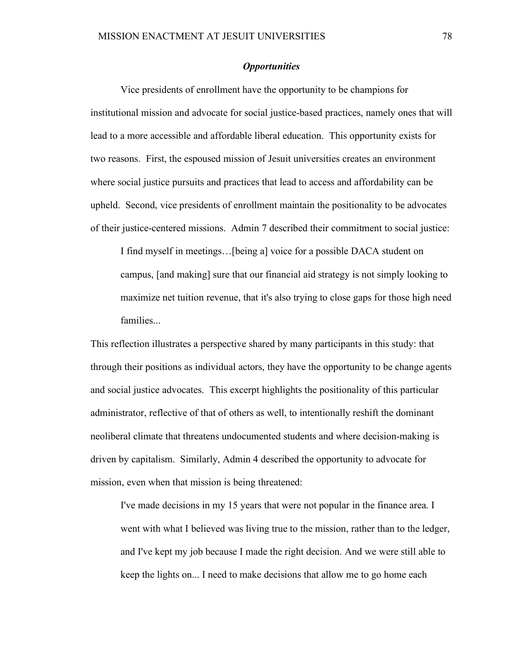## *Opportunities*

Vice presidents of enrollment have the opportunity to be champions for institutional mission and advocate for social justice-based practices, namely ones that will lead to a more accessible and affordable liberal education. This opportunity exists for two reasons. First, the espoused mission of Jesuit universities creates an environment where social justice pursuits and practices that lead to access and affordability can be upheld. Second, vice presidents of enrollment maintain the positionality to be advocates of their justice-centered missions. Admin 7 described their commitment to social justice:

I find myself in meetings…[being a] voice for a possible DACA student on campus, [and making] sure that our financial aid strategy is not simply looking to maximize net tuition revenue, that it's also trying to close gaps for those high need families...

This reflection illustrates a perspective shared by many participants in this study: that through their positions as individual actors, they have the opportunity to be change agents and social justice advocates. This excerpt highlights the positionality of this particular administrator, reflective of that of others as well, to intentionally reshift the dominant neoliberal climate that threatens undocumented students and where decision-making is driven by capitalism. Similarly, Admin 4 described the opportunity to advocate for mission, even when that mission is being threatened:

I've made decisions in my 15 years that were not popular in the finance area. I went with what I believed was living true to the mission, rather than to the ledger, and I've kept my job because I made the right decision. And we were still able to keep the lights on... I need to make decisions that allow me to go home each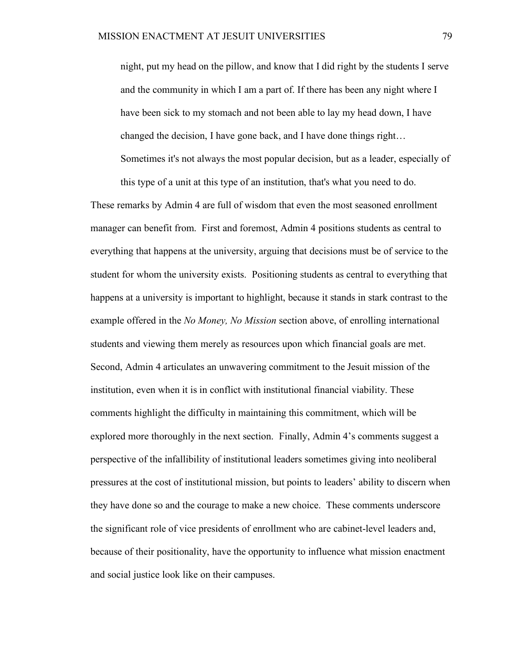night, put my head on the pillow, and know that I did right by the students I serve and the community in which I am a part of. If there has been any night where I have been sick to my stomach and not been able to lay my head down, I have changed the decision, I have gone back, and I have done things right… Sometimes it's not always the most popular decision, but as a leader, especially of this type of a unit at this type of an institution, that's what you need to do.

These remarks by Admin 4 are full of wisdom that even the most seasoned enrollment manager can benefit from. First and foremost, Admin 4 positions students as central to everything that happens at the university, arguing that decisions must be of service to the student for whom the university exists. Positioning students as central to everything that happens at a university is important to highlight, because it stands in stark contrast to the example offered in the *No Money, No Mission* section above, of enrolling international students and viewing them merely as resources upon which financial goals are met. Second, Admin 4 articulates an unwavering commitment to the Jesuit mission of the institution, even when it is in conflict with institutional financial viability. These comments highlight the difficulty in maintaining this commitment, which will be explored more thoroughly in the next section. Finally, Admin 4's comments suggest a perspective of the infallibility of institutional leaders sometimes giving into neoliberal pressures at the cost of institutional mission, but points to leaders' ability to discern when they have done so and the courage to make a new choice. These comments underscore the significant role of vice presidents of enrollment who are cabinet-level leaders and, because of their positionality, have the opportunity to influence what mission enactment and social justice look like on their campuses.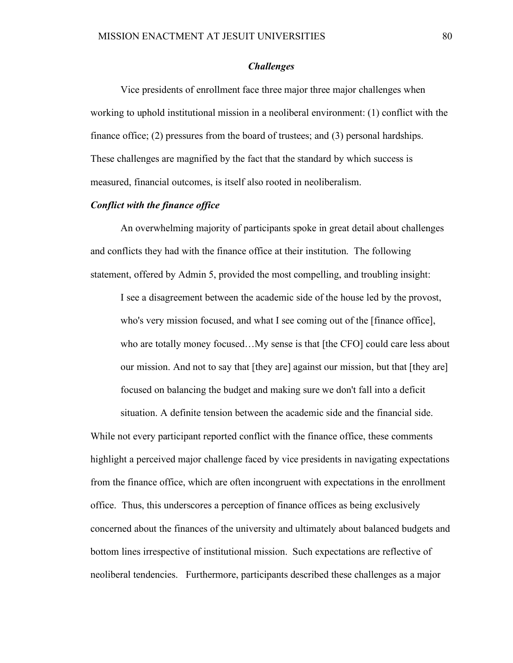## *Challenges*

Vice presidents of enrollment face three major three major challenges when working to uphold institutional mission in a neoliberal environment: (1) conflict with the finance office; (2) pressures from the board of trustees; and (3) personal hardships. These challenges are magnified by the fact that the standard by which success is measured, financial outcomes, is itself also rooted in neoliberalism.

## *Conflict with the finance office*

An overwhelming majority of participants spoke in great detail about challenges and conflicts they had with the finance office at their institution. The following statement, offered by Admin 5, provided the most compelling, and troubling insight:

I see a disagreement between the academic side of the house led by the provost, who's very mission focused, and what I see coming out of the [finance office], who are totally money focused…My sense is that [the CFO] could care less about our mission. And not to say that [they are] against our mission, but that [they are] focused on balancing the budget and making sure we don't fall into a deficit

situation. A definite tension between the academic side and the financial side.

While not every participant reported conflict with the finance office, these comments highlight a perceived major challenge faced by vice presidents in navigating expectations from the finance office, which are often incongruent with expectations in the enrollment office. Thus, this underscores a perception of finance offices as being exclusively concerned about the finances of the university and ultimately about balanced budgets and bottom lines irrespective of institutional mission. Such expectations are reflective of neoliberal tendencies. Furthermore, participants described these challenges as a major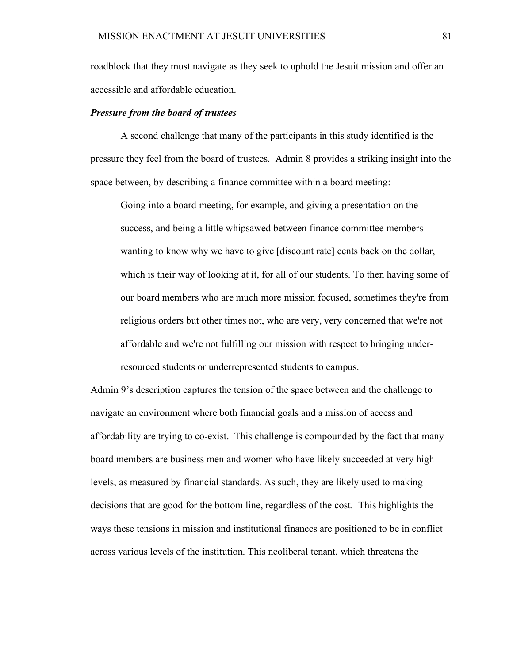roadblock that they must navigate as they seek to uphold the Jesuit mission and offer an accessible and affordable education.

## *Pressure from the board of trustees*

A second challenge that many of the participants in this study identified is the pressure they feel from the board of trustees. Admin 8 provides a striking insight into the space between, by describing a finance committee within a board meeting:

Going into a board meeting, for example, and giving a presentation on the success, and being a little whipsawed between finance committee members wanting to know why we have to give [discount rate] cents back on the dollar, which is their way of looking at it, for all of our students. To then having some of our board members who are much more mission focused, sometimes they're from religious orders but other times not, who are very, very concerned that we're not affordable and we're not fulfilling our mission with respect to bringing underresourced students or underrepresented students to campus.

Admin 9's description captures the tension of the space between and the challenge to navigate an environment where both financial goals and a mission of access and affordability are trying to co-exist. This challenge is compounded by the fact that many board members are business men and women who have likely succeeded at very high levels, as measured by financial standards. As such, they are likely used to making decisions that are good for the bottom line, regardless of the cost. This highlights the ways these tensions in mission and institutional finances are positioned to be in conflict across various levels of the institution. This neoliberal tenant, which threatens the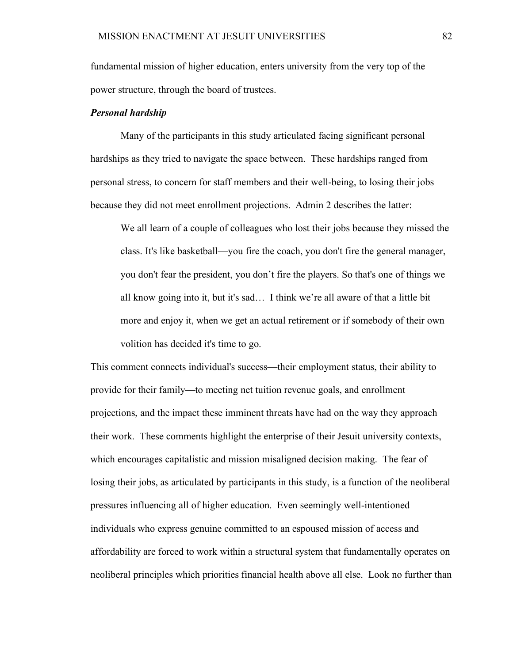fundamental mission of higher education, enters university from the very top of the power structure, through the board of trustees.

### *Personal hardship*

Many of the participants in this study articulated facing significant personal hardships as they tried to navigate the space between. These hardships ranged from personal stress, to concern for staff members and their well-being, to losing their jobs because they did not meet enrollment projections. Admin 2 describes the latter:

We all learn of a couple of colleagues who lost their jobs because they missed the class. It's like basketball—you fire the coach, you don't fire the general manager, you don't fear the president, you don't fire the players. So that's one of things we all know going into it, but it's sad… I think we're all aware of that a little bit more and enjoy it, when we get an actual retirement or if somebody of their own volition has decided it's time to go.

This comment connects individual's success—their employment status, their ability to provide for their family—to meeting net tuition revenue goals, and enrollment projections, and the impact these imminent threats have had on the way they approach their work. These comments highlight the enterprise of their Jesuit university contexts, which encourages capitalistic and mission misaligned decision making. The fear of losing their jobs, as articulated by participants in this study, is a function of the neoliberal pressures influencing all of higher education. Even seemingly well-intentioned individuals who express genuine committed to an espoused mission of access and affordability are forced to work within a structural system that fundamentally operates on neoliberal principles which priorities financial health above all else. Look no further than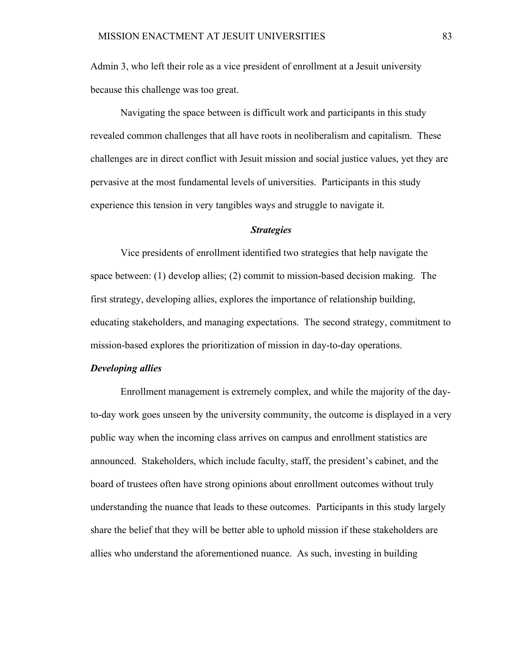Admin 3, who left their role as a vice president of enrollment at a Jesuit university because this challenge was too great.

Navigating the space between is difficult work and participants in this study revealed common challenges that all have roots in neoliberalism and capitalism. These challenges are in direct conflict with Jesuit mission and social justice values, yet they are pervasive at the most fundamental levels of universities. Participants in this study experience this tension in very tangibles ways and struggle to navigate it.

## *Strategies*

Vice presidents of enrollment identified two strategies that help navigate the space between: (1) develop allies; (2) commit to mission-based decision making. The first strategy, developing allies, explores the importance of relationship building, educating stakeholders, and managing expectations. The second strategy, commitment to mission-based explores the prioritization of mission in day-to-day operations.

## *Developing allies*

Enrollment management is extremely complex, and while the majority of the dayto-day work goes unseen by the university community, the outcome is displayed in a very public way when the incoming class arrives on campus and enrollment statistics are announced. Stakeholders, which include faculty, staff, the president's cabinet, and the board of trustees often have strong opinions about enrollment outcomes without truly understanding the nuance that leads to these outcomes. Participants in this study largely share the belief that they will be better able to uphold mission if these stakeholders are allies who understand the aforementioned nuance. As such, investing in building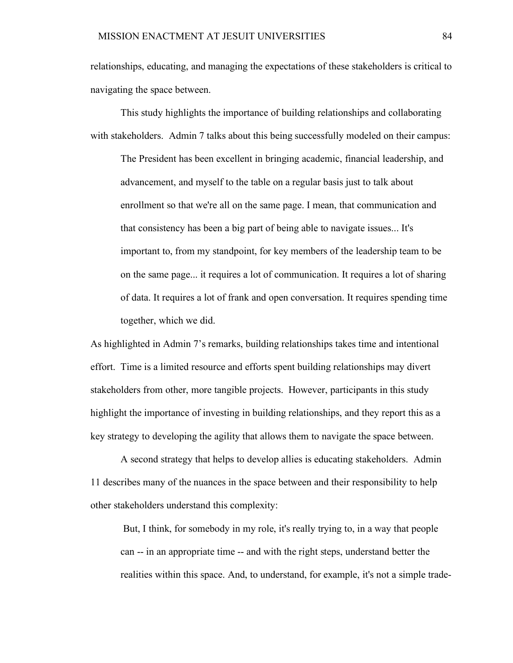relationships, educating, and managing the expectations of these stakeholders is critical to navigating the space between.

This study highlights the importance of building relationships and collaborating with stakeholders. Admin 7 talks about this being successfully modeled on their campus:

The President has been excellent in bringing academic, financial leadership, and advancement, and myself to the table on a regular basis just to talk about enrollment so that we're all on the same page. I mean, that communication and that consistency has been a big part of being able to navigate issues... It's important to, from my standpoint, for key members of the leadership team to be on the same page... it requires a lot of communication. It requires a lot of sharing of data. It requires a lot of frank and open conversation. It requires spending time together, which we did.

As highlighted in Admin 7's remarks, building relationships takes time and intentional effort. Time is a limited resource and efforts spent building relationships may divert stakeholders from other, more tangible projects. However, participants in this study highlight the importance of investing in building relationships, and they report this as a key strategy to developing the agility that allows them to navigate the space between.

A second strategy that helps to develop allies is educating stakeholders. Admin 11 describes many of the nuances in the space between and their responsibility to help other stakeholders understand this complexity:

But, I think, for somebody in my role, it's really trying to, in a way that people can -- in an appropriate time -- and with the right steps, understand better the realities within this space. And, to understand, for example, it's not a simple trade-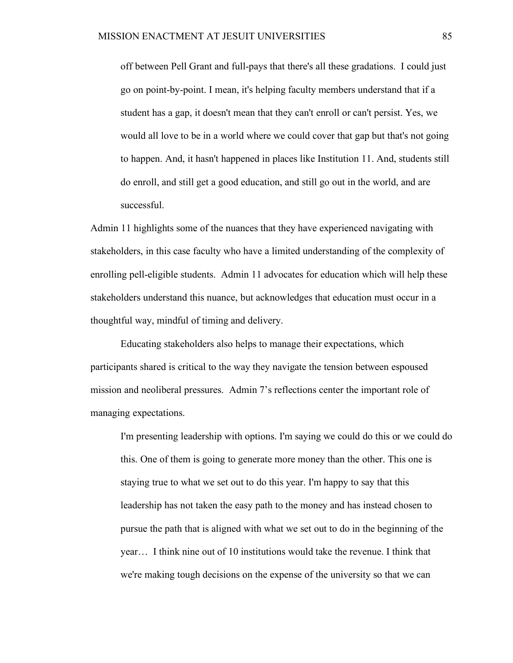off between Pell Grant and full-pays that there's all these gradations. I could just go on point-by-point. I mean, it's helping faculty members understand that if a student has a gap, it doesn't mean that they can't enroll or can't persist. Yes, we would all love to be in a world where we could cover that gap but that's not going to happen. And, it hasn't happened in places like Institution 11. And, students still do enroll, and still get a good education, and still go out in the world, and are successful.

Admin 11 highlights some of the nuances that they have experienced navigating with stakeholders, in this case faculty who have a limited understanding of the complexity of enrolling pell-eligible students. Admin 11 advocates for education which will help these stakeholders understand this nuance, but acknowledges that education must occur in a thoughtful way, mindful of timing and delivery.

Educating stakeholders also helps to manage their expectations, which participants shared is critical to the way they navigate the tension between espoused mission and neoliberal pressures. Admin 7's reflections center the important role of managing expectations.

I'm presenting leadership with options. I'm saying we could do this or we could do this. One of them is going to generate more money than the other. This one is staying true to what we set out to do this year. I'm happy to say that this leadership has not taken the easy path to the money and has instead chosen to pursue the path that is aligned with what we set out to do in the beginning of the year… I think nine out of 10 institutions would take the revenue. I think that we're making tough decisions on the expense of the university so that we can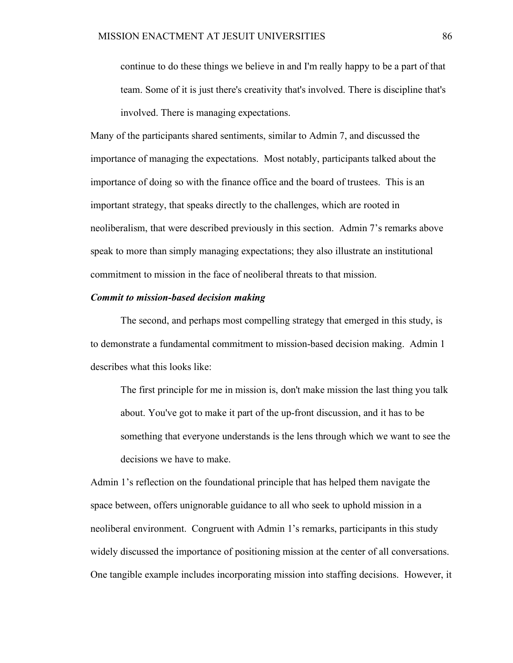continue to do these things we believe in and I'm really happy to be a part of that team. Some of it is just there's creativity that's involved. There is discipline that's involved. There is managing expectations.

Many of the participants shared sentiments, similar to Admin 7, and discussed the importance of managing the expectations. Most notably, participants talked about the importance of doing so with the finance office and the board of trustees. This is an important strategy, that speaks directly to the challenges, which are rooted in neoliberalism, that were described previously in this section. Admin 7's remarks above speak to more than simply managing expectations; they also illustrate an institutional commitment to mission in the face of neoliberal threats to that mission.

### *Commit to mission-based decision making*

The second, and perhaps most compelling strategy that emerged in this study, is to demonstrate a fundamental commitment to mission-based decision making. Admin 1 describes what this looks like:

The first principle for me in mission is, don't make mission the last thing you talk about. You've got to make it part of the up-front discussion, and it has to be something that everyone understands is the lens through which we want to see the decisions we have to make.

Admin 1's reflection on the foundational principle that has helped them navigate the space between, offers unignorable guidance to all who seek to uphold mission in a neoliberal environment. Congruent with Admin 1's remarks, participants in this study widely discussed the importance of positioning mission at the center of all conversations. One tangible example includes incorporating mission into staffing decisions. However, it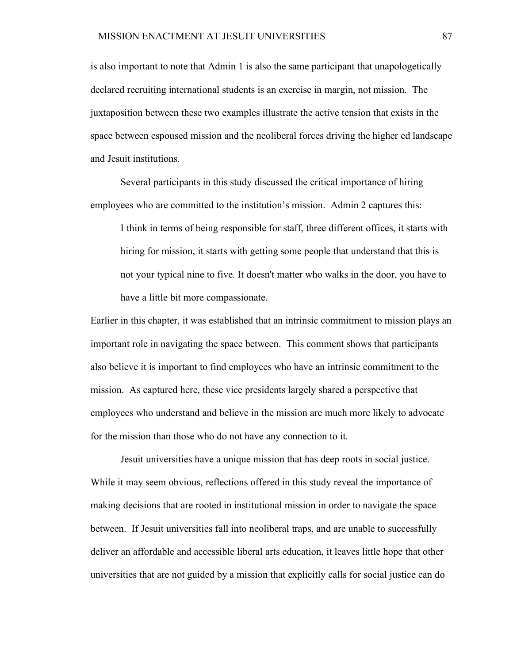is also important to note that Admin 1 is also the same participant that unapologetically declared recruiting international students is an exercise in margin, not mission. The juxtaposition between these two examples illustrate the active tension that exists in the space between espoused mission and the neoliberal forces driving the higher ed landscape and Jesuit institutions.

Several participants in this study discussed the critical importance of hiring employees who are committed to the institution's mission. Admin 2 captures this:

I think in terms of being responsible for staff, three different offices, it starts with hiring for mission, it starts with getting some people that understand that this is not your typical nine to five. It doesn't matter who walks in the door, you have to have a little bit more compassionate.

Earlier in this chapter, it was established that an intrinsic commitment to mission plays an important role in navigating the space between. This comment shows that participants also believe it is important to find employees who have an intrinsic commitment to the mission. As captured here, these vice presidents largely shared a perspective that employees who understand and believe in the mission are much more likely to advocate for the mission than those who do not have any connection to it.

Jesuit universities have a unique mission that has deep roots in social justice. While it may seem obvious, reflections offered in this study reveal the importance of making decisions that are rooted in institutional mission in order to navigate the space between. If Jesuit universities fall into neoliberal traps, and are unable to successfully deliver an affordable and accessible liberal arts education, it leaves little hope that other universities that are not guided by a mission that explicitly calls for social justice can do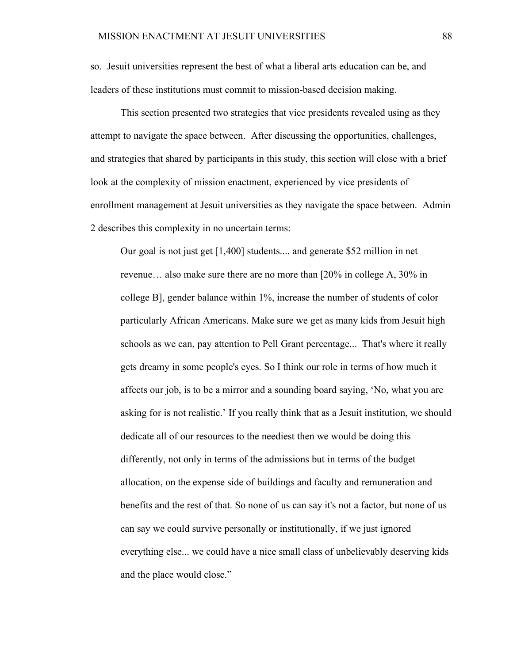so. Jesuit universities represent the best of what a liberal arts education can be, and leaders of these institutions must commit to mission-based decision making.

This section presented two strategies that vice presidents revealed using as they attempt to navigate the space between. After discussing the opportunities, challenges, and strategies that shared by participants in this study, this section will close with a brief look at the complexity of mission enactment, experienced by vice presidents of enrollment management at Jesuit universities as they navigate the space between. Admin 2 describes this complexity in no uncertain terms:

Our goal is not just get [1,400] students.... and generate \$52 million in net revenue… also make sure there are no more than [20% in college A, 30% in college B], gender balance within 1%, increase the number of students of color particularly African Americans. Make sure we get as many kids from Jesuit high schools as we can, pay attention to Pell Grant percentage... That's where it really gets dreamy in some people's eyes. So I think our role in terms of how much it affects our job, is to be a mirror and a sounding board saying, 'No, what you are asking for is not realistic.' If you really think that as a Jesuit institution, we should dedicate all of our resources to the neediest then we would be doing this differently, not only in terms of the admissions but in terms of the budget allocation, on the expense side of buildings and faculty and remuneration and benefits and the rest of that. So none of us can say it's not a factor, but none of us can say we could survive personally or institutionally, if we just ignored everything else... we could have a nice small class of unbelievably deserving kids and the place would close."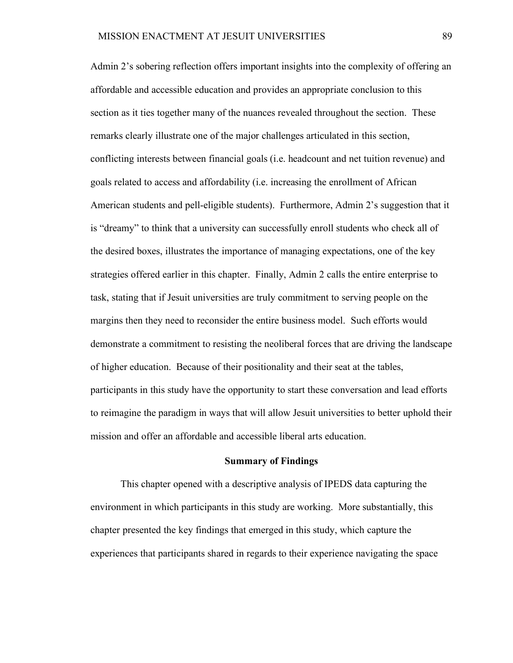Admin 2's sobering reflection offers important insights into the complexity of offering an affordable and accessible education and provides an appropriate conclusion to this section as it ties together many of the nuances revealed throughout the section. These remarks clearly illustrate one of the major challenges articulated in this section, conflicting interests between financial goals (i.e. headcount and net tuition revenue) and goals related to access and affordability (i.e. increasing the enrollment of African American students and pell-eligible students). Furthermore, Admin 2's suggestion that it is "dreamy" to think that a university can successfully enroll students who check all of the desired boxes, illustrates the importance of managing expectations, one of the key strategies offered earlier in this chapter. Finally, Admin 2 calls the entire enterprise to task, stating that if Jesuit universities are truly commitment to serving people on the margins then they need to reconsider the entire business model. Such efforts would demonstrate a commitment to resisting the neoliberal forces that are driving the landscape of higher education. Because of their positionality and their seat at the tables, participants in this study have the opportunity to start these conversation and lead efforts to reimagine the paradigm in ways that will allow Jesuit universities to better uphold their mission and offer an affordable and accessible liberal arts education.

#### **Summary of Findings**

This chapter opened with a descriptive analysis of IPEDS data capturing the environment in which participants in this study are working. More substantially, this chapter presented the key findings that emerged in this study, which capture the experiences that participants shared in regards to their experience navigating the space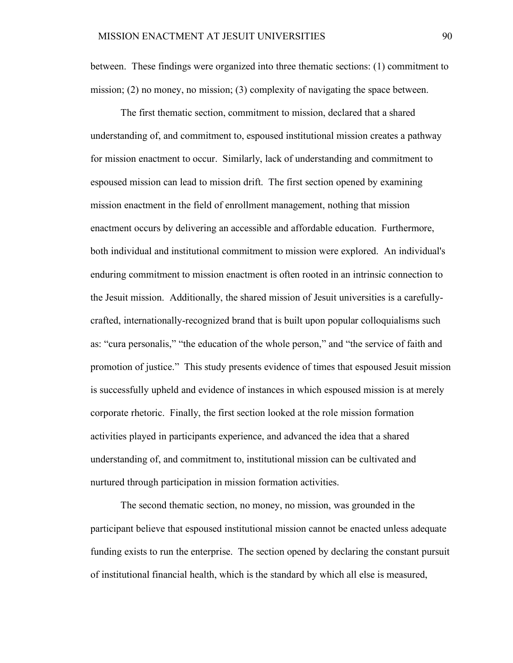between. These findings were organized into three thematic sections: (1) commitment to mission; (2) no money, no mission; (3) complexity of navigating the space between.

The first thematic section, commitment to mission, declared that a shared understanding of, and commitment to, espoused institutional mission creates a pathway for mission enactment to occur. Similarly, lack of understanding and commitment to espoused mission can lead to mission drift. The first section opened by examining mission enactment in the field of enrollment management, nothing that mission enactment occurs by delivering an accessible and affordable education. Furthermore, both individual and institutional commitment to mission were explored. An individual's enduring commitment to mission enactment is often rooted in an intrinsic connection to the Jesuit mission. Additionally, the shared mission of Jesuit universities is a carefullycrafted, internationally-recognized brand that is built upon popular colloquialisms such as: "cura personalis," "the education of the whole person," and "the service of faith and promotion of justice." This study presents evidence of times that espoused Jesuit mission is successfully upheld and evidence of instances in which espoused mission is at merely corporate rhetoric. Finally, the first section looked at the role mission formation activities played in participants experience, and advanced the idea that a shared understanding of, and commitment to, institutional mission can be cultivated and nurtured through participation in mission formation activities.

The second thematic section, no money, no mission, was grounded in the participant believe that espoused institutional mission cannot be enacted unless adequate funding exists to run the enterprise. The section opened by declaring the constant pursuit of institutional financial health, which is the standard by which all else is measured,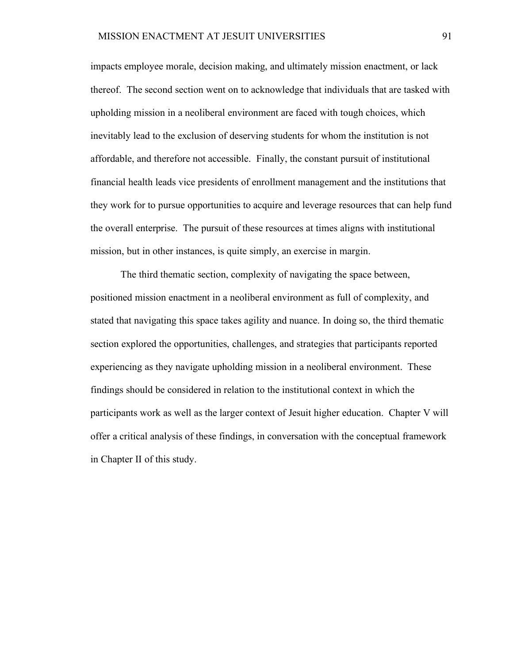impacts employee morale, decision making, and ultimately mission enactment, or lack thereof. The second section went on to acknowledge that individuals that are tasked with upholding mission in a neoliberal environment are faced with tough choices, which inevitably lead to the exclusion of deserving students for whom the institution is not affordable, and therefore not accessible. Finally, the constant pursuit of institutional financial health leads vice presidents of enrollment management and the institutions that they work for to pursue opportunities to acquire and leverage resources that can help fund the overall enterprise. The pursuit of these resources at times aligns with institutional mission, but in other instances, is quite simply, an exercise in margin.

The third thematic section, complexity of navigating the space between, positioned mission enactment in a neoliberal environment as full of complexity, and stated that navigating this space takes agility and nuance. In doing so, the third thematic section explored the opportunities, challenges, and strategies that participants reported experiencing as they navigate upholding mission in a neoliberal environment. These findings should be considered in relation to the institutional context in which the participants work as well as the larger context of Jesuit higher education. Chapter V will offer a critical analysis of these findings, in conversation with the conceptual framework in Chapter II of this study.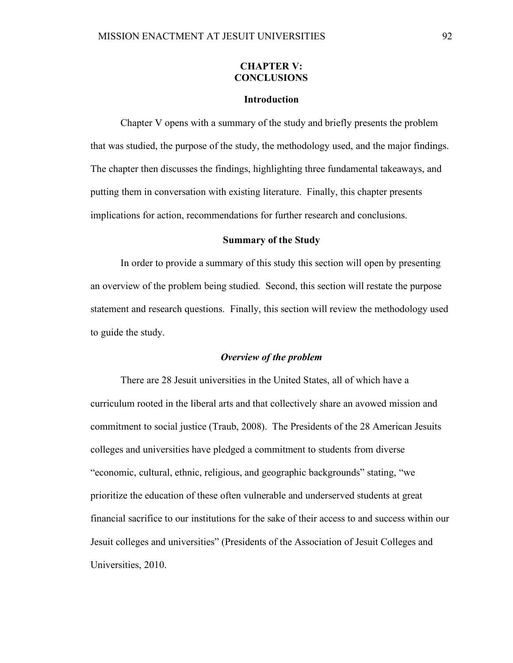## **CHAPTER V: CONCLUSIONS**

#### **Introduction**

Chapter V opens with a summary of the study and briefly presents the problem that was studied, the purpose of the study, the methodology used, and the major findings. The chapter then discusses the findings, highlighting three fundamental takeaways, and putting them in conversation with existing literature. Finally, this chapter presents implications for action, recommendations for further research and conclusions.

## **Summary of the Study**

In order to provide a summary of this study this section will open by presenting an overview of the problem being studied. Second, this section will restate the purpose statement and research questions. Finally, this section will review the methodology used to guide the study.

## *Overview of the problem*

There are 28 Jesuit universities in the United States, all of which have a curriculum rooted in the liberal arts and that collectively share an avowed mission and commitment to social justice (Traub, 2008). The Presidents of the 28 American Jesuits colleges and universities have pledged a commitment to students from diverse "economic, cultural, ethnic, religious, and geographic backgrounds" stating, "we prioritize the education of these often vulnerable and underserved students at great financial sacrifice to our institutions for the sake of their access to and success within our Jesuit colleges and universities" (Presidents of the Association of Jesuit Colleges and Universities, 2010.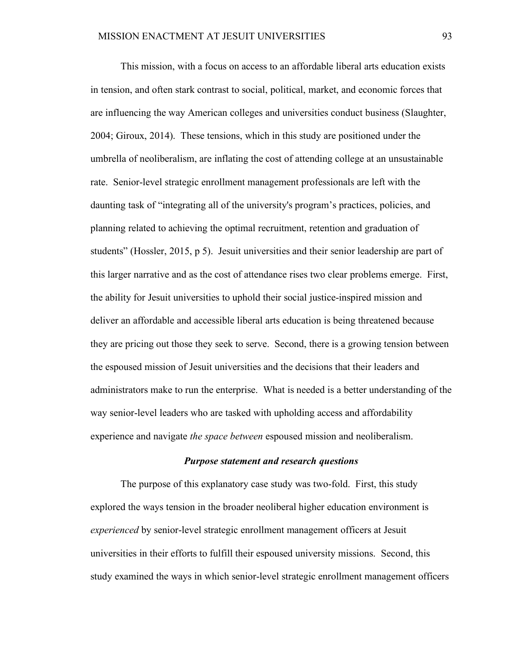This mission, with a focus on access to an affordable liberal arts education exists in tension, and often stark contrast to social, political, market, and economic forces that are influencing the way American colleges and universities conduct business (Slaughter, 2004; Giroux, 2014). These tensions, which in this study are positioned under the umbrella of neoliberalism, are inflating the cost of attending college at an unsustainable rate. Senior-level strategic enrollment management professionals are left with the daunting task of "integrating all of the university's program's practices, policies, and planning related to achieving the optimal recruitment, retention and graduation of students" (Hossler, 2015, p 5). Jesuit universities and their senior leadership are part of this larger narrative and as the cost of attendance rises two clear problems emerge. First, the ability for Jesuit universities to uphold their social justice-inspired mission and deliver an affordable and accessible liberal arts education is being threatened because they are pricing out those they seek to serve. Second, there is a growing tension between the espoused mission of Jesuit universities and the decisions that their leaders and administrators make to run the enterprise. What is needed is a better understanding of the way senior-level leaders who are tasked with upholding access and affordability experience and navigate *the space between* espoused mission and neoliberalism.

# *Purpose statement and research questions*

The purpose of this explanatory case study was two-fold. First, this study explored the ways tension in the broader neoliberal higher education environment is *experienced* by senior-level strategic enrollment management officers at Jesuit universities in their efforts to fulfill their espoused university missions. Second, this study examined the ways in which senior-level strategic enrollment management officers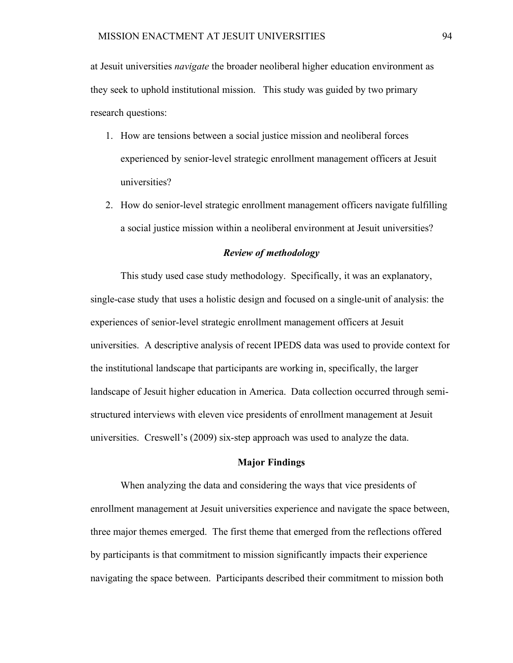at Jesuit universities *navigate* the broader neoliberal higher education environment as they seek to uphold institutional mission. This study was guided by two primary research questions:

- 1. How are tensions between a social justice mission and neoliberal forces experienced by senior-level strategic enrollment management officers at Jesuit universities?
- 2. How do senior-level strategic enrollment management officers navigate fulfilling a social justice mission within a neoliberal environment at Jesuit universities?

### *Review of methodology*

This study used case study methodology. Specifically, it was an explanatory, single-case study that uses a holistic design and focused on a single-unit of analysis: the experiences of senior-level strategic enrollment management officers at Jesuit universities. A descriptive analysis of recent IPEDS data was used to provide context for the institutional landscape that participants are working in, specifically, the larger landscape of Jesuit higher education in America. Data collection occurred through semistructured interviews with eleven vice presidents of enrollment management at Jesuit universities. Creswell's (2009) six-step approach was used to analyze the data.

### **Major Findings**

When analyzing the data and considering the ways that vice presidents of enrollment management at Jesuit universities experience and navigate the space between, three major themes emerged. The first theme that emerged from the reflections offered by participants is that commitment to mission significantly impacts their experience navigating the space between. Participants described their commitment to mission both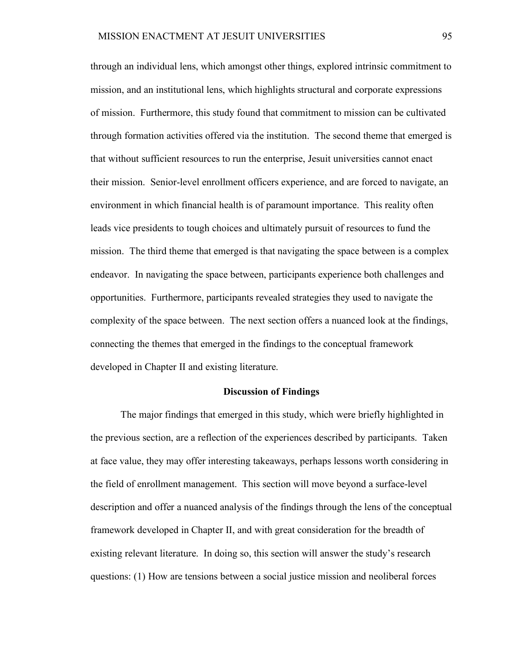through an individual lens, which amongst other things, explored intrinsic commitment to mission, and an institutional lens, which highlights structural and corporate expressions of mission. Furthermore, this study found that commitment to mission can be cultivated through formation activities offered via the institution. The second theme that emerged is that without sufficient resources to run the enterprise, Jesuit universities cannot enact their mission. Senior-level enrollment officers experience, and are forced to navigate, an environment in which financial health is of paramount importance. This reality often leads vice presidents to tough choices and ultimately pursuit of resources to fund the mission. The third theme that emerged is that navigating the space between is a complex endeavor. In navigating the space between, participants experience both challenges and opportunities. Furthermore, participants revealed strategies they used to navigate the complexity of the space between. The next section offers a nuanced look at the findings, connecting the themes that emerged in the findings to the conceptual framework developed in Chapter II and existing literature.

#### **Discussion of Findings**

The major findings that emerged in this study, which were briefly highlighted in the previous section, are a reflection of the experiences described by participants. Taken at face value, they may offer interesting takeaways, perhaps lessons worth considering in the field of enrollment management. This section will move beyond a surface-level description and offer a nuanced analysis of the findings through the lens of the conceptual framework developed in Chapter II, and with great consideration for the breadth of existing relevant literature. In doing so, this section will answer the study's research questions: (1) How are tensions between a social justice mission and neoliberal forces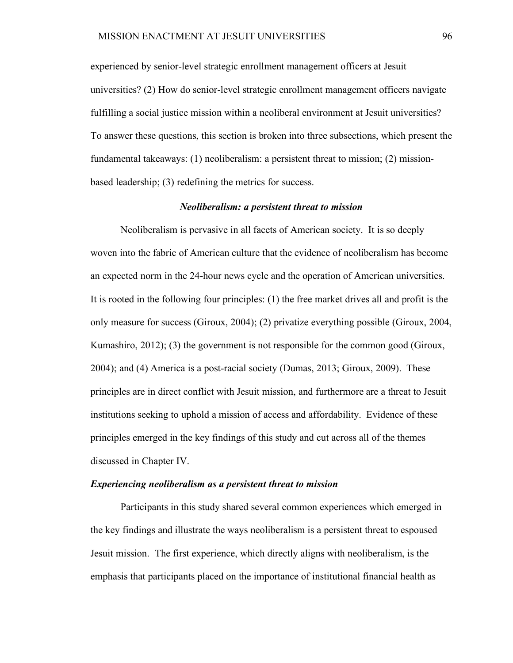experienced by senior-level strategic enrollment management officers at Jesuit universities? (2) How do senior-level strategic enrollment management officers navigate fulfilling a social justice mission within a neoliberal environment at Jesuit universities? To answer these questions, this section is broken into three subsections, which present the fundamental takeaways: (1) neoliberalism: a persistent threat to mission; (2) missionbased leadership; (3) redefining the metrics for success.

### *Neoliberalism: a persistent threat to mission*

Neoliberalism is pervasive in all facets of American society. It is so deeply woven into the fabric of American culture that the evidence of neoliberalism has become an expected norm in the 24-hour news cycle and the operation of American universities. It is rooted in the following four principles: (1) the free market drives all and profit is the only measure for success (Giroux, 2004); (2) privatize everything possible (Giroux, 2004, Kumashiro, 2012); (3) the government is not responsible for the common good (Giroux, 2004); and (4) America is a post-racial society (Dumas, 2013; Giroux, 2009). These principles are in direct conflict with Jesuit mission, and furthermore are a threat to Jesuit institutions seeking to uphold a mission of access and affordability. Evidence of these principles emerged in the key findings of this study and cut across all of the themes discussed in Chapter IV.

### *Experiencing neoliberalism as a persistent threat to mission*

Participants in this study shared several common experiences which emerged in the key findings and illustrate the ways neoliberalism is a persistent threat to espoused Jesuit mission. The first experience, which directly aligns with neoliberalism, is the emphasis that participants placed on the importance of institutional financial health as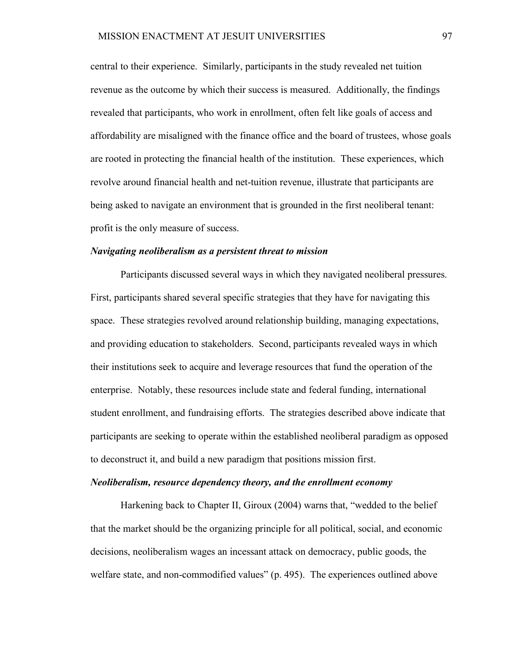central to their experience. Similarly, participants in the study revealed net tuition revenue as the outcome by which their success is measured. Additionally, the findings revealed that participants, who work in enrollment, often felt like goals of access and affordability are misaligned with the finance office and the board of trustees, whose goals are rooted in protecting the financial health of the institution. These experiences, which revolve around financial health and net-tuition revenue, illustrate that participants are being asked to navigate an environment that is grounded in the first neoliberal tenant: profit is the only measure of success.

#### *Navigating neoliberalism as a persistent threat to mission*

Participants discussed several ways in which they navigated neoliberal pressures. First, participants shared several specific strategies that they have for navigating this space. These strategies revolved around relationship building, managing expectations, and providing education to stakeholders. Second, participants revealed ways in which their institutions seek to acquire and leverage resources that fund the operation of the enterprise. Notably, these resources include state and federal funding, international student enrollment, and fundraising efforts. The strategies described above indicate that participants are seeking to operate within the established neoliberal paradigm as opposed to deconstruct it, and build a new paradigm that positions mission first.

#### *Neoliberalism, resource dependency theory, and the enrollment economy*

Harkening back to Chapter II, Giroux (2004) warns that, "wedded to the belief that the market should be the organizing principle for all political, social, and economic decisions, neoliberalism wages an incessant attack on democracy, public goods, the welfare state, and non-commodified values" (p. 495). The experiences outlined above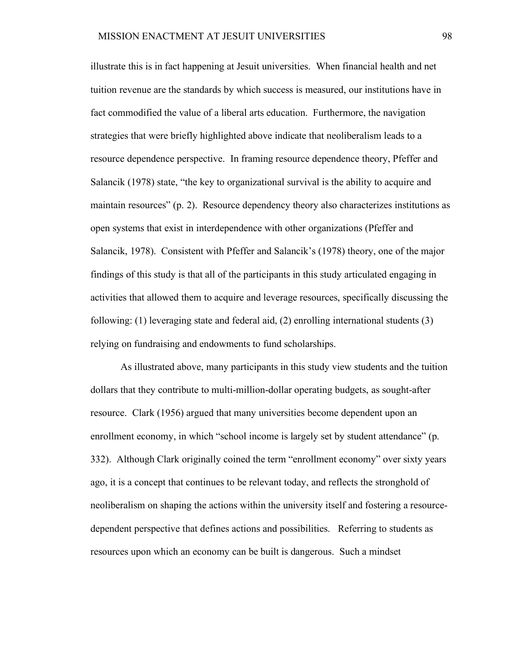illustrate this is in fact happening at Jesuit universities. When financial health and net tuition revenue are the standards by which success is measured, our institutions have in fact commodified the value of a liberal arts education. Furthermore, the navigation strategies that were briefly highlighted above indicate that neoliberalism leads to a resource dependence perspective. In framing resource dependence theory, Pfeffer and Salancik (1978) state, "the key to organizational survival is the ability to acquire and maintain resources" (p. 2). Resource dependency theory also characterizes institutions as open systems that exist in interdependence with other organizations (Pfeffer and Salancik, 1978). Consistent with Pfeffer and Salancik's (1978) theory, one of the major findings of this study is that all of the participants in this study articulated engaging in activities that allowed them to acquire and leverage resources, specifically discussing the following: (1) leveraging state and federal aid, (2) enrolling international students (3) relying on fundraising and endowments to fund scholarships.

As illustrated above, many participants in this study view students and the tuition dollars that they contribute to multi-million-dollar operating budgets, as sought-after resource. Clark (1956) argued that many universities become dependent upon an enrollment economy, in which "school income is largely set by student attendance" (p. 332). Although Clark originally coined the term "enrollment economy" over sixty years ago, it is a concept that continues to be relevant today, and reflects the stronghold of neoliberalism on shaping the actions within the university itself and fostering a resourcedependent perspective that defines actions and possibilities. Referring to students as resources upon which an economy can be built is dangerous. Such a mindset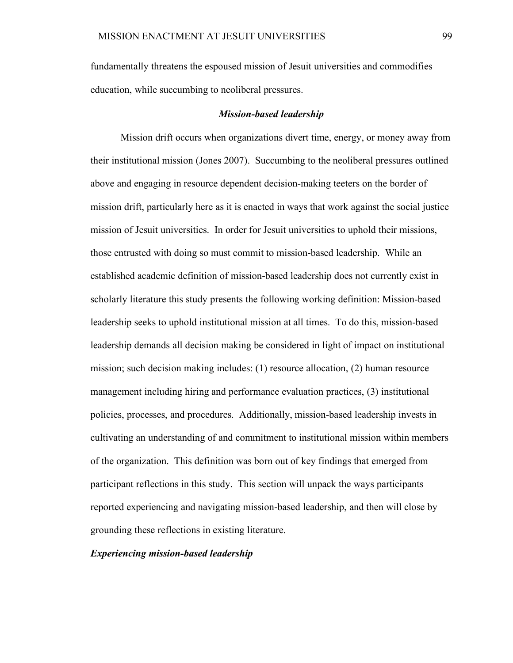fundamentally threatens the espoused mission of Jesuit universities and commodifies education, while succumbing to neoliberal pressures.

#### *Mission-based leadership*

Mission drift occurs when organizations divert time, energy, or money away from their institutional mission (Jones 2007). Succumbing to the neoliberal pressures outlined above and engaging in resource dependent decision-making teeters on the border of mission drift, particularly here as it is enacted in ways that work against the social justice mission of Jesuit universities. In order for Jesuit universities to uphold their missions, those entrusted with doing so must commit to mission-based leadership. While an established academic definition of mission-based leadership does not currently exist in scholarly literature this study presents the following working definition: Mission-based leadership seeks to uphold institutional mission at all times. To do this, mission-based leadership demands all decision making be considered in light of impact on institutional mission; such decision making includes: (1) resource allocation, (2) human resource management including hiring and performance evaluation practices, (3) institutional policies, processes, and procedures. Additionally, mission-based leadership invests in cultivating an understanding of and commitment to institutional mission within members of the organization. This definition was born out of key findings that emerged from participant reflections in this study. This section will unpack the ways participants reported experiencing and navigating mission-based leadership, and then will close by grounding these reflections in existing literature.

## *Experiencing mission-based leadership*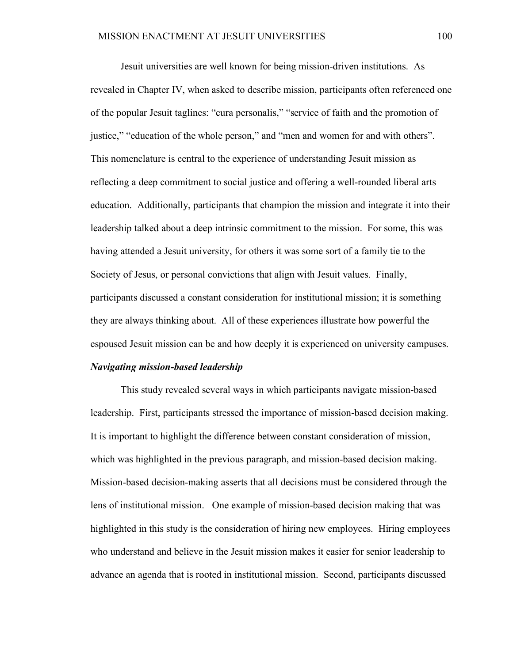Jesuit universities are well known for being mission-driven institutions. As revealed in Chapter IV, when asked to describe mission, participants often referenced one of the popular Jesuit taglines: "cura personalis," "service of faith and the promotion of justice," "education of the whole person," and "men and women for and with others". This nomenclature is central to the experience of understanding Jesuit mission as reflecting a deep commitment to social justice and offering a well-rounded liberal arts education. Additionally, participants that champion the mission and integrate it into their leadership talked about a deep intrinsic commitment to the mission. For some, this was having attended a Jesuit university, for others it was some sort of a family tie to the Society of Jesus, or personal convictions that align with Jesuit values. Finally, participants discussed a constant consideration for institutional mission; it is something they are always thinking about. All of these experiences illustrate how powerful the espoused Jesuit mission can be and how deeply it is experienced on university campuses.

### *Navigating mission-based leadership*

This study revealed several ways in which participants navigate mission-based leadership. First, participants stressed the importance of mission-based decision making. It is important to highlight the difference between constant consideration of mission, which was highlighted in the previous paragraph, and mission-based decision making. Mission-based decision-making asserts that all decisions must be considered through the lens of institutional mission. One example of mission-based decision making that was highlighted in this study is the consideration of hiring new employees. Hiring employees who understand and believe in the Jesuit mission makes it easier for senior leadership to advance an agenda that is rooted in institutional mission. Second, participants discussed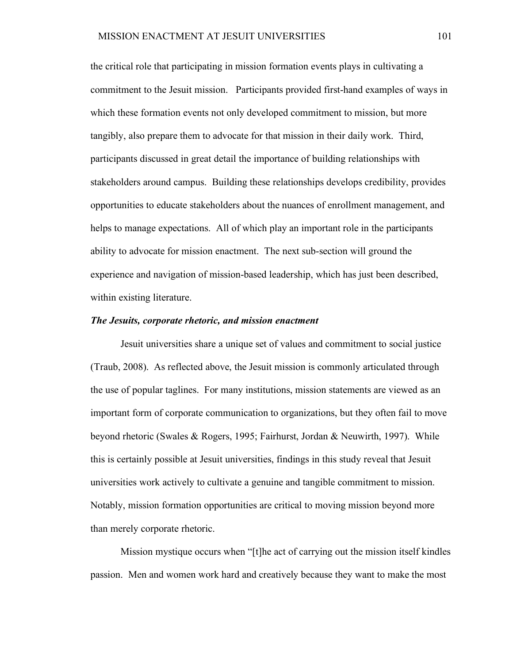the critical role that participating in mission formation events plays in cultivating a commitment to the Jesuit mission. Participants provided first-hand examples of ways in which these formation events not only developed commitment to mission, but more tangibly, also prepare them to advocate for that mission in their daily work. Third, participants discussed in great detail the importance of building relationships with stakeholders around campus. Building these relationships develops credibility, provides opportunities to educate stakeholders about the nuances of enrollment management, and helps to manage expectations. All of which play an important role in the participants ability to advocate for mission enactment. The next sub-section will ground the experience and navigation of mission-based leadership, which has just been described, within existing literature.

### *The Jesuits, corporate rhetoric, and mission enactment*

Jesuit universities share a unique set of values and commitment to social justice (Traub, 2008). As reflected above, the Jesuit mission is commonly articulated through the use of popular taglines. For many institutions, mission statements are viewed as an important form of corporate communication to organizations, but they often fail to move beyond rhetoric (Swales & Rogers, 1995; Fairhurst, Jordan & Neuwirth, 1997). While this is certainly possible at Jesuit universities, findings in this study reveal that Jesuit universities work actively to cultivate a genuine and tangible commitment to mission. Notably, mission formation opportunities are critical to moving mission beyond more than merely corporate rhetoric.

Mission mystique occurs when "[t]he act of carrying out the mission itself kindles passion. Men and women work hard and creatively because they want to make the most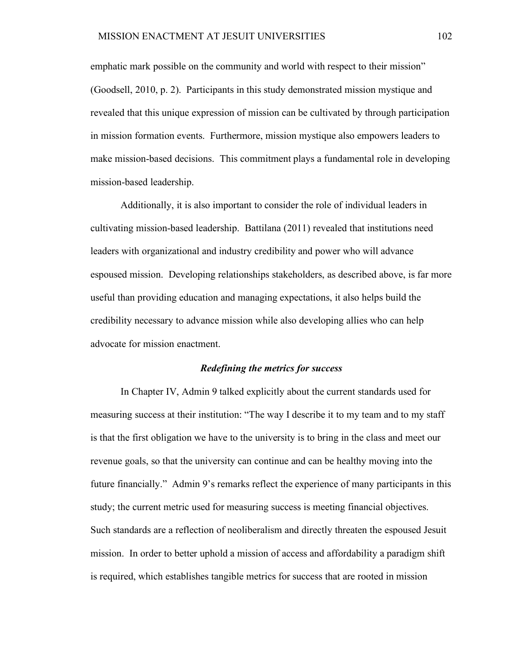emphatic mark possible on the community and world with respect to their mission" (Goodsell, 2010, p. 2). Participants in this study demonstrated mission mystique and revealed that this unique expression of mission can be cultivated by through participation in mission formation events. Furthermore, mission mystique also empowers leaders to make mission-based decisions. This commitment plays a fundamental role in developing mission-based leadership.

Additionally, it is also important to consider the role of individual leaders in cultivating mission-based leadership. Battilana (2011) revealed that institutions need leaders with organizational and industry credibility and power who will advance espoused mission. Developing relationships stakeholders, as described above, is far more useful than providing education and managing expectations, it also helps build the credibility necessary to advance mission while also developing allies who can help advocate for mission enactment.

### *Redefining the metrics for success*

In Chapter IV, Admin 9 talked explicitly about the current standards used for measuring success at their institution: "The way I describe it to my team and to my staff is that the first obligation we have to the university is to bring in the class and meet our revenue goals, so that the university can continue and can be healthy moving into the future financially." Admin 9's remarks reflect the experience of many participants in this study; the current metric used for measuring success is meeting financial objectives. Such standards are a reflection of neoliberalism and directly threaten the espoused Jesuit mission. In order to better uphold a mission of access and affordability a paradigm shift is required, which establishes tangible metrics for success that are rooted in mission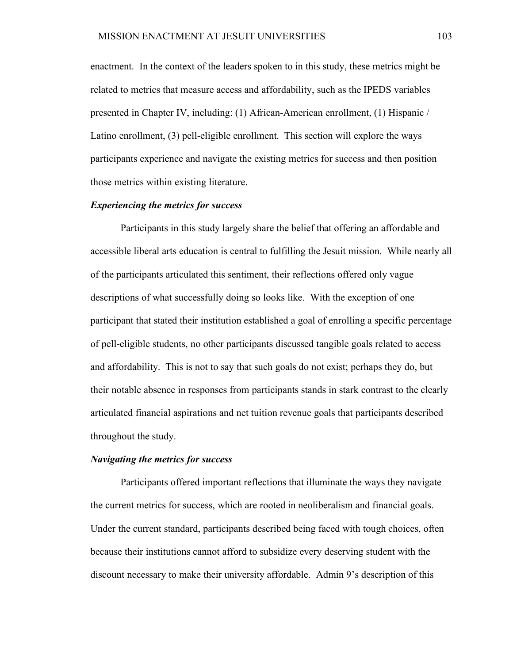enactment. In the context of the leaders spoken to in this study, these metrics might be related to metrics that measure access and affordability, such as the IPEDS variables presented in Chapter IV, including: (1) African-American enrollment, (1) Hispanic / Latino enrollment, (3) pell-eligible enrollment. This section will explore the ways participants experience and navigate the existing metrics for success and then position those metrics within existing literature.

### *Experiencing the metrics for success*

Participants in this study largely share the belief that offering an affordable and accessible liberal arts education is central to fulfilling the Jesuit mission. While nearly all of the participants articulated this sentiment, their reflections offered only vague descriptions of what successfully doing so looks like. With the exception of one participant that stated their institution established a goal of enrolling a specific percentage of pell-eligible students, no other participants discussed tangible goals related to access and affordability. This is not to say that such goals do not exist; perhaps they do, but their notable absence in responses from participants stands in stark contrast to the clearly articulated financial aspirations and net tuition revenue goals that participants described throughout the study.

### *Navigating the metrics for success*

Participants offered important reflections that illuminate the ways they navigate the current metrics for success, which are rooted in neoliberalism and financial goals. Under the current standard, participants described being faced with tough choices, often because their institutions cannot afford to subsidize every deserving student with the discount necessary to make their university affordable. Admin 9's description of this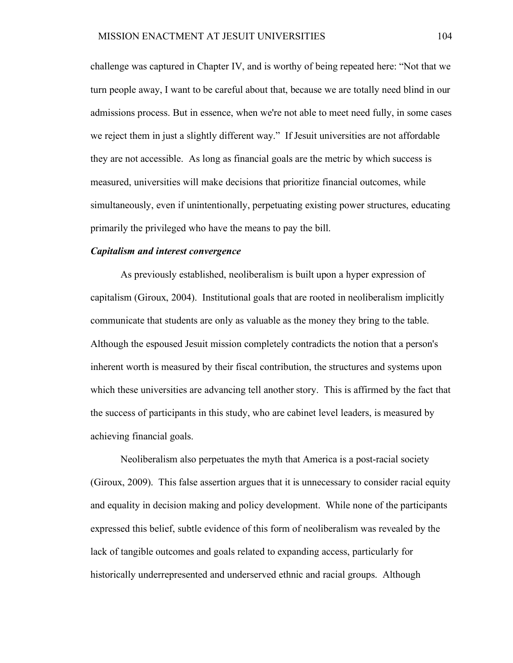challenge was captured in Chapter IV, and is worthy of being repeated here: "Not that we turn people away, I want to be careful about that, because we are totally need blind in our admissions process. But in essence, when we're not able to meet need fully, in some cases we reject them in just a slightly different way." If Jesuit universities are not affordable they are not accessible. As long as financial goals are the metric by which success is measured, universities will make decisions that prioritize financial outcomes, while simultaneously, even if unintentionally, perpetuating existing power structures, educating primarily the privileged who have the means to pay the bill.

#### *Capitalism and interest convergence*

As previously established, neoliberalism is built upon a hyper expression of capitalism (Giroux, 2004). Institutional goals that are rooted in neoliberalism implicitly communicate that students are only as valuable as the money they bring to the table. Although the espoused Jesuit mission completely contradicts the notion that a person's inherent worth is measured by their fiscal contribution, the structures and systems upon which these universities are advancing tell another story. This is affirmed by the fact that the success of participants in this study, who are cabinet level leaders, is measured by achieving financial goals.

Neoliberalism also perpetuates the myth that America is a post-racial society (Giroux, 2009). This false assertion argues that it is unnecessary to consider racial equity and equality in decision making and policy development. While none of the participants expressed this belief, subtle evidence of this form of neoliberalism was revealed by the lack of tangible outcomes and goals related to expanding access, particularly for historically underrepresented and underserved ethnic and racial groups. Although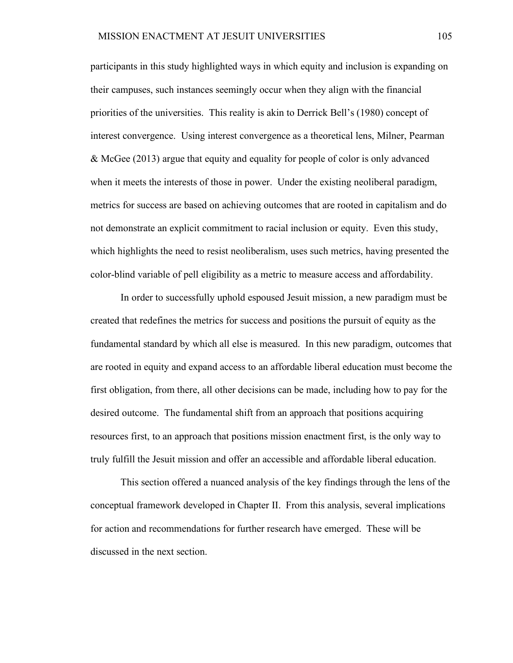participants in this study highlighted ways in which equity and inclusion is expanding on their campuses, such instances seemingly occur when they align with the financial priorities of the universities. This reality is akin to Derrick Bell's (1980) concept of interest convergence. Using interest convergence as a theoretical lens, Milner, Pearman & McGee (2013) argue that equity and equality for people of color is only advanced when it meets the interests of those in power. Under the existing neoliberal paradigm, metrics for success are based on achieving outcomes that are rooted in capitalism and do not demonstrate an explicit commitment to racial inclusion or equity. Even this study, which highlights the need to resist neoliberalism, uses such metrics, having presented the color-blind variable of pell eligibility as a metric to measure access and affordability.

In order to successfully uphold espoused Jesuit mission, a new paradigm must be created that redefines the metrics for success and positions the pursuit of equity as the fundamental standard by which all else is measured. In this new paradigm, outcomes that are rooted in equity and expand access to an affordable liberal education must become the first obligation, from there, all other decisions can be made, including how to pay for the desired outcome. The fundamental shift from an approach that positions acquiring resources first, to an approach that positions mission enactment first, is the only way to truly fulfill the Jesuit mission and offer an accessible and affordable liberal education.

This section offered a nuanced analysis of the key findings through the lens of the conceptual framework developed in Chapter II. From this analysis, several implications for action and recommendations for further research have emerged. These will be discussed in the next section.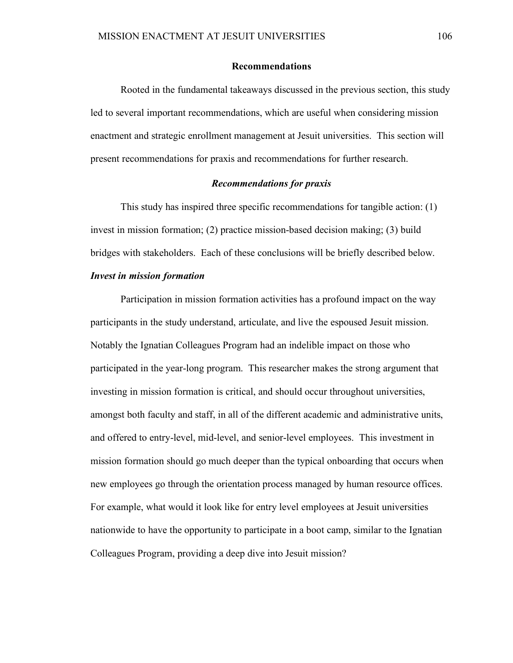### **Recommendations**

Rooted in the fundamental takeaways discussed in the previous section, this study led to several important recommendations, which are useful when considering mission enactment and strategic enrollment management at Jesuit universities. This section will present recommendations for praxis and recommendations for further research.

### *Recommendations for praxis*

This study has inspired three specific recommendations for tangible action: (1) invest in mission formation; (2) practice mission-based decision making; (3) build bridges with stakeholders. Each of these conclusions will be briefly described below.

# *Invest in mission formation*

Participation in mission formation activities has a profound impact on the way participants in the study understand, articulate, and live the espoused Jesuit mission. Notably the Ignatian Colleagues Program had an indelible impact on those who participated in the year-long program. This researcher makes the strong argument that investing in mission formation is critical, and should occur throughout universities, amongst both faculty and staff, in all of the different academic and administrative units, and offered to entry-level, mid-level, and senior-level employees. This investment in mission formation should go much deeper than the typical onboarding that occurs when new employees go through the orientation process managed by human resource offices. For example, what would it look like for entry level employees at Jesuit universities nationwide to have the opportunity to participate in a boot camp, similar to the Ignatian Colleagues Program, providing a deep dive into Jesuit mission?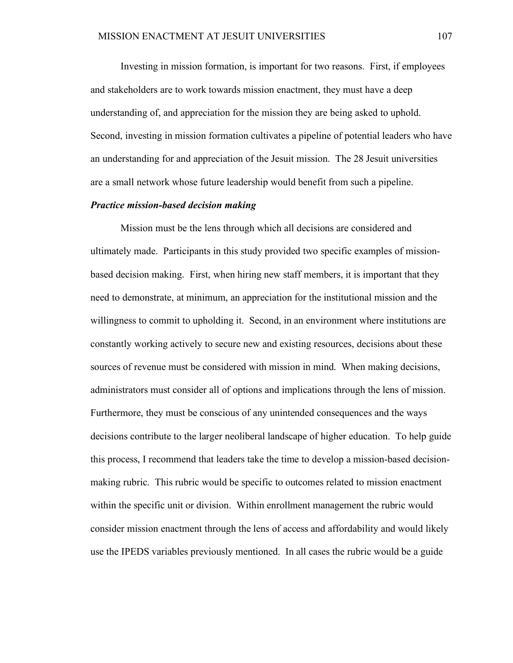Investing in mission formation, is important for two reasons. First, if employees and stakeholders are to work towards mission enactment, they must have a deep understanding of, and appreciation for the mission they are being asked to uphold. Second, investing in mission formation cultivates a pipeline of potential leaders who have an understanding for and appreciation of the Jesuit mission. The 28 Jesuit universities are a small network whose future leadership would benefit from such a pipeline.

### *Practice mission-based decision making*

Mission must be the lens through which all decisions are considered and ultimately made. Participants in this study provided two specific examples of missionbased decision making. First, when hiring new staff members, it is important that they need to demonstrate, at minimum, an appreciation for the institutional mission and the willingness to commit to upholding it. Second, in an environment where institutions are constantly working actively to secure new and existing resources, decisions about these sources of revenue must be considered with mission in mind. When making decisions, administrators must consider all of options and implications through the lens of mission. Furthermore, they must be conscious of any unintended consequences and the ways decisions contribute to the larger neoliberal landscape of higher education. To help guide this process, I recommend that leaders take the time to develop a mission-based decisionmaking rubric. This rubric would be specific to outcomes related to mission enactment within the specific unit or division. Within enrollment management the rubric would consider mission enactment through the lens of access and affordability and would likely use the IPEDS variables previously mentioned. In all cases the rubric would be a guide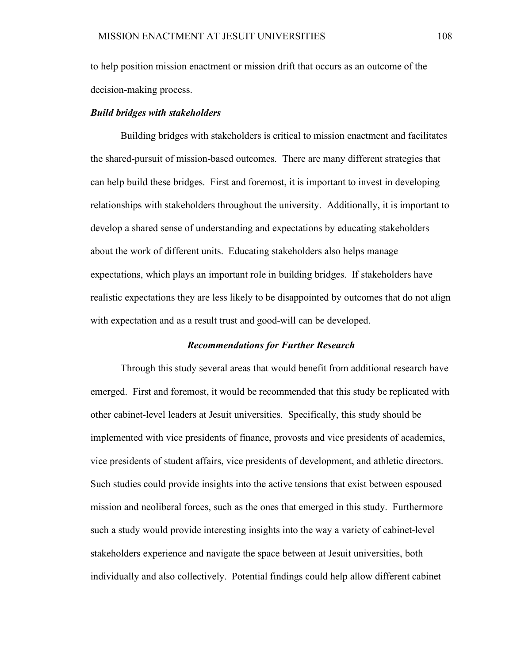to help position mission enactment or mission drift that occurs as an outcome of the decision-making process.

### *Build bridges with stakeholders*

Building bridges with stakeholders is critical to mission enactment and facilitates the shared-pursuit of mission-based outcomes. There are many different strategies that can help build these bridges. First and foremost, it is important to invest in developing relationships with stakeholders throughout the university. Additionally, it is important to develop a shared sense of understanding and expectations by educating stakeholders about the work of different units. Educating stakeholders also helps manage expectations, which plays an important role in building bridges. If stakeholders have realistic expectations they are less likely to be disappointed by outcomes that do not align with expectation and as a result trust and good-will can be developed.

## *Recommendations for Further Research*

Through this study several areas that would benefit from additional research have emerged. First and foremost, it would be recommended that this study be replicated with other cabinet-level leaders at Jesuit universities. Specifically, this study should be implemented with vice presidents of finance, provosts and vice presidents of academics, vice presidents of student affairs, vice presidents of development, and athletic directors. Such studies could provide insights into the active tensions that exist between espoused mission and neoliberal forces, such as the ones that emerged in this study. Furthermore such a study would provide interesting insights into the way a variety of cabinet-level stakeholders experience and navigate the space between at Jesuit universities, both individually and also collectively. Potential findings could help allow different cabinet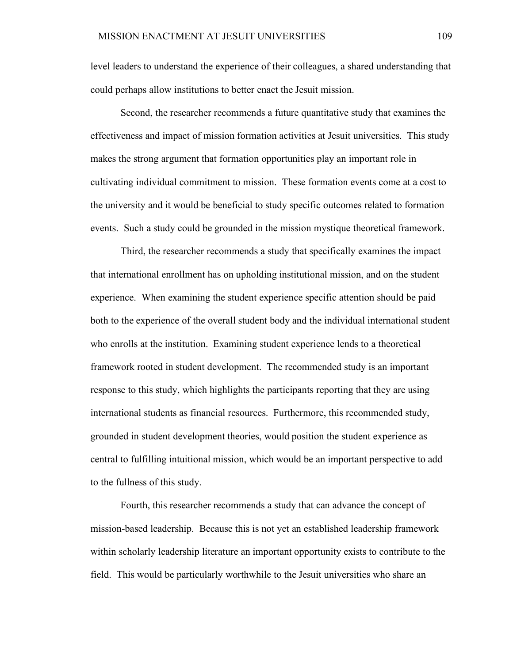level leaders to understand the experience of their colleagues, a shared understanding that could perhaps allow institutions to better enact the Jesuit mission.

Second, the researcher recommends a future quantitative study that examines the effectiveness and impact of mission formation activities at Jesuit universities. This study makes the strong argument that formation opportunities play an important role in cultivating individual commitment to mission. These formation events come at a cost to the university and it would be beneficial to study specific outcomes related to formation events. Such a study could be grounded in the mission mystique theoretical framework.

Third, the researcher recommends a study that specifically examines the impact that international enrollment has on upholding institutional mission, and on the student experience. When examining the student experience specific attention should be paid both to the experience of the overall student body and the individual international student who enrolls at the institution. Examining student experience lends to a theoretical framework rooted in student development. The recommended study is an important response to this study, which highlights the participants reporting that they are using international students as financial resources. Furthermore, this recommended study, grounded in student development theories, would position the student experience as central to fulfilling intuitional mission, which would be an important perspective to add to the fullness of this study.

Fourth, this researcher recommends a study that can advance the concept of mission-based leadership. Because this is not yet an established leadership framework within scholarly leadership literature an important opportunity exists to contribute to the field. This would be particularly worthwhile to the Jesuit universities who share an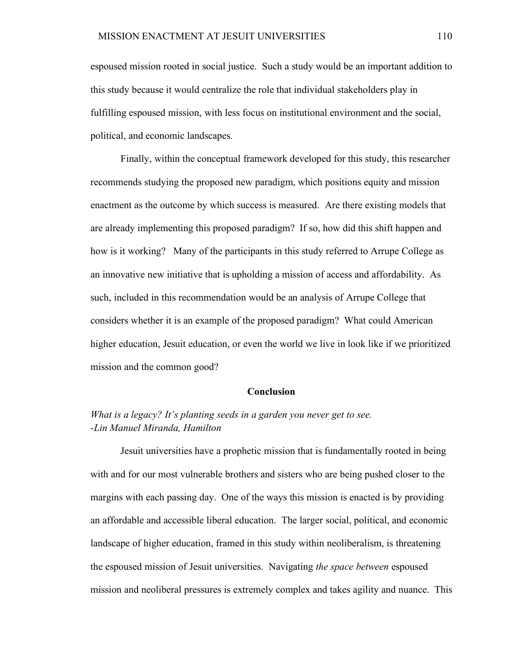espoused mission rooted in social justice. Such a study would be an important addition to this study because it would centralize the role that individual stakeholders play in fulfilling espoused mission, with less focus on institutional environment and the social, political, and economic landscapes.

Finally, within the conceptual framework developed for this study, this researcher recommends studying the proposed new paradigm, which positions equity and mission enactment as the outcome by which success is measured. Are there existing models that are already implementing this proposed paradigm? If so, how did this shift happen and how is it working? Many of the participants in this study referred to Arrupe College as an innovative new initiative that is upholding a mission of access and affordability. As such, included in this recommendation would be an analysis of Arrupe College that considers whether it is an example of the proposed paradigm? What could American higher education, Jesuit education, or even the world we live in look like if we prioritized mission and the common good?

## **Conclusion**

# *What is a legacy? It's planting seeds in a garden you never get to see. -Lin Manuel Miranda, Hamilton*

Jesuit universities have a prophetic mission that is fundamentally rooted in being with and for our most vulnerable brothers and sisters who are being pushed closer to the margins with each passing day. One of the ways this mission is enacted is by providing an affordable and accessible liberal education. The larger social, political, and economic landscape of higher education, framed in this study within neoliberalism, is threatening the espoused mission of Jesuit universities. Navigating *the space between* espoused mission and neoliberal pressures is extremely complex and takes agility and nuance. This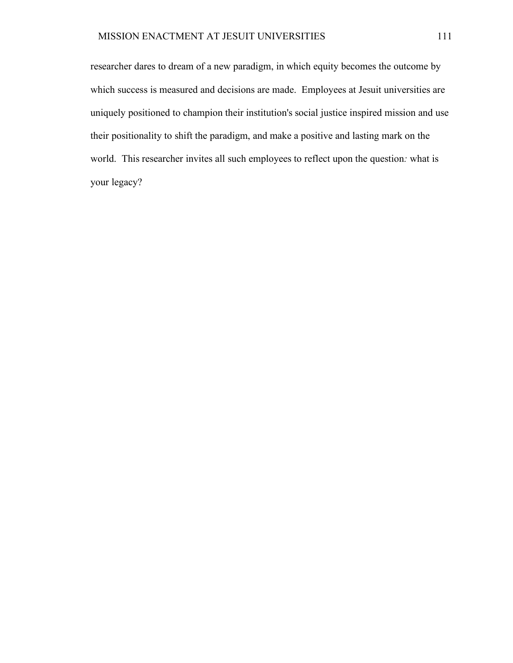researcher dares to dream of a new paradigm, in which equity becomes the outcome by which success is measured and decisions are made. Employees at Jesuit universities are uniquely positioned to champion their institution's social justice inspired mission and use their positionality to shift the paradigm, and make a positive and lasting mark on the world. This researcher invites all such employees to reflect upon the question*:* what is your legacy?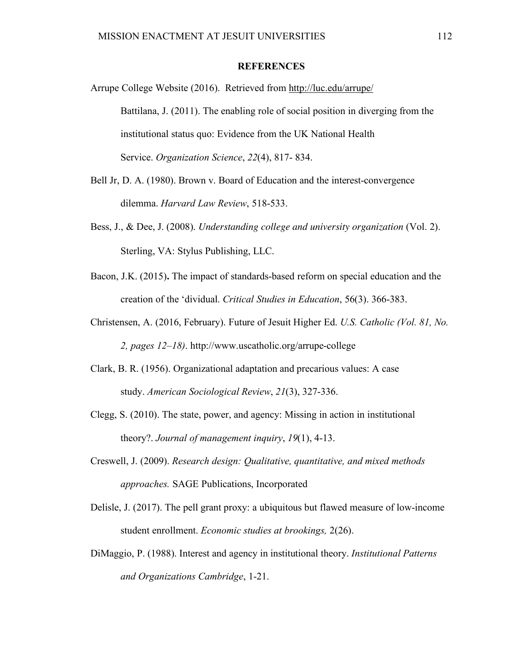## **REFERENCES**

Arrupe College Website (2016). Retrieved from http://luc.edu/arrupe/ Battilana, J. (2011). The enabling role of social position in diverging from the institutional status quo: Evidence from the UK National Health Service. *Organization Science*, *22*(4), 817- 834.

- Bell Jr, D. A. (1980). Brown v. Board of Education and the interest-convergence dilemma. *Harvard Law Review*, 518-533.
- Bess, J., & Dee, J. (2008). *Understanding college and university organization* (Vol. 2). Sterling, VA: Stylus Publishing, LLC.
- Bacon, J.K. (2015)**.** The impact of standards-based reform on special education and the creation of the 'dividual. *Critical Studies in Education*, 56(3). 366-383.
- Christensen, A. (2016, February). Future of Jesuit Higher Ed. *U.S. Catholic (Vol. 81, No. 2, pages 12–18)*. http://www.uscatholic.org/arrupe-college
- Clark, B. R. (1956). Organizational adaptation and precarious values: A case study. *American Sociological Review*, *21*(3), 327-336.
- Clegg, S. (2010). The state, power, and agency: Missing in action in institutional theory?. *Journal of management inquiry*, *19*(1), 4-13.
- Creswell, J. (2009). *Research design: Qualitative, quantitative, and mixed methods approaches.* SAGE Publications, Incorporated
- Delisle, J. (2017). The pell grant proxy: a ubiquitous but flawed measure of low-income student enrollment. *Economic studies at brookings,* 2(26).
- DiMaggio, P. (1988). Interest and agency in institutional theory. *Institutional Patterns and Organizations Cambridge*, 1-21.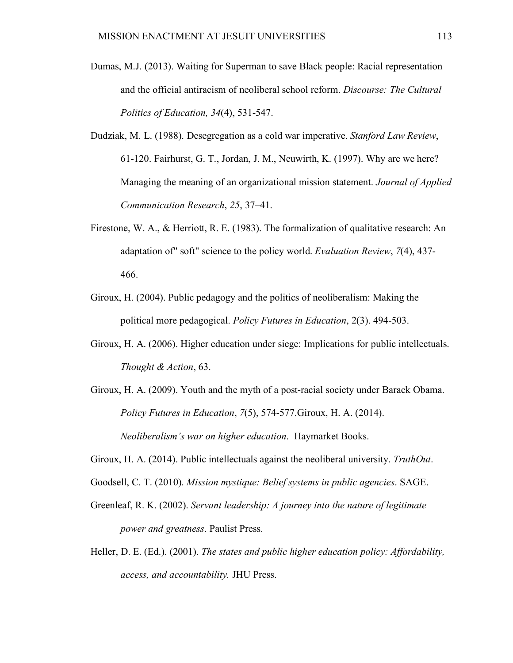- Dumas, M.J. (2013). Waiting for Superman to save Black people: Racial representation and the official antiracism of neoliberal school reform. *Discourse: The Cultural Politics of Education, 34*(4), 531-547.
- Dudziak, M. L. (1988). Desegregation as a cold war imperative. *Stanford Law Review*, 61-120. Fairhurst, G. T., Jordan, J. M., Neuwirth, K. (1997). Why are we here? Managing the meaning of an organizational mission statement. *Journal of Applied Communication Research*, *25*, 37–41.
- Firestone, W. A., & Herriott, R. E. (1983). The formalization of qualitative research: An adaptation of" soft" science to the policy world. *Evaluation Review*, *7*(4), 437- 466.
- Giroux, H. (2004). Public pedagogy and the politics of neoliberalism: Making the political more pedagogical. *Policy Futures in Education*, 2(3). 494-503.
- Giroux, H. A. (2006). Higher education under siege: Implications for public intellectuals. *Thought & Action*, 63.
- Giroux, H. A. (2009). Youth and the myth of a post-racial society under Barack Obama. *Policy Futures in Education*, *7*(5), 574-577.Giroux, H. A. (2014). *Neoliberalism's war on higher education*. Haymarket Books.
- Giroux, H. A. (2014). Public intellectuals against the neoliberal university. *TruthOut*.
- Goodsell, C. T. (2010). *Mission mystique: Belief systems in public agencies*. SAGE.
- Greenleaf, R. K. (2002). *Servant leadership: A journey into the nature of legitimate power and greatness*. Paulist Press.
- Heller, D. E. (Ed.). (2001). *The states and public higher education policy: Affordability, access, and accountability.* JHU Press.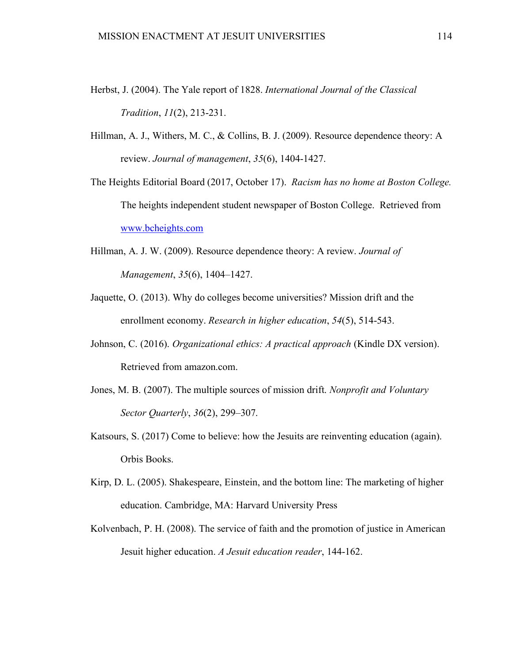- Herbst, J. (2004). The Yale report of 1828. *International Journal of the Classical Tradition*, *11*(2), 213-231.
- Hillman, A. J., Withers, M. C., & Collins, B. J. (2009). Resource dependence theory: A review. *Journal of management*, *35*(6), 1404-1427.
- The Heights Editorial Board (2017, October 17). *Racism has no home at Boston College.*  The heights independent student newspaper of Boston College. Retrieved from www.bcheights.com
- Hillman, A. J. W. (2009). Resource dependence theory: A review. *Journal of Management*, *35*(6), 1404–1427.
- Jaquette, O. (2013). Why do colleges become universities? Mission drift and the enrollment economy. *Research in higher education*, *54*(5), 514-543.
- Johnson, C. (2016). *Organizational ethics: A practical approach* (Kindle DX version). Retrieved from amazon.com.
- Jones, M. B. (2007). The multiple sources of mission drift. *Nonprofit and Voluntary Sector Quarterly*, *36*(2), 299–307.
- Katsours, S. (2017) Come to believe: how the Jesuits are reinventing education (again). Orbis Books.
- Kirp, D. L. (2005). Shakespeare, Einstein, and the bottom line: The marketing of higher education. Cambridge, MA: Harvard University Press
- Kolvenbach, P. H. (2008). The service of faith and the promotion of justice in American Jesuit higher education. *A Jesuit education reader*, 144-162.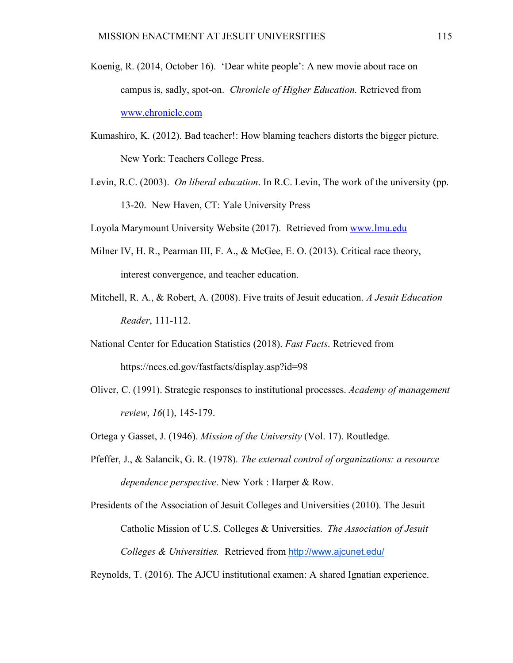- Koenig, R. (2014, October 16). 'Dear white people': A new movie about race on campus is, sadly, spot-on. *Chronicle of Higher Education.* Retrieved from www.chronicle.com
- Kumashiro, K. (2012). Bad teacher!: How blaming teachers distorts the bigger picture. New York: Teachers College Press.
- Levin, R.C. (2003). *On liberal education*. In R.C. Levin, The work of the university (pp. 13-20. New Haven, CT: Yale University Press

Loyola Marymount University Website (2017). Retrieved from www.lmu.edu

- Milner IV, H. R., Pearman III, F. A., & McGee, E. O. (2013). Critical race theory, interest convergence, and teacher education.
- Mitchell, R. A., & Robert, A. (2008). Five traits of Jesuit education. *A Jesuit Education Reader*, 111-112.
- National Center for Education Statistics (2018). *Fast Facts*. Retrieved from https://nces.ed.gov/fastfacts/display.asp?id=98
- Oliver, C. (1991). Strategic responses to institutional processes. *Academy of management review*, *16*(1), 145-179.
- Ortega y Gasset, J. (1946). *Mission of the University* (Vol. 17). Routledge.
- Pfeffer, J., & Salancik, G. R. (1978). *The external control of organizations: a resource dependence perspective*. New York : Harper & Row.

Presidents of the Association of Jesuit Colleges and Universities (2010). The Jesuit Catholic Mission of U.S. Colleges & Universities. *The Association of Jesuit Colleges & Universities.* Retrieved from http://www.ajcunet.edu/

Reynolds, T. (2016). The AJCU institutional examen: A shared Ignatian experience.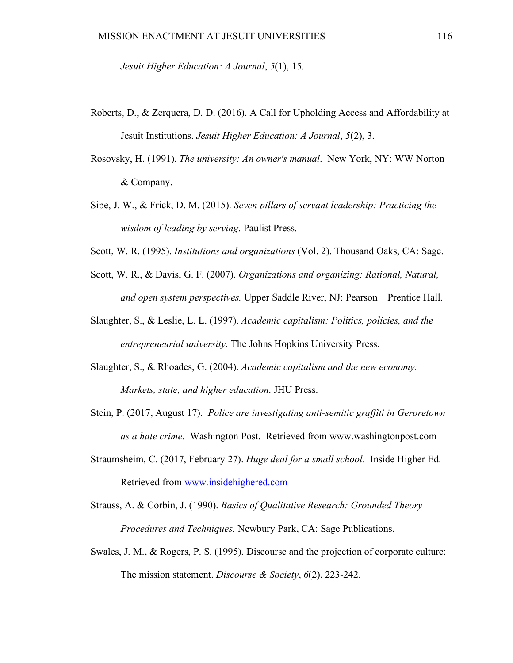*Jesuit Higher Education: A Journal*, *5*(1), 15.

- Roberts, D., & Zerquera, D. D. (2016). A Call for Upholding Access and Affordability at Jesuit Institutions. *Jesuit Higher Education: A Journal*, *5*(2), 3.
- Rosovsky, H. (1991). *The university: An owner's manual*. New York, NY: WW Norton & Company.
- Sipe, J. W., & Frick, D. M. (2015). *Seven pillars of servant leadership: Practicing the wisdom of leading by serving*. Paulist Press.
- Scott, W. R. (1995). *Institutions and organizations* (Vol. 2). Thousand Oaks, CA: Sage.
- Scott, W. R., & Davis, G. F. (2007). *Organizations and organizing: Rational, Natural, and open system perspectives.* Upper Saddle River, NJ: Pearson – Prentice Hall.
- Slaughter, S., & Leslie, L. L. (1997). *Academic capitalism: Politics, policies, and the entrepreneurial university*. The Johns Hopkins University Press.
- Slaughter, S., & Rhoades, G. (2004). *Academic capitalism and the new economy: Markets, state, and higher education*. JHU Press.
- Stein, P. (2017, August 17). *Police are investigating anti-semitic graffiti in Geroretown as a hate crime.* Washington Post. Retrieved from www.washingtonpost.com
- Straumsheim, C. (2017, February 27). *Huge deal for a small school*. Inside Higher Ed. Retrieved from www.insidehighered.com
- Strauss, A. & Corbin, J. (1990). *Basics of Qualitative Research: Grounded Theory Procedures and Techniques.* Newbury Park, CA: Sage Publications.
- Swales, J. M., & Rogers, P. S. (1995). Discourse and the projection of corporate culture: The mission statement. *Discourse & Society*, *6*(2), 223-242.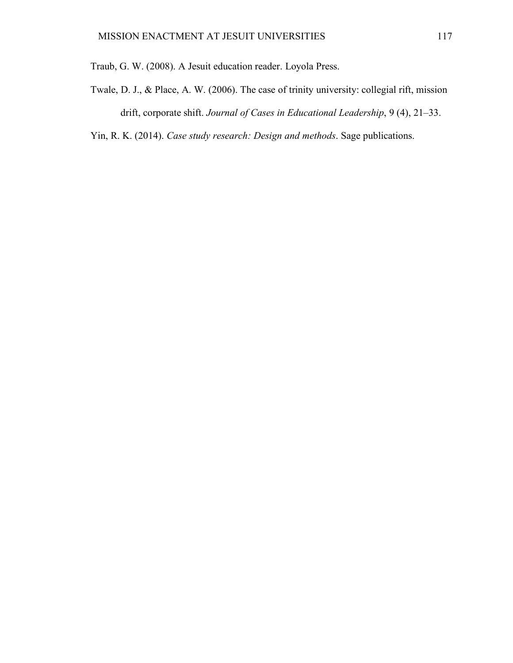- Twale, D. J., & Place, A. W. (2006). The case of trinity university: collegial rift, mission drift, corporate shift. *Journal of Cases in Educational Leadership*, 9 (4), 21–33.
- Yin, R. K. (2014). *Case study research: Design and methods*. Sage publications.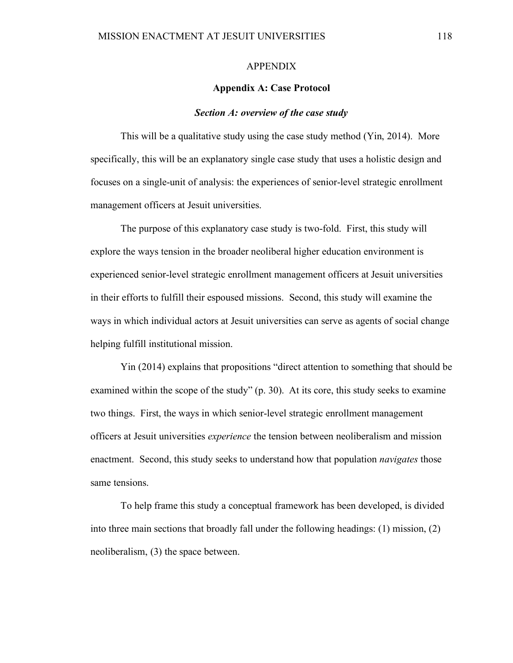### APPENDIX

### **Appendix A: Case Protocol**

#### *Section A: overview of the case study*

This will be a qualitative study using the case study method (Yin, 2014). More specifically, this will be an explanatory single case study that uses a holistic design and focuses on a single-unit of analysis: the experiences of senior-level strategic enrollment management officers at Jesuit universities.

The purpose of this explanatory case study is two-fold. First, this study will explore the ways tension in the broader neoliberal higher education environment is experienced senior-level strategic enrollment management officers at Jesuit universities in their efforts to fulfill their espoused missions. Second, this study will examine the ways in which individual actors at Jesuit universities can serve as agents of social change helping fulfill institutional mission.

Yin (2014) explains that propositions "direct attention to something that should be examined within the scope of the study" (p. 30). At its core, this study seeks to examine two things. First, the ways in which senior-level strategic enrollment management officers at Jesuit universities *experience* the tension between neoliberalism and mission enactment. Second, this study seeks to understand how that population *navigates* those same tensions.

To help frame this study a conceptual framework has been developed, is divided into three main sections that broadly fall under the following headings: (1) mission, (2) neoliberalism, (3) the space between.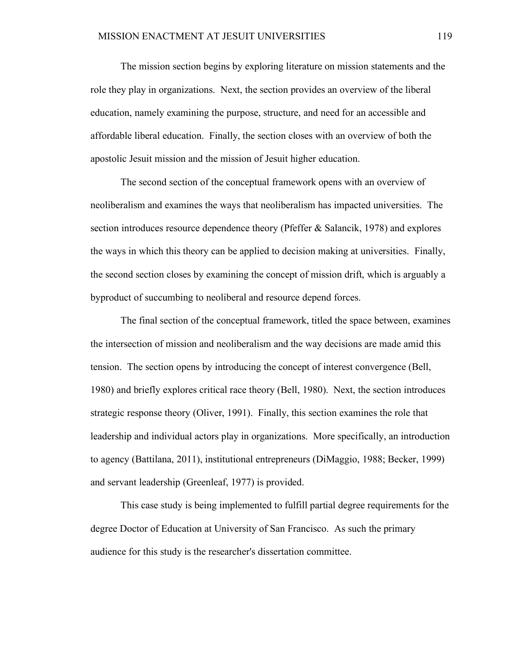The mission section begins by exploring literature on mission statements and the role they play in organizations. Next, the section provides an overview of the liberal education, namely examining the purpose, structure, and need for an accessible and affordable liberal education. Finally, the section closes with an overview of both the apostolic Jesuit mission and the mission of Jesuit higher education.

The second section of the conceptual framework opens with an overview of neoliberalism and examines the ways that neoliberalism has impacted universities. The section introduces resource dependence theory (Pfeffer & Salancik, 1978) and explores the ways in which this theory can be applied to decision making at universities. Finally, the second section closes by examining the concept of mission drift, which is arguably a byproduct of succumbing to neoliberal and resource depend forces.

The final section of the conceptual framework, titled the space between, examines the intersection of mission and neoliberalism and the way decisions are made amid this tension. The section opens by introducing the concept of interest convergence (Bell, 1980) and briefly explores critical race theory (Bell, 1980). Next, the section introduces strategic response theory (Oliver, 1991). Finally, this section examines the role that leadership and individual actors play in organizations. More specifically, an introduction to agency (Battilana, 2011), institutional entrepreneurs (DiMaggio, 1988; Becker, 1999) and servant leadership (Greenleaf, 1977) is provided.

This case study is being implemented to fulfill partial degree requirements for the degree Doctor of Education at University of San Francisco. As such the primary audience for this study is the researcher's dissertation committee.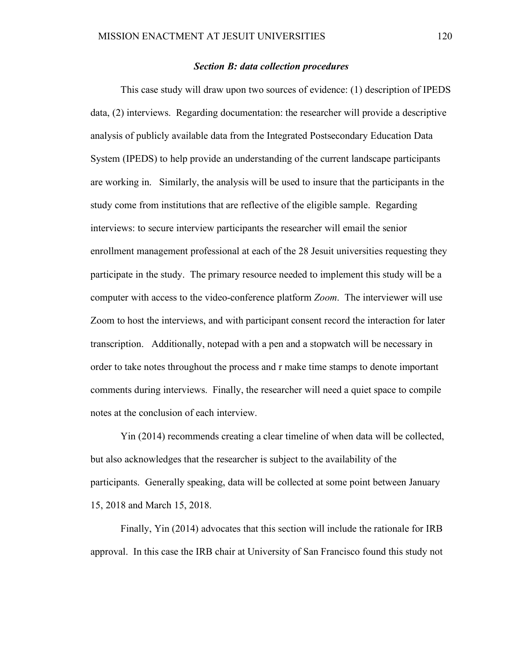### *Section B: data collection procedures*

This case study will draw upon two sources of evidence: (1) description of IPEDS data, (2) interviews. Regarding documentation: the researcher will provide a descriptive analysis of publicly available data from the Integrated Postsecondary Education Data System (IPEDS) to help provide an understanding of the current landscape participants are working in. Similarly, the analysis will be used to insure that the participants in the study come from institutions that are reflective of the eligible sample. Regarding interviews: to secure interview participants the researcher will email the senior enrollment management professional at each of the 28 Jesuit universities requesting they participate in the study. The primary resource needed to implement this study will be a computer with access to the video-conference platform *Zoom*. The interviewer will use Zoom to host the interviews, and with participant consent record the interaction for later transcription. Additionally, notepad with a pen and a stopwatch will be necessary in order to take notes throughout the process and r make time stamps to denote important comments during interviews. Finally, the researcher will need a quiet space to compile notes at the conclusion of each interview.

Yin (2014) recommends creating a clear timeline of when data will be collected, but also acknowledges that the researcher is subject to the availability of the participants. Generally speaking, data will be collected at some point between January 15, 2018 and March 15, 2018.

Finally, Yin (2014) advocates that this section will include the rationale for IRB approval. In this case the IRB chair at University of San Francisco found this study not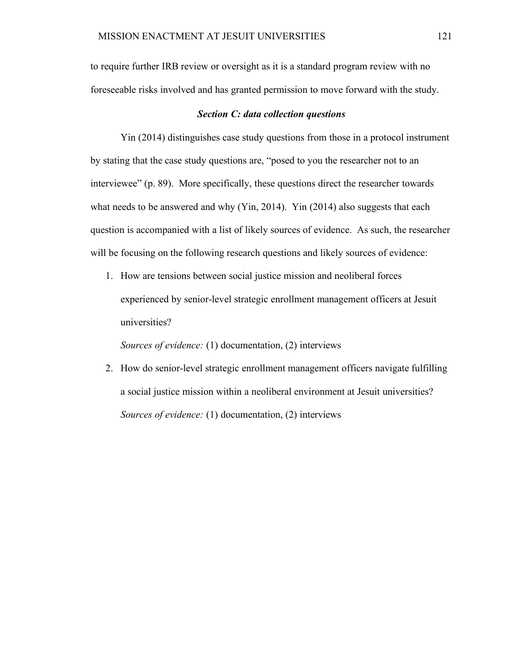to require further IRB review or oversight as it is a standard program review with no foreseeable risks involved and has granted permission to move forward with the study.

### *Section C: data collection questions*

Yin (2014) distinguishes case study questions from those in a protocol instrument by stating that the case study questions are, "posed to you the researcher not to an interviewee" (p. 89). More specifically, these questions direct the researcher towards what needs to be answered and why (Yin, 2014). Yin (2014) also suggests that each question is accompanied with a list of likely sources of evidence. As such, the researcher will be focusing on the following research questions and likely sources of evidence:

1. How are tensions between social justice mission and neoliberal forces experienced by senior-level strategic enrollment management officers at Jesuit universities?

*Sources of evidence:* (1) documentation, (2) interviews

2. How do senior-level strategic enrollment management officers navigate fulfilling a social justice mission within a neoliberal environment at Jesuit universities? *Sources of evidence:* (1) documentation, (2) interviews